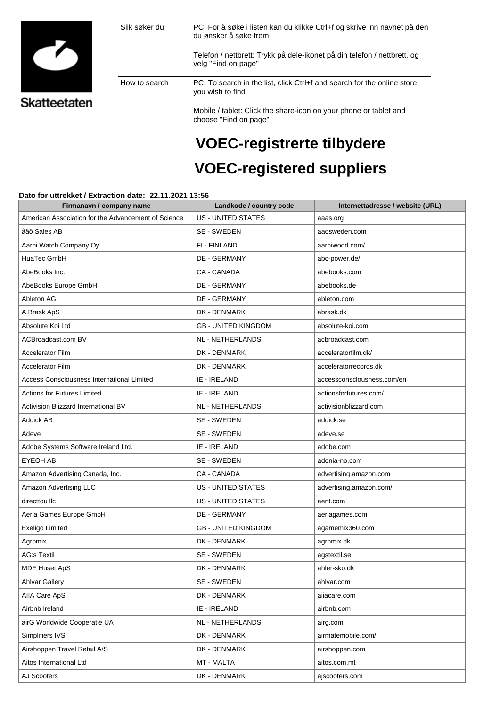

## **VOEC-registrerte tilbydere VOEC-registered suppliers**

## **Dato for uttrekket / Extraction date: 22.11.2021 13:56**

| Firmanavn / company name                            | Landkode / country code    | Internettadresse / website (URL) |
|-----------------------------------------------------|----------------------------|----------------------------------|
| American Association for the Advancement of Science | <b>US - UNITED STATES</b>  | aaas.org                         |
| åäö Sales AB                                        | SE - SWEDEN                | aaosweden.com                    |
| Aarni Watch Company Oy                              | FI - FINLAND               | aarniwood.com/                   |
| HuaTec GmbH                                         | DE - GERMANY               | abc-power.de/                    |
| AbeBooks Inc.                                       | CA - CANADA                | abebooks.com                     |
| AbeBooks Europe GmbH                                | DE - GERMANY               | abebooks.de                      |
| Ableton AG                                          | <b>DE - GERMANY</b>        | ableton.com                      |
| A.Brask ApS                                         | DK - DENMARK               | abrask.dk                        |
| Absolute Koi Ltd                                    | <b>GB - UNITED KINGDOM</b> | absolute-koi.com                 |
| ACBroadcast.com BV                                  | NL - NETHERLANDS           | acbroadcast.com                  |
| <b>Accelerator Film</b>                             | DK - DENMARK               | acceleratorfilm.dk/              |
| <b>Accelerator Film</b>                             | <b>DK - DENMARK</b>        | acceleratorrecords.dk            |
| <b>Access Consciousness International Limited</b>   | IE - IRELAND               | accessconsciousness.com/en       |
| <b>Actions for Futures Limited</b>                  | IE - IRELAND               | actionsforfutures.com/           |
| Activision Blizzard International BV                | NL - NETHERLANDS           | activisionblizzard.com           |
| <b>Addick AB</b>                                    | SE - SWEDEN                | addick.se                        |
| Adeve                                               | SE - SWEDEN                | adeve.se                         |
| Adobe Systems Software Ireland Ltd.                 | IE - IRELAND               | adobe.com                        |
| <b>EYEOH AB</b>                                     | SE - SWEDEN                | adonia-no.com                    |
| Amazon Advertising Canada, Inc.                     | CA - CANADA                | advertising.amazon.com           |
| Amazon Advertising LLC                              | <b>US - UNITED STATES</b>  | advertising.amazon.com/          |
| directtou llc                                       | <b>US - UNITED STATES</b>  | aent.com                         |
| Aeria Games Europe GmbH                             | DE - GERMANY               | aeriagames.com                   |
| Exeligo Limited                                     | <b>GB - UNITED KINGDOM</b> | agamemix360.com                  |
| Agromix                                             | DK - DENMARK               | agromix.dk                       |
| <b>AG:s Textil</b>                                  | SE - SWEDEN                | agstextil.se                     |
| <b>MDE Huset ApS</b>                                | DK - DENMARK               | ahler-sko.dk                     |
| <b>Ahlvar Gallery</b>                               | SE - SWEDEN                | ahlvar.com                       |
| AIIA Care ApS                                       | DK - DENMARK               | aiiacare.com                     |
| Airbnb Ireland                                      | IE - IRELAND               | airbnb.com                       |
| airG Worldwide Cooperatie UA                        | NL - NETHERLANDS           | airg.com                         |
| Simplifiers IVS                                     | DK - DENMARK               | airmatemobile.com/               |
| Airshoppen Travel Retail A/S                        | DK - DENMARK               | airshoppen.com                   |
| Aitos International Ltd                             | MT - MALTA                 | aitos.com.mt                     |
| AJ Scooters                                         | DK - DENMARK               | ajscooters.com                   |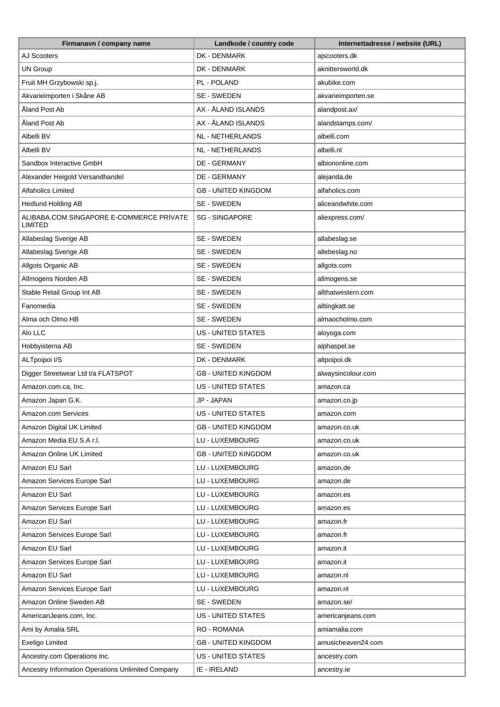| Firmanavn / company name                            | Landkode / country code    | Internettadresse / website (URL) |
|-----------------------------------------------------|----------------------------|----------------------------------|
| AJ Scooters                                         | DK - DENMARK               | ajscooters.dk                    |
| <b>UN Group</b>                                     | DK - DENMARK               | aknittersworld.dk                |
| Fruit MH Grzybowski sp.j.                           | PL - POLAND                | akubike.com                      |
| Akvarieimporten i Skåne AB                          | SE - SWEDEN                | akvarieimporten.se               |
| Åland Post Ab                                       | AX - ÅLAND ISLANDS         | alandpost.ax/                    |
| Åland Post Ab                                       | AX - ÅLAND ISLANDS         | alandstamps.com/                 |
| Albelli BV                                          | <b>NL - NETHERLANDS</b>    | albelli.com                      |
| Albelli BV                                          | NL - NETHERLANDS           | albelli.nl                       |
| Sandbox Interactive GmbH                            | DE - GERMANY               | albiononline.com                 |
| Alexander Heigold Versandhandel                     | DE - GERMANY               | alejanda.de                      |
| Alfaholics Limited                                  | <b>GB - UNITED KINGDOM</b> | alfaholics.com                   |
| <b>Hedlund Holding AB</b>                           | SE - SWEDEN                | aliceandwhite.com                |
| ALIBABA.COM SINGAPORE E-COMMERCE PRIVATE<br>LIMITED | <b>SG - SINGAPORE</b>      | aliexpress.com/                  |
| Allabeslag Sverige AB                               | SE - SWEDEN                | allabeslag.se                    |
| Allabeslag Sverige AB                               | SE - SWEDEN                | allebeslag.no                    |
| Allgots Organic AB                                  | SE - SWEDEN                | allgots.com                      |
| Allmogens Norden AB                                 | SE - SWEDEN                | allmogens.se                     |
| Stable Retail Group Int AB                          | SE - SWEDEN                | allthatwestern.com               |
| Fanomedia                                           | SE - SWEDEN                | alltingkatt.se                   |
| Alma och Olmo HB                                    | SE - SWEDEN                | almaocholmo.com                  |
| Alo LLC                                             | <b>US - UNITED STATES</b>  | aloyoga.com                      |
| Hobbyisterna AB                                     | SE - SWEDEN                | alphaspel.se                     |
| ALTpoipoi I/S                                       | DK - DENMARK               | altpoipoi.dk                     |
| Digger Streetwear Ltd t/a FLATSPOT                  | <b>GB - UNITED KINGDOM</b> | alwaysincolour.com               |
| Amazon.com.ca, Inc.                                 | <b>US - UNITED STATES</b>  | amazon.ca                        |
| Amazon Japan G.K.                                   | JP - JAPAN                 | amazon.co.jp                     |
| Amazon.com Services                                 | <b>US - UNITED STATES</b>  | amazon.com                       |
| Amazon Digital UK Limited                           | <b>GB - UNITED KINGDOM</b> | amazon.co.uk                     |
| Amazon Media EU S.A r.l.                            | LU - LUXEMBOURG            | amazon.co.uk                     |
| Amazon Online UK Limited                            | <b>GB - UNITED KINGDOM</b> | amazon.co.uk                     |
| Amazon EU Sarl                                      | LU - LUXEMBOURG            | amazon.de                        |
| Amazon Services Europe Sarl                         | LU - LUXEMBOURG            | amazon.de                        |
| Amazon EU Sarl                                      | LU - LUXEMBOURG            | amazon.es                        |
| Amazon Services Europe Sarl                         | LU - LUXEMBOURG            | amazon.es                        |
| Amazon EU Sarl                                      | LU - LUXEMBOURG            | amazon.fr                        |
| Amazon Services Europe Sarl                         | LU - LUXEMBOURG            | amazon.fr                        |
| Amazon EU Sarl                                      | LU - LUXEMBOURG            | amazon.it                        |
| Amazon Services Europe Sarl                         | LU - LUXEMBOURG            | amazon.it                        |
| Amazon EU Sarl                                      | LU - LUXEMBOURG            | amazon.nl                        |
| Amazon Services Europe Sarl                         | LU - LUXEMBOURG            | amazon.nl                        |
| Amazon Online Sweden AB                             | SE - SWEDEN                | amazon.se/                       |
| AmericanJeans.com, Inc.                             | US - UNITED STATES         | americanjeans.com                |
| Ami by Amalia SRL                                   | <b>RO - ROMANIA</b>        | amiamalia.com                    |
| Exeligo Limited                                     | <b>GB - UNITED KINGDOM</b> | amusicheaven24.com               |
| Ancestry.com Operations Inc.                        | US - UNITED STATES         | ancestry.com                     |
| Ancestry Information Operations Unlimited Company   | IE - IRELAND               | ancestry.ie                      |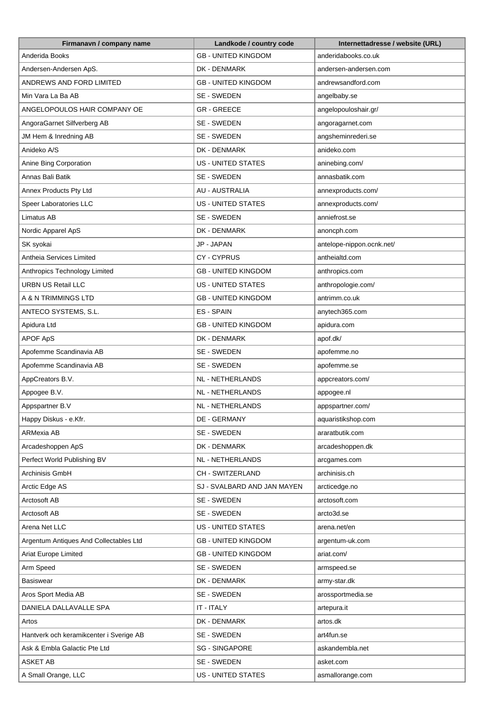| Firmanavn / company name                | Landkode / country code     | Internettadresse / website (URL) |
|-----------------------------------------|-----------------------------|----------------------------------|
| Anderida Books                          | <b>GB - UNITED KINGDOM</b>  | anderidabooks.co.uk              |
| Andersen-Andersen ApS.                  | DK - DENMARK                | andersen-andersen.com            |
| ANDREWS AND FORD LIMITED                | <b>GB - UNITED KINGDOM</b>  | andrewsandford.com               |
| Min Vara La Ba AB                       | SE - SWEDEN                 | angelbaby.se                     |
| ANGELOPOULOS HAIR COMPANY OE            | <b>GR-GREECE</b>            | angelopouloshair.gr/             |
| AngoraGarnet Silfverberg AB             | SE - SWEDEN                 | angoragarnet.com                 |
| JM Hem & Inredning AB                   | SE - SWEDEN                 | angsheminrederi.se               |
| Anideko A/S                             | DK - DENMARK                | anideko.com                      |
| Anine Bing Corporation                  | <b>US - UNITED STATES</b>   | aninebing.com/                   |
| Annas Bali Batik                        | SE - SWEDEN                 | annasbatik.com                   |
| Annex Products Pty Ltd                  | <b>AU - AUSTRALIA</b>       | annexproducts.com/               |
| Speer Laboratories LLC                  | <b>US - UNITED STATES</b>   | annexproducts.com/               |
| Limatus AB                              | SE - SWEDEN                 | anniefrost.se                    |
| Nordic Apparel ApS                      | DK - DENMARK                | anoncph.com                      |
| SK syokai                               | JP - JAPAN                  | antelope-nippon.ocnk.net/        |
| Antheia Services Limited                | CY-CYPRUS                   | antheialtd.com                   |
| Anthropics Technology Limited           | <b>GB - UNITED KINGDOM</b>  | anthropics.com                   |
| <b>URBN US Retail LLC</b>               | <b>US - UNITED STATES</b>   | anthropologie.com/               |
| A & N TRIMMINGS LTD                     | <b>GB - UNITED KINGDOM</b>  | antrimm.co.uk                    |
| ANTECO SYSTEMS, S.L.                    | ES - SPAIN                  | anytech365.com                   |
| Apidura Ltd                             | <b>GB - UNITED KINGDOM</b>  | apidura.com                      |
| APOF ApS                                | DK - DENMARK                | apof.dk/                         |
| Apofemme Scandinavia AB                 | SE - SWEDEN                 | apofemme.no                      |
| Apofemme Scandinavia AB                 | SE - SWEDEN                 | apofemme.se                      |
| AppCreators B.V.                        | NL - NETHERLANDS            | appcreators.com/                 |
| Appogee B.V.                            | <b>NL - NETHERLANDS</b>     | appogee.nl                       |
| Appspartner B.V                         | NL - NETHERLANDS            | appspartner.com/                 |
| Happy Diskus - e.Kfr.                   | DE - GERMANY                | aquaristikshop.com               |
| ARMexia AB                              | SE - SWEDEN                 | araratbutik.com                  |
| Arcadeshoppen ApS                       | DK - DENMARK                | arcadeshoppen.dk                 |
| Perfect World Publishing BV             | NL - NETHERLANDS            | arcgames.com                     |
| Archinisis GmbH                         | CH - SWITZERLAND            | archinisis.ch                    |
| Arctic Edge AS                          | SJ - SVALBARD AND JAN MAYEN | arcticedge.no                    |
| Arctosoft AB                            | SE - SWEDEN                 | arctosoft.com                    |
| Arctosoft AB                            | SE - SWEDEN                 | arcto3d.se                       |
| Arena Net LLC                           | US - UNITED STATES          | arena.net/en                     |
| Argentum Antiques And Collectables Ltd  | <b>GB - UNITED KINGDOM</b>  | argentum-uk.com                  |
| Ariat Europe Limited                    | <b>GB - UNITED KINGDOM</b>  | ariat.com/                       |
| Arm Speed                               | SE - SWEDEN                 | armspeed.se                      |
| Basiswear                               | DK - DENMARK                | army-star.dk                     |
| Aros Sport Media AB                     | SE - SWEDEN                 | arossportmedia.se                |
| DANIELA DALLAVALLE SPA                  | IT - ITALY                  | artepura.it                      |
| Artos                                   | DK - DENMARK                | artos.dk                         |
| Hantverk och keramikcenter i Sverige AB | SE - SWEDEN                 | art4fun.se                       |
| Ask & Embla Galactic Pte Ltd            | <b>SG - SINGAPORE</b>       | askandembla.net                  |
| ASKET AB                                | SE - SWEDEN                 | asket.com                        |
| A Small Orange, LLC                     | US - UNITED STATES          | asmallorange.com                 |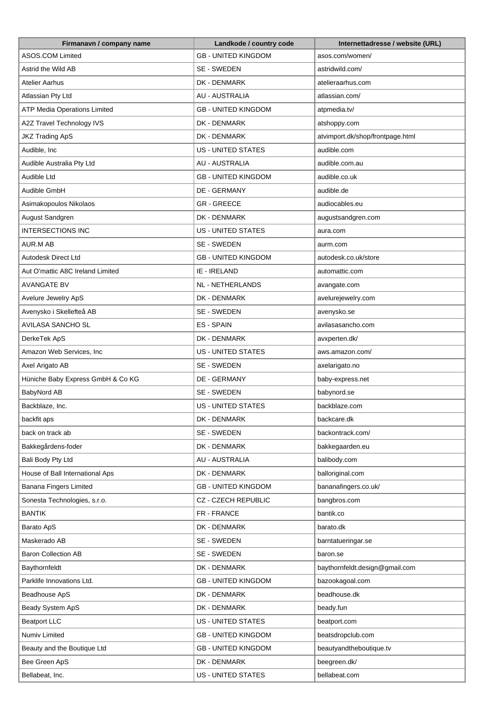| Firmanavn / company name            | Landkode / country code    | Internettadresse / website (URL) |
|-------------------------------------|----------------------------|----------------------------------|
| ASOS.COM Limited                    | <b>GB - UNITED KINGDOM</b> | asos.com/women/                  |
| Astrid the Wild AB                  | SE - SWEDEN                | astridwild.com/                  |
| Atelier Aarhus                      | DK - DENMARK               | atelieraarhus.com                |
| Atlassian Pty Ltd                   | <b>AU - AUSTRALIA</b>      | atlassian.com/                   |
| <b>ATP Media Operations Limited</b> | <b>GB - UNITED KINGDOM</b> | atpmedia.tv/                     |
| A2Z Travel Technology IVS           | DK - DENMARK               | atshoppy.com                     |
| <b>JKZ Trading ApS</b>              | DK - DENMARK               | atvimport.dk/shop/frontpage.html |
| Audible, Inc                        | <b>US - UNITED STATES</b>  | audible.com                      |
| Audible Australia Pty Ltd           | <b>AU - AUSTRALIA</b>      | audible.com.au                   |
| Audible Ltd                         | <b>GB - UNITED KINGDOM</b> | audible.co.uk                    |
| Audible GmbH                        | DE - GERMANY               | audible.de                       |
| Asimakopoulos Nikolaos              | <b>GR-GREECE</b>           | audiocables.eu                   |
| August Sandgren                     | DK - DENMARK               | augustsandgren.com               |
| <b>INTERSECTIONS INC</b>            | <b>US - UNITED STATES</b>  | aura.com                         |
| AUR.M AB                            | SE - SWEDEN                | aurm.com                         |
| Autodesk Direct Ltd                 | <b>GB - UNITED KINGDOM</b> | autodesk.co.uk/store             |
| Aut O'mattic A8C Ireland Limited    | IE - IRELAND               | automattic.com                   |
| <b>AVANGATE BV</b>                  | NL - NETHERLANDS           | avangate.com                     |
| Avelure Jewelry ApS                 | DK - DENMARK               | avelurejewelry.com               |
| Avenysko i Skellefteå AB            | SE - SWEDEN                | avenysko.se                      |
| AVILASA SANCHO SL                   | <b>ES-SPAIN</b>            | avilasasancho.com                |
| DerkeTek ApS                        | DK - DENMARK               | avxperten.dk/                    |
| Amazon Web Services, Inc            | <b>US - UNITED STATES</b>  | aws.amazon.com/                  |
| Axel Arigato AB                     | SE - SWEDEN                | axelarigato.no                   |
| Hüniche Baby Express GmbH & Co KG   | DE - GERMANY               | baby-express.net                 |
| BabyNord AB                         | SE - SWEDEN                | babynord.se                      |
| Backblaze, Inc.                     | <b>US - UNITED STATES</b>  | backblaze.com                    |
| backfit aps                         | DK - DENMARK               | backcare.dk                      |
| back on track ab                    | SE - SWEDEN                | backontrack.com/                 |
| Bakkegårdens-foder                  | DK - DENMARK               | bakkegaarden.eu                  |
| Bali Body Pty Ltd                   | AU - AUSTRALIA             | balibody.com                     |
| House of Ball International Aps     | DK - DENMARK               | balloriginal.com                 |
| Banana Fingers Limited              | <b>GB - UNITED KINGDOM</b> | bananafingers.co.uk/             |
| Sonesta Technologies, s.r.o.        | CZ - CZECH REPUBLIC        | bangbros.com                     |
| <b>BANTIK</b>                       | FR - FRANCE                | bantik.co                        |
| Barato ApS                          | DK - DENMARK               | barato.dk                        |
| Maskerado AB                        | SE - SWEDEN                | barntatueringar.se               |
| <b>Baron Collection AB</b>          | SE - SWEDEN                | baron.se                         |
| Baythornfeldt                       | DK - DENMARK               | baythornfeldt.design@gmail.com   |
| Parklife Innovations Ltd.           | <b>GB - UNITED KINGDOM</b> | bazookagoal.com                  |
| Beadhouse ApS                       | DK - DENMARK               | beadhouse.dk                     |
| Beady System ApS                    | DK - DENMARK               | beady.fun                        |
| <b>Beatport LLC</b>                 | US - UNITED STATES         | beatport.com                     |
| Numiv Limited                       | <b>GB - UNITED KINGDOM</b> | beatsdropclub.com                |
| Beauty and the Boutique Ltd         | <b>GB - UNITED KINGDOM</b> | beautyandtheboutique.tv          |
| Bee Green ApS                       | DK - DENMARK               | beegreen.dk/                     |
| Bellabeat, Inc.                     | US - UNITED STATES         | bellabeat.com                    |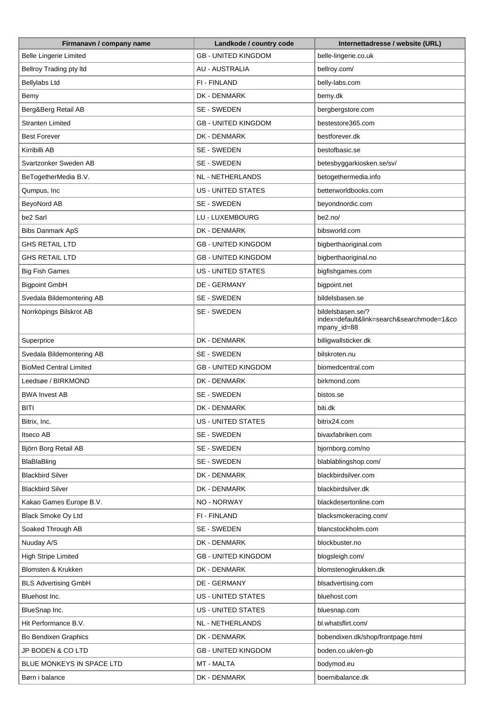| Firmanavn / company name      | Landkode / country code    | Internettadresse / website (URL)                                              |
|-------------------------------|----------------------------|-------------------------------------------------------------------------------|
| <b>Belle Lingerie Limited</b> | <b>GB - UNITED KINGDOM</b> | belle-lingerie.co.uk                                                          |
| Bellroy Trading pty Itd       | <b>AU - AUSTRALIA</b>      | bellroy.com/                                                                  |
| Bellylabs Ltd                 | FI - FINLAND               | belly-labs.com                                                                |
| Bemy                          | DK - DENMARK               | bemy.dk                                                                       |
| Berg&Berg Retail AB           | SE - SWEDEN                | bergbergstore.com                                                             |
| <b>Stranten Limited</b>       | <b>GB - UNITED KINGDOM</b> | bestestore365.com                                                             |
| <b>Best Forever</b>           | DK - DENMARK               | bestforever.dk                                                                |
| Kirribilli AB                 | SE - SWEDEN                | bestofbasic.se                                                                |
| Svartzonker Sweden AB         | SE - SWEDEN                | betesbyggarkiosken.se/sv/                                                     |
| BeTogetherMedia B.V.          | NL - NETHERLANDS           | betogethermedia.info                                                          |
| Qumpus, Inc                   | <b>US - UNITED STATES</b>  | betterworldbooks.com                                                          |
| BeyoNord AB                   | SE - SWEDEN                | beyondnordic.com                                                              |
| be2 Sarl                      | LU - LUXEMBOURG            | be2.no/                                                                       |
| <b>Bibs Danmark ApS</b>       | DK - DENMARK               | bibsworld.com                                                                 |
| <b>GHS RETAIL LTD</b>         | <b>GB - UNITED KINGDOM</b> | bigberthaoriginal.com                                                         |
| <b>GHS RETAIL LTD</b>         | <b>GB - UNITED KINGDOM</b> | bigberthaoriginal.no                                                          |
| <b>Big Fish Games</b>         | <b>US - UNITED STATES</b>  | bigfishgames.com                                                              |
| <b>Bigpoint GmbH</b>          | DE - GERMANY               | bigpoint.net                                                                  |
| Svedala Bildemontering AB     | SE - SWEDEN                | bildelsbasen.se                                                               |
| Norrköpings Bilskrot AB       | SE - SWEDEN                | bildelsbasen.se/?<br>index=default&link=search&searchmode=1&co<br>mpany_id=88 |
| Superprice                    | DK - DENMARK               | billigwallsticker.dk                                                          |
| Svedala Bildemontering AB     | SE - SWEDEN                | bilskroten.nu                                                                 |
| <b>BioMed Central Limited</b> | <b>GB - UNITED KINGDOM</b> | biomedcentral.com                                                             |
| Leedsøe / BIRKMOND            | DK - DENMARK               | birkmond.com                                                                  |
| <b>BWA Invest AB</b>          | SE - SWEDEN                | bistos.se                                                                     |
| <b>BITI</b>                   | DK - DENMARK               | biti.dk                                                                       |
| Bitrix, Inc.                  | US - UNITED STATES         | bitrix24.com                                                                  |
| Itseco AB                     | SE - SWEDEN                | bivaxfabriken.com                                                             |
| Björn Borg Retail AB          | SE - SWEDEN                | bjornborg.com/no                                                              |
| BlaBlaBling                   | SE - SWEDEN                | blablablingshop.com/                                                          |
| <b>Blackbird Silver</b>       | DK - DENMARK               | blackbirdsilver.com                                                           |
| <b>Blackbird Silver</b>       | DK - DENMARK               | blackbirdsilver.dk                                                            |
| Kakao Games Europe B.V.       | NO - NORWAY                | blackdesertonline.com                                                         |
| Black Smoke Oy Ltd            | FI - FINLAND               | blacksmokeracing.com/                                                         |
| Soaked Through AB             | SE - SWEDEN                | blancstockholm.com                                                            |
| Nuuday A/S                    | DK - DENMARK               | blockbuster.no                                                                |
| <b>High Stripe Limited</b>    | <b>GB - UNITED KINGDOM</b> | blogsleigh.com/                                                               |
| Blomsten & Krukken            | DK - DENMARK               | blomstenogkrukken.dk                                                          |
| <b>BLS Advertising GmbH</b>   | DE - GERMANY               | blsadvertising.com                                                            |
| Bluehost Inc.                 | US - UNITED STATES         | bluehost.com                                                                  |
| BlueSnap Inc.                 | <b>US - UNITED STATES</b>  | bluesnap.com                                                                  |
| Hit Performance B.V.          | NL - NETHERLANDS           | bl.whatsflirt.com/                                                            |
| Bo Bendixen Graphics          | DK - DENMARK               | bobendixen.dk/shop/frontpage.html                                             |
| JP BODEN & CO LTD             | <b>GB - UNITED KINGDOM</b> | boden.co.uk/en-gb                                                             |
| BLUE MONKEYS IN SPACE LTD     | MT - MALTA                 | bodymod.eu                                                                    |
| Børn i balance                | DK - DENMARK               | boernibalance.dk                                                              |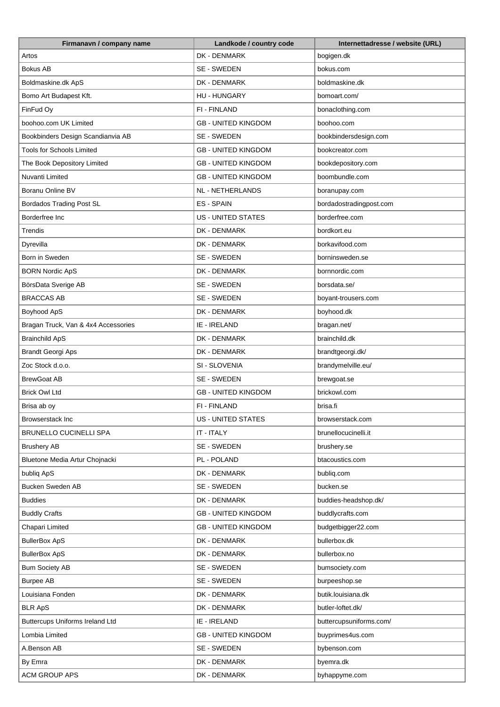| Firmanavn / company name                 | Landkode / country code    | Internettadresse / website (URL) |
|------------------------------------------|----------------------------|----------------------------------|
| Artos                                    | DK - DENMARK               | bogigen.dk                       |
| <b>Bokus AB</b>                          | SE - SWEDEN                | bokus.com                        |
| Boldmaskine.dk ApS                       | DK - DENMARK               | boldmaskine.dk                   |
| Bomo Art Budapest Kft.                   | <b>HU - HUNGARY</b>        | bomoart.com/                     |
| FinFud Oy                                | FI - FINLAND               | bonaclothing.com                 |
| boohoo.com UK Limited                    | <b>GB - UNITED KINGDOM</b> | boohoo.com                       |
| Bookbinders Design Scandianvia AB        | SE - SWEDEN                | bookbindersdesign.com            |
| <b>Tools for Schools Limited</b>         | <b>GB - UNITED KINGDOM</b> | bookcreator.com                  |
| The Book Depository Limited              | <b>GB - UNITED KINGDOM</b> | bookdepository.com               |
| Nuvanti Limited                          | <b>GB - UNITED KINGDOM</b> | boombundle.com                   |
| Boranu Online BV                         | NL - NETHERLANDS           | boranupay.com                    |
| <b>Bordados Trading Post SL</b>          | ES - SPAIN                 | bordadostradingpost.com          |
| Borderfree Inc                           | <b>US - UNITED STATES</b>  | borderfree.com                   |
| Trendis                                  | DK - DENMARK               | bordkort.eu                      |
| Dyrevilla                                | DK - DENMARK               | borkavifood.com                  |
| Born in Sweden                           | SE - SWEDEN                | borninsweden.se                  |
|                                          | DK - DENMARK               | bornnordic.com                   |
| <b>BORN Nordic ApS</b>                   | SE - SWEDEN                |                                  |
| BörsData Sverige AB<br><b>BRACCAS AB</b> |                            | borsdata.se/                     |
|                                          | SE - SWEDEN                | boyant-trousers.com              |
| Boyhood ApS                              | DK - DENMARK               | boyhood.dk                       |
| Bragan Truck, Van & 4x4 Accessories      | IE - IRELAND               | bragan.net/                      |
| <b>Brainchild ApS</b>                    | DK - DENMARK               | brainchild.dk                    |
| <b>Brandt Georgi Aps</b>                 | DK - DENMARK               | brandtgeorgi.dk/                 |
| Zoc Stock d.o.o.                         | SI - SLOVENIA              | brandymelville.eu/               |
| <b>BrewGoat AB</b>                       | SE - SWEDEN                | brewgoat.se                      |
| <b>Brick Owl Ltd</b>                     | <b>GB - UNITED KINGDOM</b> | brickowl.com                     |
| Brisa ab oy                              | FI - FINLAND               | brisa.fi                         |
| <b>Browserstack Inc</b>                  | US - UNITED STATES         | browserstack.com                 |
| <b>BRUNELLO CUCINELLI SPA</b>            | IT - ITALY                 | brunellocucinelli.it             |
| <b>Brushery AB</b>                       | SE - SWEDEN                | brushery.se                      |
| Bluetone Media Artur Chojnacki           | PL - POLAND                | btacoustics.com                  |
| bubliq ApS                               | DK - DENMARK               | bubliq.com                       |
| <b>Bucken Sweden AB</b>                  | SE - SWEDEN                | bucken.se                        |
| <b>Buddies</b>                           | DK - DENMARK               | buddies-headshop.dk/             |
| <b>Buddly Crafts</b>                     | <b>GB - UNITED KINGDOM</b> | buddlycrafts.com                 |
| Chapari Limited                          | <b>GB - UNITED KINGDOM</b> | budgetbigger22.com               |
| <b>BullerBox ApS</b>                     | DK - DENMARK               | bullerbox.dk                     |
| <b>BullerBox ApS</b>                     | DK - DENMARK               | bullerbox.no                     |
| <b>Bum Society AB</b>                    | SE - SWEDEN                | bumsociety.com                   |
| <b>Burpee AB</b>                         | SE - SWEDEN                | burpeeshop.se                    |
| Louisiana Fonden                         | DK - DENMARK               | butik.louisiana.dk               |
| <b>BLR ApS</b>                           | DK - DENMARK               | butler-loftet.dk/                |
| Buttercups Uniforms Ireland Ltd          | IE - IRELAND               | buttercupsuniforms.com/          |
| Lombia Limited                           | <b>GB - UNITED KINGDOM</b> | buyprimes4us.com                 |
| A.Benson AB                              | SE - SWEDEN                | bybenson.com                     |
| By Emra                                  | DK - DENMARK               | byemra.dk                        |
| <b>ACM GROUP APS</b>                     | DK - DENMARK               | byhappyme.com                    |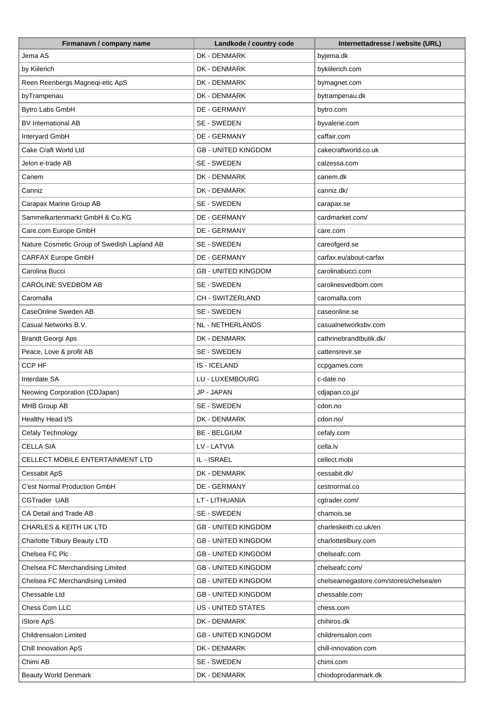| Firmanavn / company name                    | Landkode / country code    | Internettadresse / website (URL)       |
|---------------------------------------------|----------------------------|----------------------------------------|
| Jema AS                                     | DK - DENMARK               | byjema.dk                              |
| by Kiilerich                                | DK - DENMARK               | bykiilerich.com                        |
| Reen Reenbergs Magneqi-etic ApS             | DK - DENMARK               | bymagnet.com                           |
| byTrampenau                                 | DK - DENMARK               | bytrampenau.dk                         |
| Bytro Labs GmbH                             | <b>DE - GERMANY</b>        | bytro.com                              |
| <b>BV International AB</b>                  | SE - SWEDEN                | byvalerie.com                          |
| Interyard GmbH                              | DE - GERMANY               | caffair.com                            |
| Cake Craft World Ltd                        | <b>GB - UNITED KINGDOM</b> | cakecraftworld.co.uk                   |
| Jelon e-trade AB                            | SE - SWEDEN                | calzessa.com                           |
| Canem                                       | DK - DENMARK               | canem.dk                               |
| Canniz                                      | DK - DENMARK               | canniz.dk/                             |
| Carapax Marine Group AB                     | SE - SWEDEN                | carapax.se                             |
| Sammelkartenmarkt GmbH & Co.KG              | DE - GERMANY               | cardmarket.com/                        |
| Care.com Europe GmbH                        | DE - GERMANY               | care.com                               |
| Nature Cosmetic Group of Swedish Lapland AB | SE - SWEDEN                | careofgerd.se                          |
| CARFAX Europe GmbH                          | DE - GERMANY               | carfax.eu/about-carfax                 |
| Carolina Bucci                              | <b>GB - UNITED KINGDOM</b> | carolinabucci.com                      |
| CAROLINE SVEDBOM AB                         | SE - SWEDEN                | carolinesvedbom.com                    |
|                                             |                            |                                        |
| Caromalla                                   | CH - SWITZERLAND           | caromalla.com                          |
| CaseOnline Sweden AB                        | SE - SWEDEN                | caseonline.se                          |
| Casual Networks B.V.                        | NL - NETHERLANDS           | casualnetworksbv.com                   |
| <b>Brandt Georgi Aps</b>                    | DK - DENMARK               | cathrinebrandtbutik.dk/                |
| Peace, Love & profit AB                     | SE - SWEDEN                | cattensrevir.se                        |
| CCP HF                                      | <b>IS-ICELAND</b>          | ccpgames.com                           |
| Interdate SA                                | LU - LUXEMBOURG            | c-date.no                              |
| Neowing Corporation (CDJapan)               | JP - JAPAN                 | cdjapan.co.jp/                         |
| MHB Group AB                                | SE - SWEDEN                | cdon.no                                |
| Healthy Head I/S                            | DK - DENMARK               | cdon.no/                               |
| Cefaly Technology                           | <b>BE - BELGIUM</b>        | cefaly.com                             |
| <b>CELLA SIA</b>                            | LV - LATVIA                | cella.lv                               |
| CELLECT MOBILE ENTERTAINMENT LTD            | IL - ISRAEL                | cellect.mobi                           |
| Cessabit ApS                                | DK - DENMARK               | cessabit.dk/                           |
| C'est Normal Production GmbH                | DE - GERMANY               | cestnormal.co                          |
| CGTrader UAB                                | LT - LITHUANIA             | cgtrader.com/                          |
| CA Detail and Trade AB                      | SE - SWEDEN                | chamois.se                             |
| <b>CHARLES &amp; KEITH UK LTD</b>           | <b>GB - UNITED KINGDOM</b> | charleskeith.co.uk/en                  |
| Charlotte Tilbury Beauty LTD                | <b>GB - UNITED KINGDOM</b> | charlottetilbury.com                   |
| Chelsea FC Plc                              | <b>GB - UNITED KINGDOM</b> | chelseafc.com                          |
| Chelsea FC Merchandising Limited            | <b>GB - UNITED KINGDOM</b> | chelseafc.com/                         |
| Chelsea FC Merchandising Limited            | <b>GB - UNITED KINGDOM</b> | chelseamegastore.com/stores/chelsea/en |
| Chessable Ltd                               | <b>GB - UNITED KINGDOM</b> | chessable.com                          |
| Chess Com LLC                               | <b>US - UNITED STATES</b>  | chess.com                              |
| iStore ApS                                  | DK - DENMARK               | chihiros.dk                            |
| Childrensalon Limited                       | <b>GB - UNITED KINGDOM</b> | childrensalon.com                      |
| Chill Innovation ApS                        | DK - DENMARK               | chill-innovation.com                   |
| Chimi AB                                    | SE - SWEDEN                | chimi.com                              |
| <b>Beauty World Denmark</b>                 | DK - DENMARK               | chiodoprodanmark.dk                    |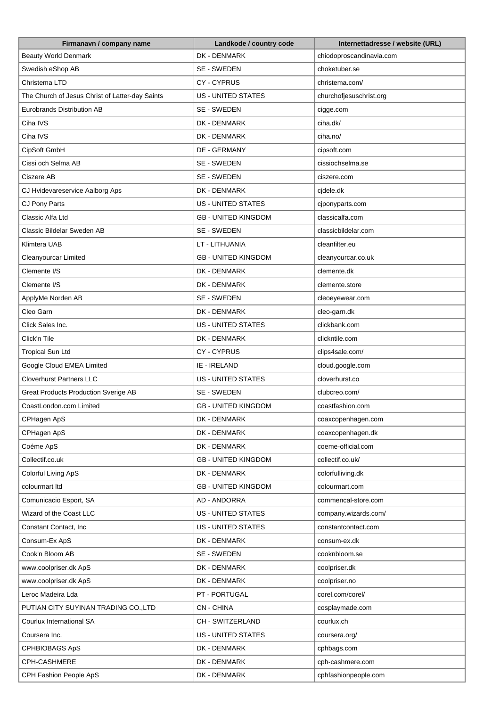| Firmanavn / company name                        | Landkode / country code    | Internettadresse / website (URL) |
|-------------------------------------------------|----------------------------|----------------------------------|
| <b>Beauty World Denmark</b>                     | DK - DENMARK               | chiodoproscandinavia.com         |
| Swedish eShop AB                                | SE - SWEDEN                | choketuber.se                    |
| Christema LTD                                   | CY-CYPRUS                  | christema.com/                   |
| The Church of Jesus Christ of Latter-day Saints | <b>US - UNITED STATES</b>  | churchofjesuschrist.org          |
| Eurobrands Distribution AB                      | SE - SWEDEN                | cigge.com                        |
| Ciha IVS                                        | DK - DENMARK               | ciha.dk/                         |
| Ciha IVS                                        | DK - DENMARK               | ciha.no/                         |
| CipSoft GmbH                                    | DE - GERMANY               | cipsoft.com                      |
| Cissi och Selma AB                              | SE - SWEDEN                | cissiochselma.se                 |
| Ciszere AB                                      | SE - SWEDEN                | ciszere.com                      |
| CJ Hvidevareservice Aalborg Aps                 | DK - DENMARK               | cjdele.dk                        |
| CJ Pony Parts                                   | <b>US - UNITED STATES</b>  | cjponyparts.com                  |
| Classic Alfa Ltd                                | <b>GB - UNITED KINGDOM</b> | classicalfa.com                  |
| Classic Bildelar Sweden AB                      | SE - SWEDEN                | classicbildelar.com              |
| Klimtera UAB                                    | LT - LITHUANIA             | cleanfilter.eu                   |
| Cleanyourcar Limited                            | <b>GB - UNITED KINGDOM</b> | cleanyourcar.co.uk               |
| Clemente I/S                                    | DK - DENMARK               | clemente.dk                      |
| Clemente I/S                                    | DK - DENMARK               | clemente.store                   |
| ApplyMe Norden AB                               | SE - SWEDEN                | cleoeyewear.com                  |
| Cleo Garn                                       | DK - DENMARK               | cleo-garn.dk                     |
| Click Sales Inc.                                | US - UNITED STATES         | clickbank.com                    |
| Click'n Tile                                    | DK - DENMARK               | clickntile.com                   |
| <b>Tropical Sun Ltd</b>                         | <b>CY-CYPRUS</b>           | clips4sale.com/                  |
| Google Cloud EMEA Limited                       | IE - IRELAND               | cloud.google.com                 |
| <b>Cloverhurst Partners LLC</b>                 | <b>US - UNITED STATES</b>  | cloverhurst.co                   |
| <b>Great Products Production Sverige AB</b>     | SE - SWEDEN                | clubcreo.com/                    |
| CoastLondon.com Limited                         | <b>GB - UNITED KINGDOM</b> | coastfashion.com                 |
| CPHagen ApS                                     | DK - DENMARK               | coaxcopenhagen.com               |
| CPHagen ApS                                     | DK - DENMARK               | coaxcopenhagen.dk                |
| Coéme ApS                                       | DK - DENMARK               | coeme-official.com               |
| Collectif.co.uk                                 | <b>GB - UNITED KINGDOM</b> | collectif.co.uk/                 |
| Colorful Living ApS                             | DK - DENMARK               | colorfulliving.dk                |
| colourmart Itd                                  | <b>GB - UNITED KINGDOM</b> | colourmart.com                   |
| Comunicacio Esport, SA                          | AD - ANDORRA               | commencal-store.com              |
| Wizard of the Coast LLC                         | <b>US - UNITED STATES</b>  | company.wizards.com/             |
| Constant Contact, Inc.                          | <b>US - UNITED STATES</b>  | constantcontact.com              |
| Consum-Ex ApS                                   | DK - DENMARK               | consum-ex.dk                     |
| Cook'n Bloom AB                                 | SE - SWEDEN                | cooknbloom.se                    |
| www.coolpriser.dk ApS                           | DK - DENMARK               | coolpriser.dk                    |
| www.coolpriser.dk ApS                           | DK - DENMARK               | coolpriser.no                    |
| Leroc Madeira Lda                               | PT - PORTUGAL              | corel.com/corel/                 |
| PUTIAN CITY SUYINAN TRADING CO.,LTD             | <b>CN-CHINA</b>            | cosplaymade.com                  |
| Courlux International SA                        | CH - SWITZERLAND           | courlux.ch                       |
| Coursera Inc.                                   | <b>US - UNITED STATES</b>  | coursera.org/                    |
| CPHBIOBAGS ApS                                  | DK - DENMARK               | cphbags.com                      |
| CPH-CASHMERE                                    | DK - DENMARK               | cph-cashmere.com                 |
| CPH Fashion People ApS                          | DK - DENMARK               | cphfashionpeople.com             |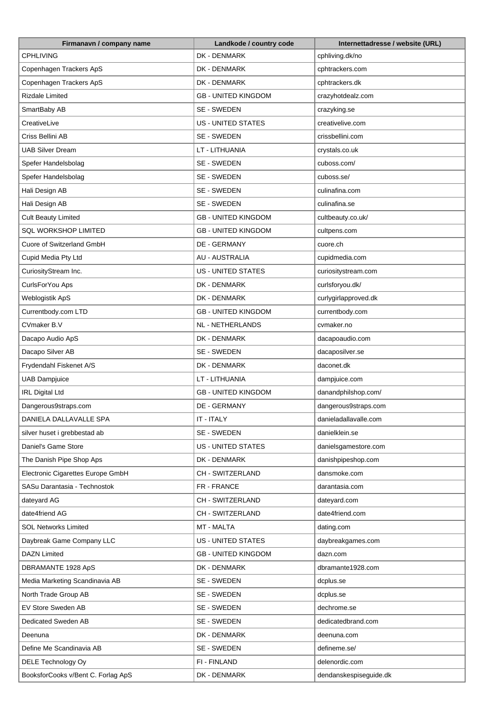| Firmanavn / company name           | Landkode / country code    | Internettadresse / website (URL) |
|------------------------------------|----------------------------|----------------------------------|
| <b>CPHLIVING</b>                   | DK - DENMARK               | cphliving.dk/no                  |
| Copenhagen Trackers ApS            | DK - DENMARK               | cphtrackers.com                  |
| Copenhagen Trackers ApS            | DK - DENMARK               | cphtrackers.dk                   |
| <b>Rizdale Limited</b>             | <b>GB - UNITED KINGDOM</b> | crazyhotdealz.com                |
| SmartBaby AB                       | SE - SWEDEN                | crazyking.se                     |
| CreativeLive                       | US - UNITED STATES         | creativelive.com                 |
| Criss Bellini AB                   | SE - SWEDEN                | crissbellini.com                 |
| UAB Silver Dream                   | LT - LITHUANIA             | crystals.co.uk                   |
| Spefer Handelsbolag                | SE - SWEDEN                | cuboss.com/                      |
| Spefer Handelsbolag                | SE - SWEDEN                | cuboss.se/                       |
| Hali Design AB                     | SE - SWEDEN                | culinafina.com                   |
| Hali Design AB                     | SE - SWEDEN                | culinafina.se                    |
| <b>Cult Beauty Limited</b>         | <b>GB - UNITED KINGDOM</b> | cultbeauty.co.uk/                |
| <b>SQL WORKSHOP LIMITED</b>        | <b>GB - UNITED KINGDOM</b> | cultpens.com                     |
| Cuore of Switzerland GmbH          | DE - GERMANY               | cuore.ch                         |
| Cupid Media Pty Ltd                | <b>AU - AUSTRALIA</b>      | cupidmedia.com                   |
| CuriosityStream Inc.               | <b>US - UNITED STATES</b>  | curiositystream.com              |
| CurlsForYou Aps                    | DK - DENMARK               | curlsforyou.dk/                  |
| Weblogistik ApS                    | DK - DENMARK               | curlygirlapproved.dk             |
| Currentbody.com LTD                | <b>GB - UNITED KINGDOM</b> | currentbody.com                  |
| CVmaker B.V                        | NL - NETHERLANDS           | cvmaker.no                       |
| Dacapo Audio ApS                   | DK - DENMARK               | dacapoaudio.com                  |
| Dacapo Silver AB                   | SE - SWEDEN                | dacaposilver.se                  |
| Frydendahl Fiskenet A/S            | DK - DENMARK               | daconet.dk                       |
| <b>UAB Dampjuice</b>               | LT - LITHUANIA             | dampjuice.com                    |
| <b>IRL Digital Ltd</b>             | <b>GB - UNITED KINGDOM</b> | danandphilshop.com/              |
| Dangerous9straps.com               | <b>DE - GERMANY</b>        | dangerous9straps.com             |
| DANIELA DALLAVALLE SPA             | IT - ITALY                 | danieladallavalle.com            |
| silver huset i grebbestad ab       | SE - SWEDEN                | danielklein.se                   |
| Daniel's Game Store                | <b>US - UNITED STATES</b>  | danielsgamestore.com             |
| The Danish Pipe Shop Aps           | DK - DENMARK               | danishpipeshop.com               |
| Electronic Cigarettes Europe GmbH  | CH - SWITZERLAND           | dansmoke.com                     |
| SASu Darantasia - Technostok       | FR - FRANCE                | darantasia.com                   |
| dateyard AG                        | CH - SWITZERLAND           | dateyard.com                     |
| date4friend AG                     | CH - SWITZERLAND           | date4friend.com                  |
| <b>SOL Networks Limited</b>        | MT - MALTA                 | dating.com                       |
| Daybreak Game Company LLC          | US - UNITED STATES         | daybreakgames.com                |
| <b>DAZN Limited</b>                | <b>GB - UNITED KINGDOM</b> | dazn.com                         |
| DBRAMANTE 1928 ApS                 | DK - DENMARK               | dbramante1928.com                |
| Media Marketing Scandinavia AB     | SE - SWEDEN                | dcplus.se                        |
| North Trade Group AB               | SE - SWEDEN                | dcplus.se                        |
| EV Store Sweden AB                 | SE - SWEDEN                | dechrome.se                      |
| Dedicated Sweden AB                | SE - SWEDEN                | dedicatedbrand.com               |
| Deenuna                            | DK - DENMARK               | deenuna.com                      |
| Define Me Scandinavia AB           | SE - SWEDEN                | defineme.se/                     |
|                                    | FI - FINLAND               | delenordic.com                   |
| DELE Technology Oy                 |                            |                                  |
| BooksforCooks v/Bent C. Forlag ApS | DK - DENMARK               | dendanskespiseguide.dk           |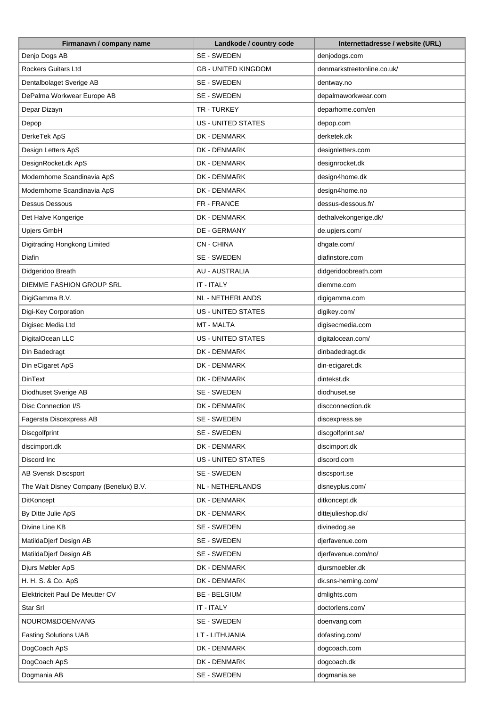| Firmanavn / company name               | Landkode / country code    | Internettadresse / website (URL) |
|----------------------------------------|----------------------------|----------------------------------|
| Denjo Dogs AB                          | SE - SWEDEN                | denjodogs.com                    |
| <b>Rockers Guitars Ltd</b>             | <b>GB - UNITED KINGDOM</b> | denmarkstreetonline.co.uk/       |
| Dentalbolaget Sverige AB               | SE - SWEDEN                | dentway.no                       |
| DePalma Workwear Europe AB             | SE - SWEDEN                | depalmaworkwear.com              |
| Depar Dizayn                           | TR - TURKEY                | deparhome.com/en                 |
| Depop                                  | US - UNITED STATES         | depop.com                        |
| DerkeTek ApS                           | DK - DENMARK               | derketek.dk                      |
| Design Letters ApS                     | DK - DENMARK               | designletters.com                |
| DesignRocket.dk ApS                    | DK - DENMARK               | designrocket.dk                  |
| Modernhome Scandinavia ApS             | DK - DENMARK               | design4home.dk                   |
| Modernhome Scandinavia ApS             | DK - DENMARK               | design4home.no                   |
| <b>Dessus Dessous</b>                  | FR - FRANCE                | dessus-dessous.fr/               |
| Det Halve Kongerige                    | DK - DENMARK               | dethalvekongerige.dk/            |
| Upjers GmbH                            | DE - GERMANY               | de.upjers.com/                   |
| Digitrading Hongkong Limited           | <b>CN-CHINA</b>            | dhgate.com/                      |
| <b>Diafin</b>                          | SE - SWEDEN                | diafinstore.com                  |
| Didgeridoo Breath                      | <b>AU - AUSTRALIA</b>      | didgeridoobreath.com             |
| DIEMME FASHION GROUP SRL               | IT - ITALY                 | diemme.com                       |
|                                        | <b>NL - NETHERLANDS</b>    |                                  |
| DigiGamma B.V.                         |                            | digigamma.com                    |
| Digi-Key Corporation                   | US - UNITED STATES         | digikey.com/                     |
| Digisec Media Ltd                      | MT - MALTA                 | digisecmedia.com                 |
| DigitalOcean LLC                       | <b>US - UNITED STATES</b>  | digitalocean.com/                |
| Din Badedragt                          | DK - DENMARK               | dinbadedragt.dk                  |
| Din eCigaret ApS                       | DK - DENMARK               | din-ecigaret.dk                  |
| <b>DinText</b>                         | DK - DENMARK               | dintekst.dk                      |
| Diodhuset Sverige AB                   | SE - SWEDEN                | diodhuset.se                     |
| Disc Connection I/S                    | DK - DENMARK               | discconnection.dk                |
| Fagersta Discexpress AB                | SE - SWEDEN                | discexpress.se                   |
| Discgolfprint                          | SE - SWEDEN                | discgolfprint.se/                |
| discimport.dk                          | DK - DENMARK               | discimport.dk                    |
| Discord Inc                            | <b>US - UNITED STATES</b>  | discord.com                      |
| <b>AB Svensk Discsport</b>             | SE - SWEDEN                | discsport.se                     |
| The Walt Disney Company (Benelux) B.V. | NL - NETHERLANDS           | disneyplus.com/                  |
| <b>DitKoncept</b>                      | DK - DENMARK               | ditkoncept.dk                    |
| By Ditte Julie ApS                     | DK - DENMARK               | dittejulieshop.dk/               |
| Divine Line KB                         | SE - SWEDEN                | divinedog.se                     |
| MatildaDjerf Design AB                 | SE - SWEDEN                | djerfavenue.com                  |
| MatildaDjerf Design AB                 | SE - SWEDEN                | djerfavenue.com/no/              |
| Djurs Møbler ApS                       | DK - DENMARK               | djursmoebler.dk                  |
| H. H. S. & Co. ApS                     | DK - DENMARK               | dk.sns-herning.com/              |
| Elektriciteit Paul De Meutter CV       | <b>BE - BELGIUM</b>        | dmlights.com                     |
| Star Srl                               | IT - ITALY                 | doctorlens.com/                  |
| NOUROM&DOENVANG                        | SE - SWEDEN                | doenvang.com                     |
| <b>Fasting Solutions UAB</b>           | LT - LITHUANIA             | dofasting.com/                   |
| DogCoach ApS                           | DK - DENMARK               | dogcoach.com                     |
| DogCoach ApS                           | DK - DENMARK               | dogcoach.dk                      |
| Dogmania AB                            | SE - SWEDEN                | dogmania.se                      |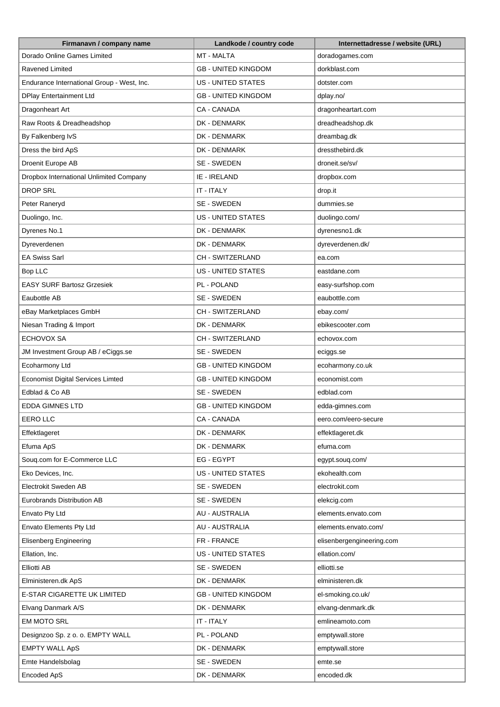| Firmanavn / company name                   | Landkode / country code    | Internettadresse / website (URL) |
|--------------------------------------------|----------------------------|----------------------------------|
| Dorado Online Games Limited                | <b>MT - MALTA</b>          | doradogames.com                  |
| Ravened Limited                            | <b>GB - UNITED KINGDOM</b> | dorkblast.com                    |
| Endurance International Group - West, Inc. | US - UNITED STATES         | dotster.com                      |
| <b>DPlay Entertainment Ltd</b>             | <b>GB - UNITED KINGDOM</b> | dplay.no/                        |
| Dragonheart Art                            | CA - CANADA                | dragonheartart.com               |
| Raw Roots & Dreadheadshop                  | DK - DENMARK               | dreadheadshop.dk                 |
| By Falkenberg IvS                          | DK - DENMARK               | dreambag.dk                      |
| Dress the bird ApS                         | DK - DENMARK               | dressthebird.dk                  |
| Droenit Europe AB                          | SE - SWEDEN                | droneit.se/sv/                   |
| Dropbox International Unlimited Company    | IE - IRELAND               | dropbox.com                      |
| <b>DROP SRL</b>                            | IT - ITALY                 | drop.it                          |
| Peter Raneryd                              | SE - SWEDEN                | dummies.se                       |
| Duolingo, Inc.                             | <b>US - UNITED STATES</b>  | duolingo.com/                    |
| Dyrenes No.1                               | DK - DENMARK               | dyrenesno1.dk                    |
| Dyreverdenen                               | DK - DENMARK               | dyreverdenen.dk/                 |
| <b>EA Swiss Sarl</b>                       | CH - SWITZERLAND           |                                  |
|                                            |                            | ea.com                           |
| Bop LLC                                    | <b>US - UNITED STATES</b>  | eastdane.com                     |
| <b>EASY SURF Bartosz Grzesiek</b>          | PL - POLAND                | easy-surfshop.com                |
| Eaubottle AB                               | SE - SWEDEN                | eaubottle.com                    |
| eBay Marketplaces GmbH                     | CH - SWITZERLAND           | ebay.com/                        |
| Niesan Trading & Import                    | DK - DENMARK               | ebikescooter.com                 |
| <b>ECHOVOX SA</b>                          | CH - SWITZERLAND           | echovox.com                      |
| JM Investment Group AB / eCiggs.se         | SE - SWEDEN                | eciggs.se                        |
| Ecoharmony Ltd                             | <b>GB - UNITED KINGDOM</b> | ecoharmony.co.uk                 |
| <b>Economist Digital Services Limted</b>   | <b>GB - UNITED KINGDOM</b> | economist.com                    |
| Edblad & Co AB                             | SE - SWEDEN                | edblad.com                       |
| EDDA GIMNES LTD                            | <b>GB - UNITED KINGDOM</b> | edda-gimnes.com                  |
| <b>EERO LLC</b>                            | CA - CANADA                | eero.com/eero-secure             |
| Effektlageret                              | DK - DENMARK               | effektlageret.dk                 |
| Efuma ApS                                  | DK - DENMARK               | efuma.com                        |
| Souq.com for E-Commerce LLC                | EG - EGYPT                 | egypt.souq.com/                  |
| Eko Devices, Inc.                          | <b>US - UNITED STATES</b>  | ekohealth.com                    |
| Electrokit Sweden AB                       | SE - SWEDEN                | electrokit.com                   |
| Eurobrands Distribution AB                 | SE - SWEDEN                | elekcig.com                      |
| Envato Pty Ltd                             | <b>AU - AUSTRALIA</b>      | elements.envato.com              |
| Envato Elements Pty Ltd                    | AU - AUSTRALIA             | elements.envato.com/             |
| <b>Elisenberg Engineering</b>              | FR - FRANCE                | elisenbergengineering.com        |
| Ellation, Inc.                             | <b>US - UNITED STATES</b>  | ellation.com/                    |
| Elliotti AB                                | SE - SWEDEN                | elliotti.se                      |
| Elministeren.dk ApS                        | DK - DENMARK               | elministeren.dk                  |
| E-STAR CIGARETTE UK LIMITED                | <b>GB - UNITED KINGDOM</b> | el-smoking.co.uk/                |
| Elvang Danmark A/S                         | DK - DENMARK               | elvang-denmark.dk                |
| <b>EM MOTO SRL</b>                         | IT - ITALY                 | emlineamoto.com                  |
| Designzoo Sp. z o. o. EMPTY WALL           | PL - POLAND                | emptywall.store                  |
| <b>EMPTY WALL ApS</b>                      | DK - DENMARK               | emptywall.store                  |
| Emte Handelsbolag                          | SE - SWEDEN                | emte.se                          |
| Encoded ApS                                | DK - DENMARK               | encoded.dk                       |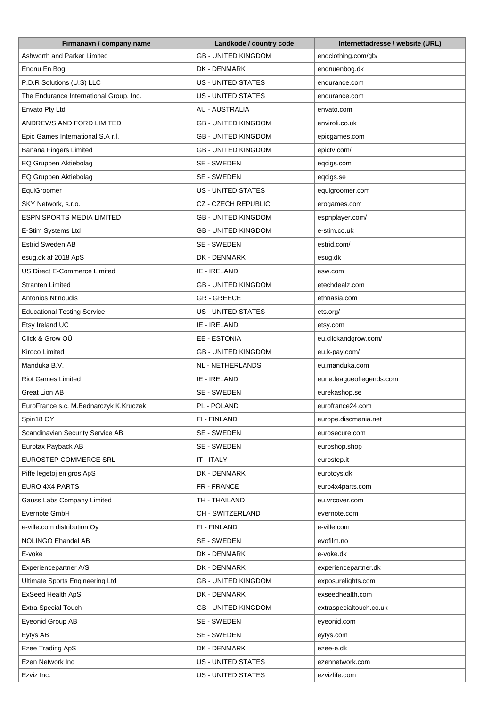| Firmanavn / company name                | Landkode / country code    | Internettadresse / website (URL) |
|-----------------------------------------|----------------------------|----------------------------------|
| Ashworth and Parker Limited             | <b>GB - UNITED KINGDOM</b> | endclothing.com/gb/              |
| Endnu En Bog                            | DK - DENMARK               | endnuenbog.dk                    |
| P.D.R Solutions (U.S) LLC               | <b>US - UNITED STATES</b>  | endurance.com                    |
| The Endurance International Group, Inc. | <b>US - UNITED STATES</b>  | endurance.com                    |
| Envato Pty Ltd                          | <b>AU - AUSTRALIA</b>      | envato.com                       |
| ANDREWS AND FORD LIMITED                | <b>GB - UNITED KINGDOM</b> | enviroli.co.uk                   |
| Epic Games International S.A r.l.       | <b>GB - UNITED KINGDOM</b> | epicgames.com                    |
| Banana Fingers Limited                  | <b>GB - UNITED KINGDOM</b> | epictv.com/                      |
| EQ Gruppen Aktiebolag                   | SE - SWEDEN                | eqcigs.com                       |
| EQ Gruppen Aktiebolag                   | SE - SWEDEN                | eqcigs.se                        |
| EquiGroomer                             | <b>US - UNITED STATES</b>  | equigroomer.com                  |
| SKY Network, s.r.o.                     | <b>CZ - CZECH REPUBLIC</b> | erogames.com                     |
| <b>ESPN SPORTS MEDIA LIMITED</b>        | <b>GB - UNITED KINGDOM</b> | espnplayer.com/                  |
| E-Stim Systems Ltd                      | <b>GB - UNITED KINGDOM</b> | e-stim.co.uk                     |
| <b>Estrid Sweden AB</b>                 | SE - SWEDEN                | estrid.com/                      |
| esug.dk af 2018 ApS                     | DK - DENMARK               | esug.dk                          |
| US Direct E-Commerce Limited            | IE - IRELAND               | esw.com                          |
| Stranten Limited                        | <b>GB - UNITED KINGDOM</b> | etechdealz.com                   |
| Antonios Ntinoudis                      | <b>GR-GREECE</b>           | ethnasia.com                     |
| <b>Educational Testing Service</b>      | <b>US - UNITED STATES</b>  | ets.org/                         |
| Etsy Ireland UC                         | IE - IRELAND               | etsy.com                         |
| Click & Grow OÜ                         | EE - ESTONIA               | eu.clickandgrow.com/             |
| Kiroco Limited                          | <b>GB - UNITED KINGDOM</b> | eu.k-pay.com/                    |
| Manduka B.V.                            | <b>NL - NETHERLANDS</b>    | eu.manduka.com                   |
| <b>Riot Games Limited</b>               | IE - IRELAND               | eune.leagueoflegends.com         |
| Great Lion AB                           | SE - SWEDEN                | eurekashop.se                    |
| EuroFrance s.c. M.Bednarczyk K.Kruczek  | PL - POLAND                | eurofrance24.com                 |
| Spin18 OY                               | FI - FINLAND               | europe.discmania.net             |
| Scandinavian Security Service AB        | SE - SWEDEN                | eurosecure.com                   |
| Eurotax Payback AB                      | SE - SWEDEN                | euroshop.shop                    |
| EUROSTEP COMMERCE SRL                   | IT - ITALY                 | eurostep.it                      |
| Piffe legetoj en gros ApS               | DK - DENMARK               | eurotoys.dk                      |
| EURO 4X4 PARTS                          | FR - FRANCE                | euro4x4parts.com                 |
| Gauss Labs Company Limited              | TH - THAILAND              | eu.vrcover.com                   |
| Evernote GmbH                           | CH - SWITZERLAND           | evernote.com                     |
| e-ville.com distribution Oy             | FI - FINLAND               | e-ville.com                      |
| NOLINGO Ehandel AB                      | SE - SWEDEN                | evofilm.no                       |
| E-voke                                  | DK - DENMARK               | e-voke.dk                        |
| Experiencepartner A/S                   | DK - DENMARK               | experiencepartner.dk             |
| Ultimate Sports Engineering Ltd         | <b>GB - UNITED KINGDOM</b> | exposurelights.com               |
| ExSeed Health ApS                       | DK - DENMARK               | exseedhealth.com                 |
| Extra Special Touch                     | <b>GB - UNITED KINGDOM</b> | extraspecialtouch.co.uk          |
| Eyeonid Group AB                        | SE - SWEDEN                | eyeonid.com                      |
| Eytys AB                                | SE - SWEDEN                | eytys.com                        |
| Ezee Trading ApS                        | DK - DENMARK               | ezee-e.dk                        |
| Ezen Network Inc                        | <b>US - UNITED STATES</b>  | ezennetwork.com                  |
| Ezviz Inc.                              | US - UNITED STATES         | ezvizlife.com                    |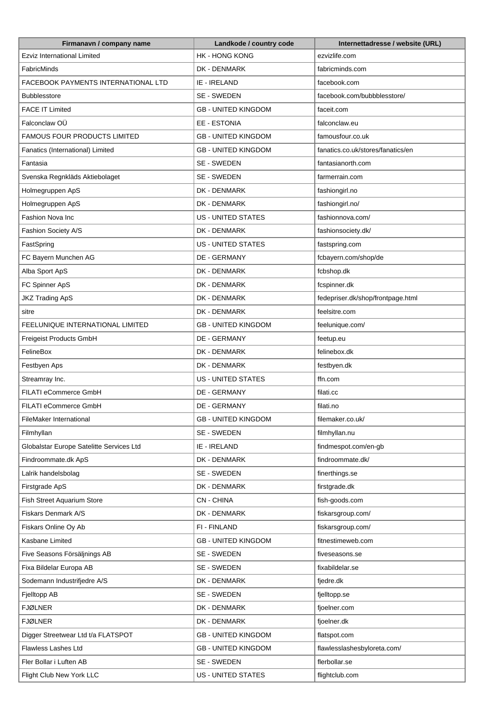| Firmanavn / company name                 | Landkode / country code    | Internettadresse / website (URL)  |
|------------------------------------------|----------------------------|-----------------------------------|
| <b>Ezviz International Limited</b>       | <b>HK - HONG KONG</b>      | ezvizlife.com                     |
| FabricMinds                              | DK - DENMARK               | fabricminds.com                   |
| FACEBOOK PAYMENTS INTERNATIONAL LTD      | IE - IRELAND               | facebook.com                      |
| <b>Bubblesstore</b>                      | SE - SWEDEN                | facebook.com/bubbblesstore/       |
| <b>FACE IT Limited</b>                   | <b>GB - UNITED KINGDOM</b> | faceit.com                        |
| Falconclaw OÜ                            | EE - ESTONIA               | falconclaw.eu                     |
| <b>FAMOUS FOUR PRODUCTS LIMITED</b>      | <b>GB - UNITED KINGDOM</b> | famousfour.co.uk                  |
| Fanatics (International) Limited         | <b>GB - UNITED KINGDOM</b> | fanatics.co.uk/stores/fanatics/en |
| Fantasia                                 | SE - SWEDEN                | fantasianorth.com                 |
| Svenska Regnkläds Aktiebolaget           | SE - SWEDEN                | farmerrain.com                    |
| Holmegruppen ApS                         | DK - DENMARK               | fashiongirl.no                    |
| Holmegruppen ApS                         | DK - DENMARK               | fashiongirl.no/                   |
| Fashion Nova Inc                         | <b>US - UNITED STATES</b>  | fashionnova.com/                  |
| Fashion Society A/S                      | DK - DENMARK               | fashionsociety.dk/                |
| FastSpring                               | US - UNITED STATES         | fastspring.com                    |
| FC Bayern Munchen AG                     | DE - GERMANY               | fcbayern.com/shop/de              |
|                                          |                            |                                   |
| Alba Sport ApS                           | DK - DENMARK               | fcbshop.dk                        |
| FC Spinner ApS                           | DK - DENMARK               | fcspinner.dk                      |
| <b>JKZ Trading ApS</b>                   | DK - DENMARK               | fedepriser.dk/shop/frontpage.html |
| sitre                                    | DK - DENMARK               | feelsitre.com                     |
| FEELUNIQUE INTERNATIONAL LIMITED         | <b>GB - UNITED KINGDOM</b> | feelunique.com/                   |
| Freigeist Products GmbH                  | DE - GERMANY               | feetup.eu                         |
| FelineBox                                | DK - DENMARK               | felinebox.dk                      |
| Festbyen Aps                             | DK - DENMARK               | festbyen.dk                       |
| Streamray Inc.                           | <b>US - UNITED STATES</b>  | ffn.com                           |
| FILATI eCommerce GmbH                    | DE - GERMANY               | filati.cc                         |
| FILATI eCommerce GmbH                    | DE - GERMANY               | filati.no                         |
| FileMaker International                  | <b>GB - UNITED KINGDOM</b> | filemaker.co.uk/                  |
| Filmhyllan                               | SE - SWEDEN                | filmhyllan.nu                     |
| Globalstar Europe Satelitte Services Ltd | IE - IRELAND               | findmespot.com/en-qb              |
| Findroommate.dk ApS                      | DK - DENMARK               | findroommate.dk/                  |
| Lalrik handelsbolag                      | SE - SWEDEN                | finerthings.se                    |
| Firstgrade ApS                           | DK - DENMARK               | firstgrade.dk                     |
| Fish Street Aquarium Store               | <b>CN-CHINA</b>            | fish-goods.com                    |
| Fiskars Denmark A/S                      | DK - DENMARK               | fiskarsgroup.com/                 |
| Fiskars Online Oy Ab                     | FI - FINLAND               | fiskarsgroup.com/                 |
| Kasbane Limited                          | <b>GB - UNITED KINGDOM</b> | fitnestimeweb.com                 |
| Five Seasons Försäljnings AB             | SE - SWEDEN                | fiveseasons.se                    |
| Fixa Bildelar Europa AB                  | SE - SWEDEN                | fixabildelar.se                   |
| Sodemann Industrifjedre A/S              | DK - DENMARK               | fjedre.dk                         |
| Fjelltopp AB                             | SE - SWEDEN                | fjelltopp.se                      |
| FJØLNER                                  | DK - DENMARK               | fjoelner.com                      |
| FJØLNER                                  | DK - DENMARK               | fjoelner.dk                       |
| Digger Streetwear Ltd t/a FLATSPOT       | <b>GB - UNITED KINGDOM</b> | flatspot.com                      |
| Flawless Lashes Ltd                      | <b>GB - UNITED KINGDOM</b> | flawlesslashesbyloreta.com/       |
| Fler Bollar i Luften AB                  | SE - SWEDEN                | flerbollar.se                     |
| Flight Club New York LLC                 | US - UNITED STATES         | flightclub.com                    |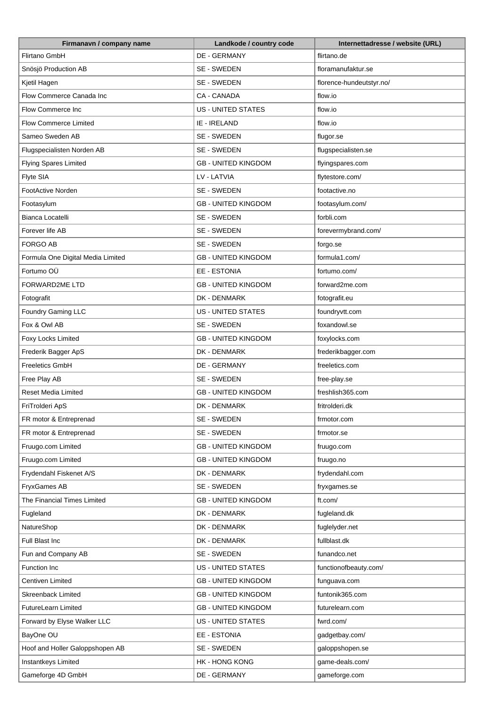| Firmanavn / company name          | Landkode / country code    | Internettadresse / website (URL) |
|-----------------------------------|----------------------------|----------------------------------|
| Flirtano GmbH                     | <b>DE - GERMANY</b>        | flirtano.de                      |
| Snösjö Production AB              | SE - SWEDEN                | floramanufaktur.se               |
| Kjetil Hagen                      | SE - SWEDEN                | florence-hundeutstyr.no/         |
| Flow Commerce Canada Inc          | CA - CANADA                | flow.io                          |
| <b>Flow Commerce Inc</b>          | <b>US - UNITED STATES</b>  | flow.io                          |
| <b>Flow Commerce Limited</b>      | IE - IRELAND               | flow.io                          |
| Sameo Sweden AB                   | SE - SWEDEN                | flugor.se                        |
| Flugspecialisten Norden AB        | SE - SWEDEN                | flugspecialisten.se              |
| <b>Flying Spares Limited</b>      | <b>GB - UNITED KINGDOM</b> | flyingspares.com                 |
| Flyte SIA                         | LV - LATVIA                | flytestore.com/                  |
| FootActive Norden                 | SE - SWEDEN                | footactive.no                    |
| Footasylum                        | <b>GB - UNITED KINGDOM</b> | footasylum.com/                  |
| Bianca Locatelli                  | SE - SWEDEN                | forbli.com                       |
| Forever life AB                   | SE - SWEDEN                | forevermybrand.com/              |
| FORGO AB                          | SE - SWEDEN                | forgo.se                         |
| Formula One Digital Media Limited | <b>GB - UNITED KINGDOM</b> | formula1.com/                    |
| Fortumo OÜ                        | EE - ESTONIA               | fortumo.com/                     |
| <b>FORWARD2ME LTD</b>             | <b>GB - UNITED KINGDOM</b> | forward2me.com                   |
| Fotografit                        | DK - DENMARK               | fotografit.eu                    |
| Foundry Gaming LLC                | <b>US - UNITED STATES</b>  | foundryvtt.com                   |
| Fox & Owl AB                      | SE - SWEDEN                | foxandowl.se                     |
| Foxy Locks Limited                | <b>GB - UNITED KINGDOM</b> | foxylocks.com                    |
| Frederik Bagger ApS               | DK - DENMARK               | frederikbagger.com               |
| <b>Freeletics GmbH</b>            | <b>DE - GERMANY</b>        | freeletics.com                   |
| Free Play AB                      | SE - SWEDEN                | free-play.se                     |
| <b>Reset Media Limited</b>        | <b>GB - UNITED KINGDOM</b> | freshlish365.com                 |
| FriTrolderi ApS                   | DK - DENMARK               | fritrolderi.dk                   |
| FR motor & Entreprenad            | SE - SWEDEN                | frmotor.com                      |
| FR motor & Entreprenad            | SE - SWEDEN                | frmotor.se                       |
| Fruugo.com Limited                | <b>GB - UNITED KINGDOM</b> | fruugo.com                       |
| Fruugo.com Limited                | <b>GB - UNITED KINGDOM</b> | fruugo.no                        |
| Frydendahl Fiskenet A/S           | DK - DENMARK               | frydendahl.com                   |
| FryxGames AB                      | SE - SWEDEN                | fryxgames.se                     |
| The Financial Times Limited       | <b>GB - UNITED KINGDOM</b> | ft.com/                          |
| Fugleland                         | DK - DENMARK               | fugleland.dk                     |
| NatureShop                        | DK - DENMARK               | fuglelyder.net                   |
| Full Blast Inc                    | DK - DENMARK               | fullblast.dk                     |
| Fun and Company AB                | SE - SWEDEN                | funandco.net                     |
| Function Inc                      | US - UNITED STATES         | functionofbeauty.com/            |
| Centiven Limited                  | <b>GB - UNITED KINGDOM</b> | funguava.com                     |
| Skreenback Limited                | <b>GB - UNITED KINGDOM</b> | funtonik365.com                  |
| FutureLearn Limited               | <b>GB - UNITED KINGDOM</b> | futurelearn.com                  |
| Forward by Elyse Walker LLC       | US - UNITED STATES         | fwrd.com/                        |
| BayOne OU                         | EE - ESTONIA               | gadgetbay.com/                   |
| Hoof and Holler Galoppshopen AB   | SE - SWEDEN                | galoppshopen.se                  |
| Instantkeys Limited               | HK - HONG KONG             | game-deals.com/                  |
| Gameforge 4D GmbH                 | DE - GERMANY               | gameforge.com                    |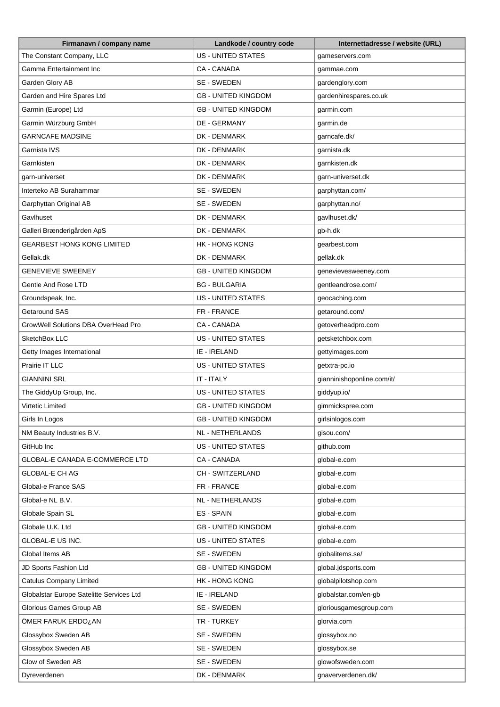| Firmanavn / company name                 | Landkode / country code    | Internettadresse / website (URL) |
|------------------------------------------|----------------------------|----------------------------------|
| The Constant Company, LLC                | <b>US - UNITED STATES</b>  | gameservers.com                  |
| Gamma Entertainment Inc                  | CA - CANADA                | gammae.com                       |
| Garden Glory AB                          | SE - SWEDEN                | gardenglory.com                  |
| Garden and Hire Spares Ltd               | <b>GB - UNITED KINGDOM</b> | gardenhirespares.co.uk           |
| Garmin (Europe) Ltd                      | <b>GB - UNITED KINGDOM</b> | garmin.com                       |
| Garmin Würzburg GmbH                     | <b>DE - GERMANY</b>        | garmin.de                        |
| <b>GARNCAFE MADSINE</b>                  | DK - DENMARK               | garncafe.dk/                     |
| Garnista IVS                             | DK - DENMARK               | garnista.dk                      |
| Garnkisten                               | DK - DENMARK               | garnkisten.dk                    |
| garn-universet                           | DK - DENMARK               | garn-universet.dk                |
| Interteko AB Surahammar                  | SE - SWEDEN                | garphyttan.com/                  |
| Garphyttan Original AB                   | SE - SWEDEN                | garphyttan.no/                   |
| Gavlhuset                                | DK - DENMARK               | gavlhuset.dk/                    |
| Galleri Brænderigården ApS               | DK - DENMARK               | gb-h.dk                          |
| <b>GEARBEST HONG KONG LIMITED</b>        | <b>HK - HONG KONG</b>      | gearbest.com                     |
| Gellak.dk                                | DK - DENMARK               | gellak.dk                        |
| <b>GENEVIEVE SWEENEY</b>                 | <b>GB - UNITED KINGDOM</b> | genevievesweeney.com             |
| Gentle And Rose LTD                      | <b>BG - BULGARIA</b>       | gentleandrose.com/               |
|                                          | <b>US - UNITED STATES</b>  |                                  |
| Groundspeak, Inc.<br>Getaround SAS       |                            | geocaching.com                   |
|                                          | FR - FRANCE                | getaround.com/                   |
| GrowWell Solutions DBA OverHead Pro      | CA - CANADA                | getoverheadpro.com               |
| SketchBox LLC                            | <b>US - UNITED STATES</b>  | getsketchbox.com                 |
| Getty Images International               | IE - IRELAND               | gettyimages.com                  |
| Prairie IT LLC                           | US - UNITED STATES         | getxtra-pc.io                    |
| <b>GIANNINI SRL</b>                      | IT - ITALY                 | gianninishoponline.com/it/       |
| The GiddyUp Group, Inc.                  | <b>US - UNITED STATES</b>  | giddyup.io/                      |
| <b>Virtetic Limited</b>                  | <b>GB - UNITED KINGDOM</b> | gimmickspree.com                 |
| Girls In Logos                           | <b>GB - UNITED KINGDOM</b> | girlsinlogos.com                 |
| NM Beauty Industries B.V.                | NL - NETHERLANDS           | gisou.com/                       |
| GitHub Inc                               | <b>US - UNITED STATES</b>  | github.com                       |
| GLOBAL-E CANADA E-COMMERCE LTD           | CA - CANADA                | global-e.com                     |
| <b>GLOBAL-E CH AG</b>                    | CH - SWITZERLAND           | global-e.com                     |
| Global-e France SAS                      | FR - FRANCE                | global-e.com                     |
| Global-e NL B.V.                         | NL - NETHERLANDS           | global-e.com                     |
| Globale Spain SL                         | ES - SPAIN                 | global-e.com                     |
| Globale U.K. Ltd                         | <b>GB - UNITED KINGDOM</b> | global-e.com                     |
| GLOBAL-E US INC.                         | US - UNITED STATES         | global-e.com                     |
| Global Items AB                          | SE - SWEDEN                | globalitems.se/                  |
| JD Sports Fashion Ltd                    | <b>GB - UNITED KINGDOM</b> | global.jdsports.com              |
| <b>Catulus Company Limited</b>           | HK - HONG KONG             | globalpilotshop.com              |
| Globalstar Europe Satelitte Services Ltd | IE - IRELAND               | globalstar.com/en-gb             |
| Glorious Games Group AB                  | SE - SWEDEN                | gloriousgamesgroup.com           |
| ÖMER FARUK ERDO¿AN                       | TR - TURKEY                | glorvia.com                      |
| Glossybox Sweden AB                      | SE - SWEDEN                | glossybox.no                     |
| Glossybox Sweden AB                      | SE - SWEDEN                | glossybox.se                     |
| Glow of Sweden AB                        | SE - SWEDEN                | glowofsweden.com                 |
| Dyreverdenen                             | DK - DENMARK               | gnaververdenen.dk/               |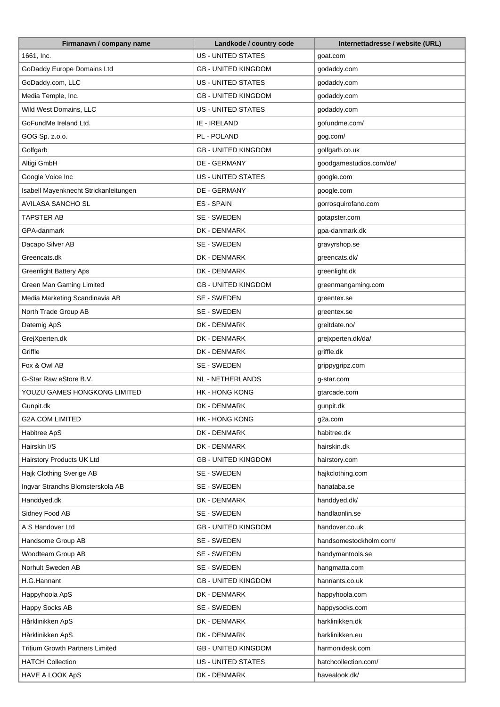| Firmanavn / company name               | Landkode / country code    | Internettadresse / website (URL) |
|----------------------------------------|----------------------------|----------------------------------|
| 1661, Inc.                             | <b>US - UNITED STATES</b>  | goat.com                         |
| GoDaddy Europe Domains Ltd             | <b>GB - UNITED KINGDOM</b> | godaddy.com                      |
| GoDaddy.com, LLC                       | US - UNITED STATES         | godaddy.com                      |
| Media Temple, Inc.                     | <b>GB - UNITED KINGDOM</b> | godaddy.com                      |
| Wild West Domains, LLC                 | <b>US - UNITED STATES</b>  | godaddy.com                      |
| GoFundMe Ireland Ltd.                  | IE - IRELAND               | gofundme.com/                    |
| GOG Sp. z.o.o.                         | PL - POLAND                | gog.com/                         |
| Golfgarb                               | <b>GB - UNITED KINGDOM</b> | golfgarb.co.uk                   |
| Altigi GmbH                            | DE - GERMANY               | goodgamestudios.com/de/          |
| Google Voice Inc                       | <b>US - UNITED STATES</b>  | google.com                       |
| Isabell Mayenknecht Strickanleitungen  | DE - GERMANY               | google.com                       |
| <b>AVILASA SANCHO SL</b>               | <b>ES-SPAIN</b>            | gorrosquirofano.com              |
| <b>TAPSTER AB</b>                      | SE - SWEDEN                | gotapster.com                    |
| GPA-danmark                            | DK - DENMARK               | gpa-danmark.dk                   |
| Dacapo Silver AB                       | SE - SWEDEN                | gravyrshop.se                    |
| Greencats.dk                           | DK - DENMARK               | greencats.dk/                    |
| <b>Greenlight Battery Aps</b>          | DK - DENMARK               | greenlight.dk                    |
| Green Man Gaming Limited               | <b>GB - UNITED KINGDOM</b> | greenmangaming.com               |
| Media Marketing Scandinavia AB         | SE - SWEDEN                | greentex.se                      |
| North Trade Group AB                   | SE - SWEDEN                | greentex.se                      |
| Datemig ApS                            | DK - DENMARK               | greitdate.no/                    |
| GrejXperten.dk                         | DK - DENMARK               | grejxperten.dk/da/               |
| Griffle                                | DK - DENMARK               | griffle.dk                       |
| Fox & Owl AB                           | SE - SWEDEN                | grippygripz.com                  |
| G-Star Raw eStore B.V.                 | <b>NL - NETHERLANDS</b>    | g-star.com                       |
| YOUZU GAMES HONGKONG LIMITED           | <b>HK - HONG KONG</b>      | gtarcade.com                     |
| Gunpit.dk                              | DK - DENMARK               | gunpit.dk                        |
| <b>G2A.COM LIMITED</b>                 | <b>HK - HONG KONG</b>      | g2a.com                          |
| Habitree ApS                           | DK - DENMARK               | habitree.dk                      |
| Hairskin I/S                           | DK - DENMARK               | hairskin.dk                      |
| Hairstory Products UK Ltd              | <b>GB - UNITED KINGDOM</b> | hairstory.com                    |
| Hajk Clothing Sverige AB               | SE - SWEDEN                | hajkclothing.com                 |
| Ingvar Strandhs Blomsterskola AB       | SE - SWEDEN                | hanataba.se                      |
| Handdyed.dk                            | DK - DENMARK               | handdyed.dk/                     |
| Sidney Food AB                         | SE - SWEDEN                | handlaonlin.se                   |
| A S Handover Ltd                       | <b>GB - UNITED KINGDOM</b> | handover.co.uk                   |
| Handsome Group AB                      | SE - SWEDEN                | handsomestockholm.com/           |
| Woodteam Group AB                      | SE - SWEDEN                | handymantools.se                 |
| Norhult Sweden AB                      | SE - SWEDEN                | hangmatta.com                    |
| H.G.Hannant                            | <b>GB - UNITED KINGDOM</b> | hannants.co.uk                   |
| Happyhoola ApS                         | DK - DENMARK               | happyhoola.com                   |
| Happy Socks AB                         | SE - SWEDEN                | happysocks.com                   |
| Hårklinikken ApS                       | DK - DENMARK               | harklinikken.dk                  |
| Hårklinikken ApS                       | DK - DENMARK               | harklinikken.eu                  |
| <b>Tritium Growth Partners Limited</b> | <b>GB - UNITED KINGDOM</b> | harmonidesk.com                  |
| <b>HATCH Collection</b>                | US - UNITED STATES         | hatchcollection.com/             |
| HAVE A LOOK ApS                        | DK - DENMARK               | havealook.dk/                    |
|                                        |                            |                                  |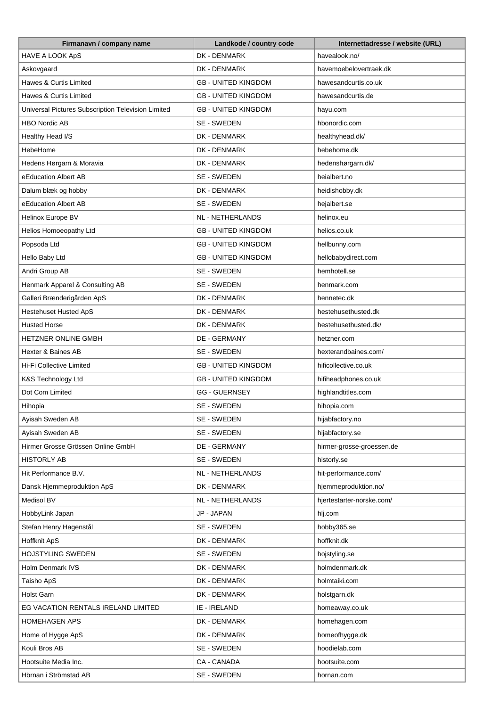| Firmanavn / company name                           | Landkode / country code    | Internettadresse / website (URL) |
|----------------------------------------------------|----------------------------|----------------------------------|
| HAVE A LOOK ApS                                    | DK - DENMARK               | havealook.no/                    |
| Askovgaard                                         | DK - DENMARK               | havemoebelovertraek.dk           |
| Hawes & Curtis Limited                             | <b>GB - UNITED KINGDOM</b> | hawesandcurtis.co.uk             |
| Hawes & Curtis Limited                             | <b>GB - UNITED KINGDOM</b> | hawesandcurtis.de                |
| Universal Pictures Subscription Television Limited | <b>GB - UNITED KINGDOM</b> | hayu.com                         |
| <b>HBO Nordic AB</b>                               | SE - SWEDEN                | hbonordic.com                    |
| Healthy Head I/S                                   | DK - DENMARK               | healthyhead.dk/                  |
| HebeHome                                           | DK - DENMARK               | hebehome.dk                      |
| Hedens Hørgarn & Moravia                           | DK - DENMARK               | hedenshørgarn.dk/                |
| eEducation Albert AB                               | SE - SWEDEN                | heialbert.no                     |
| Dalum blæk og hobby                                | DK - DENMARK               | heidishobby.dk                   |
| eEducation Albert AB                               | SE - SWEDEN                | hejalbert.se                     |
| Helinox Europe BV                                  | <b>NL - NETHERLANDS</b>    | helinox.eu                       |
| Helios Homoeopathy Ltd                             | <b>GB - UNITED KINGDOM</b> | helios.co.uk                     |
| Popsoda Ltd                                        | <b>GB - UNITED KINGDOM</b> | hellbunny.com                    |
| Hello Baby Ltd                                     | <b>GB - UNITED KINGDOM</b> | hellobabydirect.com              |
| Andri Group AB                                     | SE - SWEDEN                | hemhotell.se                     |
| Henmark Apparel & Consulting AB                    | SE - SWEDEN                | henmark.com                      |
| Galleri Brænderigården ApS                         | DK - DENMARK               | hennetec.dk                      |
| Hestehuset Husted ApS                              | DK - DENMARK               | hestehusethusted.dk              |
| <b>Husted Horse</b>                                | DK - DENMARK               | hestehusethusted.dk/             |
| HETZNER ONLINE GMBH                                | DE - GERMANY               | hetzner.com                      |
| Hexter & Baines AB                                 | SE - SWEDEN                | hexterandbaines.com/             |
| Hi-Fi Collective Limited                           | <b>GB - UNITED KINGDOM</b> | hificollective.co.uk             |
| K&S Technology Ltd                                 | <b>GB - UNITED KINGDOM</b> | hifiheadphones.co.uk             |
| Dot Com Limited                                    | <b>GG - GUERNSEY</b>       | highlandtitles.com               |
| Hihopia                                            | SE - SWEDEN                | hihopia.com                      |
| Ayisah Sweden AB                                   | SE - SWEDEN                | hijabfactory.no                  |
| Ayisah Sweden AB                                   | SE - SWEDEN                | hijabfactory.se                  |
| Hirmer Grosse Grössen Online GmbH                  | DE - GERMANY               | hirmer-grosse-groessen.de        |
| <b>HISTORLY AB</b>                                 | SE - SWEDEN                | historly.se                      |
| Hit Performance B.V.                               | <b>NL - NETHERLANDS</b>    | hit-performance.com/             |
| Dansk Hjemmeproduktion ApS                         | DK - DENMARK               | hjemmeproduktion.no/             |
| Medisol BV                                         | NL - NETHERLANDS           | hjertestarter-norske.com/        |
| HobbyLink Japan                                    | JP - JAPAN                 | hlj.com                          |
| Stefan Henry Hagenstål                             | SE - SWEDEN                | hobby365.se                      |
| Hoffknit ApS                                       | DK - DENMARK               | hoffknit.dk                      |
| <b>HOJSTYLING SWEDEN</b>                           | SE - SWEDEN                | hojstyling.se                    |
| Holm Denmark IVS                                   | DK - DENMARK               | holmdenmark.dk                   |
| Taisho ApS                                         | DK - DENMARK               | holmtaiki.com                    |
| <b>Holst Garn</b>                                  | DK - DENMARK               | holstgarn.dk                     |
| EG VACATION RENTALS IRELAND LIMITED                | IE - IRELAND               | homeaway.co.uk                   |
| <b>HOMEHAGEN APS</b>                               | DK - DENMARK               | homehagen.com                    |
| Home of Hygge ApS                                  | DK - DENMARK               | homeofhygge.dk                   |
| Kouli Bros AB                                      | SE - SWEDEN                | hoodielab.com                    |
|                                                    |                            |                                  |
| Hootsuite Media Inc.                               | CA - CANADA                | hootsuite.com                    |
| Hörnan i Strömstad AB                              | SE - SWEDEN                | hornan.com                       |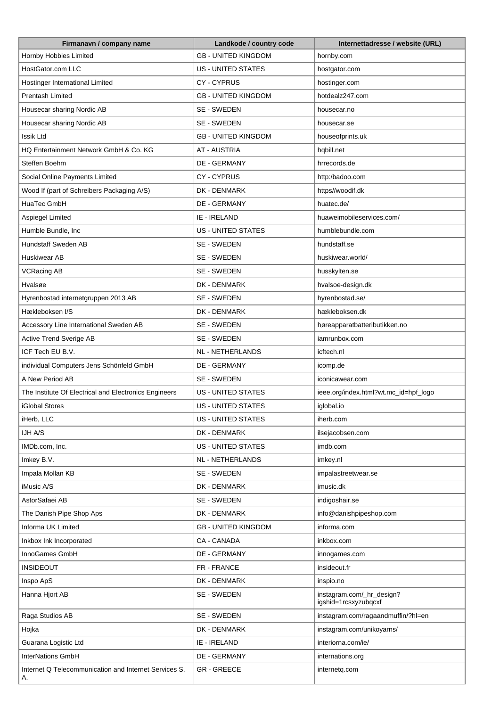| Firmanavn / company name                                    | Landkode / country code    | Internettadresse / website (URL)                  |
|-------------------------------------------------------------|----------------------------|---------------------------------------------------|
| Hornby Hobbies Limited                                      | <b>GB - UNITED KINGDOM</b> | hornby.com                                        |
| HostGator.com LLC                                           | <b>US - UNITED STATES</b>  | hostgator.com                                     |
| Hostinger International Limited                             | <b>CY-CYPRUS</b>           | hostinger.com                                     |
| Prentash Limited                                            | <b>GB - UNITED KINGDOM</b> | hotdealz247.com                                   |
| Housecar sharing Nordic AB                                  | SE - SWEDEN                | housecar.no                                       |
| Housecar sharing Nordic AB                                  | SE - SWEDEN                | housecar.se                                       |
| Issik Ltd                                                   | <b>GB - UNITED KINGDOM</b> | houseofprints.uk                                  |
| HQ Entertainment Network GmbH & Co. KG                      | <b>AT - AUSTRIA</b>        | hqbill.net                                        |
| Steffen Boehm                                               | DE - GERMANY               | hrrecords.de                                      |
| Social Online Payments Limited                              | CY-CYPRUS                  | http:/badoo.com                                   |
| Wood If (part of Schreibers Packaging A/S)                  | DK - DENMARK               | https//woodif.dk                                  |
| HuaTec GmbH                                                 | DE - GERMANY               | huatec.de/                                        |
| Aspiegel Limited                                            | IE - IRELAND               | huaweimobileservices.com/                         |
| Humble Bundle, Inc                                          | <b>US - UNITED STATES</b>  | humblebundle.com                                  |
| Hundstaff Sweden AB                                         | SE - SWEDEN                | hundstaff.se                                      |
| Huskiwear AB                                                | SE - SWEDEN                | huskiwear.world/                                  |
| <b>VCRacing AB</b>                                          | SE - SWEDEN                | husskylten.se                                     |
| Hvalsøe                                                     | DK - DENMARK               | hvalsoe-design.dk                                 |
| Hyrenbostad internetgruppen 2013 AB                         | SE - SWEDEN                | hyrenbostad.se/                                   |
| Hækleboksen I/S                                             | DK - DENMARK               | hækleboksen.dk                                    |
|                                                             |                            |                                                   |
| Accessory Line International Sweden AB                      | SE - SWEDEN                | høreapparatbatteributikken.no                     |
| Active Trend Sverige AB                                     | SE - SWEDEN                | iamrunbox.com                                     |
| ICF Tech EU B.V.                                            | NL - NETHERLANDS           | icftech.nl                                        |
| individual Computers Jens Schönfeld GmbH                    | <b>DE - GERMANY</b>        | icomp.de                                          |
| A New Period AB                                             | SE - SWEDEN                | iconicawear.com                                   |
| The Institute Of Electrical and Electronics Engineers       | <b>US - UNITED STATES</b>  | ieee.org/index.html?wt.mc_id=hpf_logo             |
| <b>iGlobal Stores</b>                                       | <b>US - UNITED STATES</b>  | iglobal.io                                        |
| iHerb, LLC                                                  | US - UNITED STATES         | iherb.com                                         |
| IJH A/S                                                     | DK - DENMARK               | ilsejacobsen.com                                  |
| IMDb.com, Inc.                                              | <b>US - UNITED STATES</b>  | imdb.com                                          |
| Imkey B.V.                                                  | <b>NL - NETHERLANDS</b>    | imkey.nl                                          |
| Impala Mollan KB                                            | SE - SWEDEN                | impalastreetwear.se                               |
| iMusic A/S                                                  | DK - DENMARK               | imusic.dk                                         |
| AstorSafaei AB                                              | SE - SWEDEN                | indigoshair.se                                    |
| The Danish Pipe Shop Aps                                    | DK - DENMARK               | info@danishpipeshop.com                           |
| Informa UK Limited                                          | <b>GB - UNITED KINGDOM</b> | informa.com                                       |
| Inkbox Ink Incorporated                                     | CA - CANADA                | inkbox.com                                        |
| InnoGames GmbH                                              | DE - GERMANY               | innogames.com                                     |
| INSIDEOUT                                                   | FR - FRANCE                | insideout.fr                                      |
| Inspo ApS                                                   | DK - DENMARK               | inspio.no                                         |
| Hanna Hjort AB                                              | SE - SWEDEN                | instagram.com/_hr_design?<br>igshid=1rcsxyzubqcxf |
| Raga Studios AB                                             | SE - SWEDEN                | instagram.com/ragaandmuffin/?hl=en                |
| Hojka                                                       | DK - DENMARK               | instagram.com/unikoyarns/                         |
| Guarana Logistic Ltd                                        | IE - IRELAND               | interiorna.com/ie/                                |
| <b>InterNations GmbH</b>                                    | DE - GERMANY               | internations.org                                  |
| Internet Q Telecommunication and Internet Services S.<br>А. | <b>GR-GREECE</b>           | internetq.com                                     |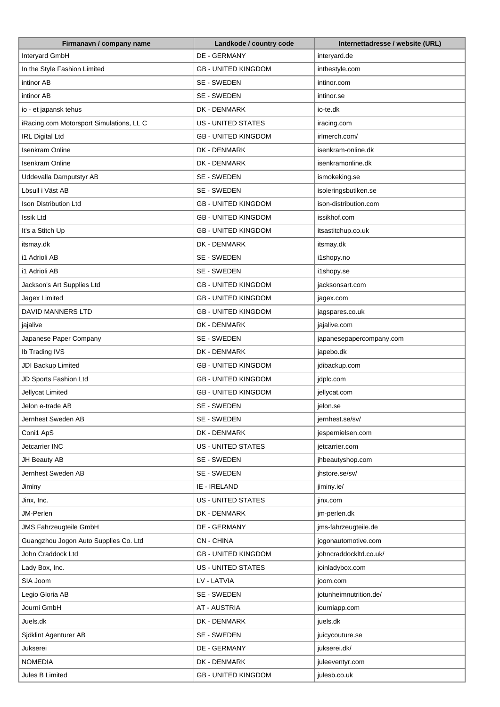| DE - GERMANY<br>Interyard GmbH<br>interyard.de<br>In the Style Fashion Limited<br>inthestyle.com<br><b>GB - UNITED KINGDOM</b><br>SE - SWEDEN<br>intinor AB<br>intinor.com<br>SE - SWEDEN<br>intinor AB<br>intinor.se<br>io - et japansk tehus<br>DK - DENMARK<br>io-te.dk<br>iRacing.com Motorsport Simulations, LL C<br>US - UNITED STATES<br>iracing.com<br><b>IRL Digital Ltd</b><br><b>GB - UNITED KINGDOM</b><br>irlmerch.com/<br><b>Isenkram Online</b><br>DK - DENMARK<br>isenkram-online.dk<br>DK - DENMARK<br>Isenkram Online<br>isenkramonline.dk<br>SE - SWEDEN<br>Uddevalla Damputstyr AB<br>ismokeking.se<br>Lösull i Väst AB<br>SE - SWEDEN<br>isoleringsbutiken.se<br><b>GB - UNITED KINGDOM</b><br>ison-distribution.com<br>Ison Distribution Ltd<br><b>Issik Ltd</b><br><b>GB - UNITED KINGDOM</b><br>issikhof.com<br>It's a Stitch Up<br><b>GB - UNITED KINGDOM</b><br>itsastitchup.co.uk<br>DK - DENMARK<br>itsmay.dk<br>itsmay.dk<br>i1 Adrioli AB<br>SE - SWEDEN<br>i1shopy.no<br>i1 Adrioli AB<br>SE - SWEDEN<br>i1shopy.se<br><b>GB - UNITED KINGDOM</b><br>Jackson's Art Supplies Ltd<br>jacksonsart.com<br>Jagex Limited<br><b>GB - UNITED KINGDOM</b><br>jagex.com<br><b>DAVID MANNERS LTD</b><br><b>GB - UNITED KINGDOM</b><br>jagspares.co.uk<br>DK - DENMARK<br>jajalive.com<br>jajalive<br>Japanese Paper Company<br>SE - SWEDEN<br>japanesepapercompany.com<br>Ib Trading IVS<br>DK - DENMARK<br>japebo.dk<br>JDI Backup Limited<br><b>GB - UNITED KINGDOM</b><br>jdibackup.com<br>JD Sports Fashion Ltd<br><b>GB - UNITED KINGDOM</b><br>jdplc.com<br>Jellycat Limited<br><b>GB - UNITED KINGDOM</b><br>jellycat.com<br>SE - SWEDEN<br>Jelon e-trade AB<br>jelon.se<br>Jernhest Sweden AB<br>SE - SWEDEN<br>jernhest.se/sv/<br>DK - DENMARK<br>Coni1 ApS<br>jespernielsen.com<br>Jetcarrier INC<br>US - UNITED STATES<br>jetcarrier.com<br>SE - SWEDEN<br>JH Beauty AB<br>jhbeautyshop.com<br>Jernhest Sweden AB<br>SE - SWEDEN<br>jhstore.se/sv/<br>IE - IRELAND<br>Jiminy<br>jiminy.ie/<br>US - UNITED STATES<br>Jinx, Inc.<br>jinx.com<br>JM-Perlen<br>DK - DENMARK<br>jm-perlen.dk<br>DE - GERMANY<br><b>JMS Fahrzeugteile GmbH</b><br>jms-fahrzeugteile.de<br>Guangzhou Jogon Auto Supplies Co. Ltd<br><b>CN-CHINA</b><br>jogonautomotive.com<br>John Craddock Ltd<br><b>GB - UNITED KINGDOM</b><br>johncraddockltd.co.uk/<br><b>US - UNITED STATES</b><br>Lady Box, Inc.<br>joinladybox.com<br>SIA Joom<br>LV - LATVIA<br>joom.com<br>SE - SWEDEN<br>Legio Gloria AB<br>jotunheimnutrition.de/<br>Journi GmbH<br><b>AT - AUSTRIA</b><br>journiapp.com<br>Juels.dk<br>DK - DENMARK<br>juels.dk<br>SE - SWEDEN<br>Sjöklint Agenturer AB<br>juicycouture.se<br>Jukserei<br>DE - GERMANY<br>jukserei.dk/<br>DK - DENMARK<br><b>NOMEDIA</b><br>juleeventyr.com | Firmanavn / company name | Landkode / country code    | Internettadresse / website (URL) |
|--------------------------------------------------------------------------------------------------------------------------------------------------------------------------------------------------------------------------------------------------------------------------------------------------------------------------------------------------------------------------------------------------------------------------------------------------------------------------------------------------------------------------------------------------------------------------------------------------------------------------------------------------------------------------------------------------------------------------------------------------------------------------------------------------------------------------------------------------------------------------------------------------------------------------------------------------------------------------------------------------------------------------------------------------------------------------------------------------------------------------------------------------------------------------------------------------------------------------------------------------------------------------------------------------------------------------------------------------------------------------------------------------------------------------------------------------------------------------------------------------------------------------------------------------------------------------------------------------------------------------------------------------------------------------------------------------------------------------------------------------------------------------------------------------------------------------------------------------------------------------------------------------------------------------------------------------------------------------------------------------------------------------------------------------------------------------------------------------------------------------------------------------------------------------------------------------------------------------------------------------------------------------------------------------------------------------------------------------------------------------------------------------------------------------------------------------------------------------------------------------------------------------------------------------------------------------------------------------------------------------------------------------------------------------------------------------------------------------------------------------------------------------------------------------|--------------------------|----------------------------|----------------------------------|
|                                                                                                                                                                                                                                                                                                                                                                                                                                                                                                                                                                                                                                                                                                                                                                                                                                                                                                                                                                                                                                                                                                                                                                                                                                                                                                                                                                                                                                                                                                                                                                                                                                                                                                                                                                                                                                                                                                                                                                                                                                                                                                                                                                                                                                                                                                                                                                                                                                                                                                                                                                                                                                                                                                                                                                                                  |                          |                            |                                  |
|                                                                                                                                                                                                                                                                                                                                                                                                                                                                                                                                                                                                                                                                                                                                                                                                                                                                                                                                                                                                                                                                                                                                                                                                                                                                                                                                                                                                                                                                                                                                                                                                                                                                                                                                                                                                                                                                                                                                                                                                                                                                                                                                                                                                                                                                                                                                                                                                                                                                                                                                                                                                                                                                                                                                                                                                  |                          |                            |                                  |
|                                                                                                                                                                                                                                                                                                                                                                                                                                                                                                                                                                                                                                                                                                                                                                                                                                                                                                                                                                                                                                                                                                                                                                                                                                                                                                                                                                                                                                                                                                                                                                                                                                                                                                                                                                                                                                                                                                                                                                                                                                                                                                                                                                                                                                                                                                                                                                                                                                                                                                                                                                                                                                                                                                                                                                                                  |                          |                            |                                  |
|                                                                                                                                                                                                                                                                                                                                                                                                                                                                                                                                                                                                                                                                                                                                                                                                                                                                                                                                                                                                                                                                                                                                                                                                                                                                                                                                                                                                                                                                                                                                                                                                                                                                                                                                                                                                                                                                                                                                                                                                                                                                                                                                                                                                                                                                                                                                                                                                                                                                                                                                                                                                                                                                                                                                                                                                  |                          |                            |                                  |
|                                                                                                                                                                                                                                                                                                                                                                                                                                                                                                                                                                                                                                                                                                                                                                                                                                                                                                                                                                                                                                                                                                                                                                                                                                                                                                                                                                                                                                                                                                                                                                                                                                                                                                                                                                                                                                                                                                                                                                                                                                                                                                                                                                                                                                                                                                                                                                                                                                                                                                                                                                                                                                                                                                                                                                                                  |                          |                            |                                  |
|                                                                                                                                                                                                                                                                                                                                                                                                                                                                                                                                                                                                                                                                                                                                                                                                                                                                                                                                                                                                                                                                                                                                                                                                                                                                                                                                                                                                                                                                                                                                                                                                                                                                                                                                                                                                                                                                                                                                                                                                                                                                                                                                                                                                                                                                                                                                                                                                                                                                                                                                                                                                                                                                                                                                                                                                  |                          |                            |                                  |
|                                                                                                                                                                                                                                                                                                                                                                                                                                                                                                                                                                                                                                                                                                                                                                                                                                                                                                                                                                                                                                                                                                                                                                                                                                                                                                                                                                                                                                                                                                                                                                                                                                                                                                                                                                                                                                                                                                                                                                                                                                                                                                                                                                                                                                                                                                                                                                                                                                                                                                                                                                                                                                                                                                                                                                                                  |                          |                            |                                  |
|                                                                                                                                                                                                                                                                                                                                                                                                                                                                                                                                                                                                                                                                                                                                                                                                                                                                                                                                                                                                                                                                                                                                                                                                                                                                                                                                                                                                                                                                                                                                                                                                                                                                                                                                                                                                                                                                                                                                                                                                                                                                                                                                                                                                                                                                                                                                                                                                                                                                                                                                                                                                                                                                                                                                                                                                  |                          |                            |                                  |
|                                                                                                                                                                                                                                                                                                                                                                                                                                                                                                                                                                                                                                                                                                                                                                                                                                                                                                                                                                                                                                                                                                                                                                                                                                                                                                                                                                                                                                                                                                                                                                                                                                                                                                                                                                                                                                                                                                                                                                                                                                                                                                                                                                                                                                                                                                                                                                                                                                                                                                                                                                                                                                                                                                                                                                                                  |                          |                            |                                  |
|                                                                                                                                                                                                                                                                                                                                                                                                                                                                                                                                                                                                                                                                                                                                                                                                                                                                                                                                                                                                                                                                                                                                                                                                                                                                                                                                                                                                                                                                                                                                                                                                                                                                                                                                                                                                                                                                                                                                                                                                                                                                                                                                                                                                                                                                                                                                                                                                                                                                                                                                                                                                                                                                                                                                                                                                  |                          |                            |                                  |
|                                                                                                                                                                                                                                                                                                                                                                                                                                                                                                                                                                                                                                                                                                                                                                                                                                                                                                                                                                                                                                                                                                                                                                                                                                                                                                                                                                                                                                                                                                                                                                                                                                                                                                                                                                                                                                                                                                                                                                                                                                                                                                                                                                                                                                                                                                                                                                                                                                                                                                                                                                                                                                                                                                                                                                                                  |                          |                            |                                  |
|                                                                                                                                                                                                                                                                                                                                                                                                                                                                                                                                                                                                                                                                                                                                                                                                                                                                                                                                                                                                                                                                                                                                                                                                                                                                                                                                                                                                                                                                                                                                                                                                                                                                                                                                                                                                                                                                                                                                                                                                                                                                                                                                                                                                                                                                                                                                                                                                                                                                                                                                                                                                                                                                                                                                                                                                  |                          |                            |                                  |
|                                                                                                                                                                                                                                                                                                                                                                                                                                                                                                                                                                                                                                                                                                                                                                                                                                                                                                                                                                                                                                                                                                                                                                                                                                                                                                                                                                                                                                                                                                                                                                                                                                                                                                                                                                                                                                                                                                                                                                                                                                                                                                                                                                                                                                                                                                                                                                                                                                                                                                                                                                                                                                                                                                                                                                                                  |                          |                            |                                  |
|                                                                                                                                                                                                                                                                                                                                                                                                                                                                                                                                                                                                                                                                                                                                                                                                                                                                                                                                                                                                                                                                                                                                                                                                                                                                                                                                                                                                                                                                                                                                                                                                                                                                                                                                                                                                                                                                                                                                                                                                                                                                                                                                                                                                                                                                                                                                                                                                                                                                                                                                                                                                                                                                                                                                                                                                  |                          |                            |                                  |
|                                                                                                                                                                                                                                                                                                                                                                                                                                                                                                                                                                                                                                                                                                                                                                                                                                                                                                                                                                                                                                                                                                                                                                                                                                                                                                                                                                                                                                                                                                                                                                                                                                                                                                                                                                                                                                                                                                                                                                                                                                                                                                                                                                                                                                                                                                                                                                                                                                                                                                                                                                                                                                                                                                                                                                                                  |                          |                            |                                  |
|                                                                                                                                                                                                                                                                                                                                                                                                                                                                                                                                                                                                                                                                                                                                                                                                                                                                                                                                                                                                                                                                                                                                                                                                                                                                                                                                                                                                                                                                                                                                                                                                                                                                                                                                                                                                                                                                                                                                                                                                                                                                                                                                                                                                                                                                                                                                                                                                                                                                                                                                                                                                                                                                                                                                                                                                  |                          |                            |                                  |
|                                                                                                                                                                                                                                                                                                                                                                                                                                                                                                                                                                                                                                                                                                                                                                                                                                                                                                                                                                                                                                                                                                                                                                                                                                                                                                                                                                                                                                                                                                                                                                                                                                                                                                                                                                                                                                                                                                                                                                                                                                                                                                                                                                                                                                                                                                                                                                                                                                                                                                                                                                                                                                                                                                                                                                                                  |                          |                            |                                  |
|                                                                                                                                                                                                                                                                                                                                                                                                                                                                                                                                                                                                                                                                                                                                                                                                                                                                                                                                                                                                                                                                                                                                                                                                                                                                                                                                                                                                                                                                                                                                                                                                                                                                                                                                                                                                                                                                                                                                                                                                                                                                                                                                                                                                                                                                                                                                                                                                                                                                                                                                                                                                                                                                                                                                                                                                  |                          |                            |                                  |
|                                                                                                                                                                                                                                                                                                                                                                                                                                                                                                                                                                                                                                                                                                                                                                                                                                                                                                                                                                                                                                                                                                                                                                                                                                                                                                                                                                                                                                                                                                                                                                                                                                                                                                                                                                                                                                                                                                                                                                                                                                                                                                                                                                                                                                                                                                                                                                                                                                                                                                                                                                                                                                                                                                                                                                                                  |                          |                            |                                  |
|                                                                                                                                                                                                                                                                                                                                                                                                                                                                                                                                                                                                                                                                                                                                                                                                                                                                                                                                                                                                                                                                                                                                                                                                                                                                                                                                                                                                                                                                                                                                                                                                                                                                                                                                                                                                                                                                                                                                                                                                                                                                                                                                                                                                                                                                                                                                                                                                                                                                                                                                                                                                                                                                                                                                                                                                  |                          |                            |                                  |
|                                                                                                                                                                                                                                                                                                                                                                                                                                                                                                                                                                                                                                                                                                                                                                                                                                                                                                                                                                                                                                                                                                                                                                                                                                                                                                                                                                                                                                                                                                                                                                                                                                                                                                                                                                                                                                                                                                                                                                                                                                                                                                                                                                                                                                                                                                                                                                                                                                                                                                                                                                                                                                                                                                                                                                                                  |                          |                            |                                  |
|                                                                                                                                                                                                                                                                                                                                                                                                                                                                                                                                                                                                                                                                                                                                                                                                                                                                                                                                                                                                                                                                                                                                                                                                                                                                                                                                                                                                                                                                                                                                                                                                                                                                                                                                                                                                                                                                                                                                                                                                                                                                                                                                                                                                                                                                                                                                                                                                                                                                                                                                                                                                                                                                                                                                                                                                  |                          |                            |                                  |
|                                                                                                                                                                                                                                                                                                                                                                                                                                                                                                                                                                                                                                                                                                                                                                                                                                                                                                                                                                                                                                                                                                                                                                                                                                                                                                                                                                                                                                                                                                                                                                                                                                                                                                                                                                                                                                                                                                                                                                                                                                                                                                                                                                                                                                                                                                                                                                                                                                                                                                                                                                                                                                                                                                                                                                                                  |                          |                            |                                  |
|                                                                                                                                                                                                                                                                                                                                                                                                                                                                                                                                                                                                                                                                                                                                                                                                                                                                                                                                                                                                                                                                                                                                                                                                                                                                                                                                                                                                                                                                                                                                                                                                                                                                                                                                                                                                                                                                                                                                                                                                                                                                                                                                                                                                                                                                                                                                                                                                                                                                                                                                                                                                                                                                                                                                                                                                  |                          |                            |                                  |
|                                                                                                                                                                                                                                                                                                                                                                                                                                                                                                                                                                                                                                                                                                                                                                                                                                                                                                                                                                                                                                                                                                                                                                                                                                                                                                                                                                                                                                                                                                                                                                                                                                                                                                                                                                                                                                                                                                                                                                                                                                                                                                                                                                                                                                                                                                                                                                                                                                                                                                                                                                                                                                                                                                                                                                                                  |                          |                            |                                  |
|                                                                                                                                                                                                                                                                                                                                                                                                                                                                                                                                                                                                                                                                                                                                                                                                                                                                                                                                                                                                                                                                                                                                                                                                                                                                                                                                                                                                                                                                                                                                                                                                                                                                                                                                                                                                                                                                                                                                                                                                                                                                                                                                                                                                                                                                                                                                                                                                                                                                                                                                                                                                                                                                                                                                                                                                  |                          |                            |                                  |
|                                                                                                                                                                                                                                                                                                                                                                                                                                                                                                                                                                                                                                                                                                                                                                                                                                                                                                                                                                                                                                                                                                                                                                                                                                                                                                                                                                                                                                                                                                                                                                                                                                                                                                                                                                                                                                                                                                                                                                                                                                                                                                                                                                                                                                                                                                                                                                                                                                                                                                                                                                                                                                                                                                                                                                                                  |                          |                            |                                  |
|                                                                                                                                                                                                                                                                                                                                                                                                                                                                                                                                                                                                                                                                                                                                                                                                                                                                                                                                                                                                                                                                                                                                                                                                                                                                                                                                                                                                                                                                                                                                                                                                                                                                                                                                                                                                                                                                                                                                                                                                                                                                                                                                                                                                                                                                                                                                                                                                                                                                                                                                                                                                                                                                                                                                                                                                  |                          |                            |                                  |
|                                                                                                                                                                                                                                                                                                                                                                                                                                                                                                                                                                                                                                                                                                                                                                                                                                                                                                                                                                                                                                                                                                                                                                                                                                                                                                                                                                                                                                                                                                                                                                                                                                                                                                                                                                                                                                                                                                                                                                                                                                                                                                                                                                                                                                                                                                                                                                                                                                                                                                                                                                                                                                                                                                                                                                                                  |                          |                            |                                  |
|                                                                                                                                                                                                                                                                                                                                                                                                                                                                                                                                                                                                                                                                                                                                                                                                                                                                                                                                                                                                                                                                                                                                                                                                                                                                                                                                                                                                                                                                                                                                                                                                                                                                                                                                                                                                                                                                                                                                                                                                                                                                                                                                                                                                                                                                                                                                                                                                                                                                                                                                                                                                                                                                                                                                                                                                  |                          |                            |                                  |
|                                                                                                                                                                                                                                                                                                                                                                                                                                                                                                                                                                                                                                                                                                                                                                                                                                                                                                                                                                                                                                                                                                                                                                                                                                                                                                                                                                                                                                                                                                                                                                                                                                                                                                                                                                                                                                                                                                                                                                                                                                                                                                                                                                                                                                                                                                                                                                                                                                                                                                                                                                                                                                                                                                                                                                                                  |                          |                            |                                  |
|                                                                                                                                                                                                                                                                                                                                                                                                                                                                                                                                                                                                                                                                                                                                                                                                                                                                                                                                                                                                                                                                                                                                                                                                                                                                                                                                                                                                                                                                                                                                                                                                                                                                                                                                                                                                                                                                                                                                                                                                                                                                                                                                                                                                                                                                                                                                                                                                                                                                                                                                                                                                                                                                                                                                                                                                  |                          |                            |                                  |
|                                                                                                                                                                                                                                                                                                                                                                                                                                                                                                                                                                                                                                                                                                                                                                                                                                                                                                                                                                                                                                                                                                                                                                                                                                                                                                                                                                                                                                                                                                                                                                                                                                                                                                                                                                                                                                                                                                                                                                                                                                                                                                                                                                                                                                                                                                                                                                                                                                                                                                                                                                                                                                                                                                                                                                                                  |                          |                            |                                  |
|                                                                                                                                                                                                                                                                                                                                                                                                                                                                                                                                                                                                                                                                                                                                                                                                                                                                                                                                                                                                                                                                                                                                                                                                                                                                                                                                                                                                                                                                                                                                                                                                                                                                                                                                                                                                                                                                                                                                                                                                                                                                                                                                                                                                                                                                                                                                                                                                                                                                                                                                                                                                                                                                                                                                                                                                  |                          |                            |                                  |
|                                                                                                                                                                                                                                                                                                                                                                                                                                                                                                                                                                                                                                                                                                                                                                                                                                                                                                                                                                                                                                                                                                                                                                                                                                                                                                                                                                                                                                                                                                                                                                                                                                                                                                                                                                                                                                                                                                                                                                                                                                                                                                                                                                                                                                                                                                                                                                                                                                                                                                                                                                                                                                                                                                                                                                                                  |                          |                            |                                  |
|                                                                                                                                                                                                                                                                                                                                                                                                                                                                                                                                                                                                                                                                                                                                                                                                                                                                                                                                                                                                                                                                                                                                                                                                                                                                                                                                                                                                                                                                                                                                                                                                                                                                                                                                                                                                                                                                                                                                                                                                                                                                                                                                                                                                                                                                                                                                                                                                                                                                                                                                                                                                                                                                                                                                                                                                  |                          |                            |                                  |
|                                                                                                                                                                                                                                                                                                                                                                                                                                                                                                                                                                                                                                                                                                                                                                                                                                                                                                                                                                                                                                                                                                                                                                                                                                                                                                                                                                                                                                                                                                                                                                                                                                                                                                                                                                                                                                                                                                                                                                                                                                                                                                                                                                                                                                                                                                                                                                                                                                                                                                                                                                                                                                                                                                                                                                                                  |                          |                            |                                  |
|                                                                                                                                                                                                                                                                                                                                                                                                                                                                                                                                                                                                                                                                                                                                                                                                                                                                                                                                                                                                                                                                                                                                                                                                                                                                                                                                                                                                                                                                                                                                                                                                                                                                                                                                                                                                                                                                                                                                                                                                                                                                                                                                                                                                                                                                                                                                                                                                                                                                                                                                                                                                                                                                                                                                                                                                  |                          |                            |                                  |
|                                                                                                                                                                                                                                                                                                                                                                                                                                                                                                                                                                                                                                                                                                                                                                                                                                                                                                                                                                                                                                                                                                                                                                                                                                                                                                                                                                                                                                                                                                                                                                                                                                                                                                                                                                                                                                                                                                                                                                                                                                                                                                                                                                                                                                                                                                                                                                                                                                                                                                                                                                                                                                                                                                                                                                                                  |                          |                            |                                  |
|                                                                                                                                                                                                                                                                                                                                                                                                                                                                                                                                                                                                                                                                                                                                                                                                                                                                                                                                                                                                                                                                                                                                                                                                                                                                                                                                                                                                                                                                                                                                                                                                                                                                                                                                                                                                                                                                                                                                                                                                                                                                                                                                                                                                                                                                                                                                                                                                                                                                                                                                                                                                                                                                                                                                                                                                  |                          |                            |                                  |
|                                                                                                                                                                                                                                                                                                                                                                                                                                                                                                                                                                                                                                                                                                                                                                                                                                                                                                                                                                                                                                                                                                                                                                                                                                                                                                                                                                                                                                                                                                                                                                                                                                                                                                                                                                                                                                                                                                                                                                                                                                                                                                                                                                                                                                                                                                                                                                                                                                                                                                                                                                                                                                                                                                                                                                                                  |                          |                            |                                  |
|                                                                                                                                                                                                                                                                                                                                                                                                                                                                                                                                                                                                                                                                                                                                                                                                                                                                                                                                                                                                                                                                                                                                                                                                                                                                                                                                                                                                                                                                                                                                                                                                                                                                                                                                                                                                                                                                                                                                                                                                                                                                                                                                                                                                                                                                                                                                                                                                                                                                                                                                                                                                                                                                                                                                                                                                  |                          |                            |                                  |
|                                                                                                                                                                                                                                                                                                                                                                                                                                                                                                                                                                                                                                                                                                                                                                                                                                                                                                                                                                                                                                                                                                                                                                                                                                                                                                                                                                                                                                                                                                                                                                                                                                                                                                                                                                                                                                                                                                                                                                                                                                                                                                                                                                                                                                                                                                                                                                                                                                                                                                                                                                                                                                                                                                                                                                                                  |                          |                            |                                  |
|                                                                                                                                                                                                                                                                                                                                                                                                                                                                                                                                                                                                                                                                                                                                                                                                                                                                                                                                                                                                                                                                                                                                                                                                                                                                                                                                                                                                                                                                                                                                                                                                                                                                                                                                                                                                                                                                                                                                                                                                                                                                                                                                                                                                                                                                                                                                                                                                                                                                                                                                                                                                                                                                                                                                                                                                  |                          |                            |                                  |
|                                                                                                                                                                                                                                                                                                                                                                                                                                                                                                                                                                                                                                                                                                                                                                                                                                                                                                                                                                                                                                                                                                                                                                                                                                                                                                                                                                                                                                                                                                                                                                                                                                                                                                                                                                                                                                                                                                                                                                                                                                                                                                                                                                                                                                                                                                                                                                                                                                                                                                                                                                                                                                                                                                                                                                                                  |                          |                            |                                  |
|                                                                                                                                                                                                                                                                                                                                                                                                                                                                                                                                                                                                                                                                                                                                                                                                                                                                                                                                                                                                                                                                                                                                                                                                                                                                                                                                                                                                                                                                                                                                                                                                                                                                                                                                                                                                                                                                                                                                                                                                                                                                                                                                                                                                                                                                                                                                                                                                                                                                                                                                                                                                                                                                                                                                                                                                  |                          |                            |                                  |
|                                                                                                                                                                                                                                                                                                                                                                                                                                                                                                                                                                                                                                                                                                                                                                                                                                                                                                                                                                                                                                                                                                                                                                                                                                                                                                                                                                                                                                                                                                                                                                                                                                                                                                                                                                                                                                                                                                                                                                                                                                                                                                                                                                                                                                                                                                                                                                                                                                                                                                                                                                                                                                                                                                                                                                                                  |                          |                            |                                  |
|                                                                                                                                                                                                                                                                                                                                                                                                                                                                                                                                                                                                                                                                                                                                                                                                                                                                                                                                                                                                                                                                                                                                                                                                                                                                                                                                                                                                                                                                                                                                                                                                                                                                                                                                                                                                                                                                                                                                                                                                                                                                                                                                                                                                                                                                                                                                                                                                                                                                                                                                                                                                                                                                                                                                                                                                  | Jules B Limited          | <b>GB - UNITED KINGDOM</b> | julesb.co.uk                     |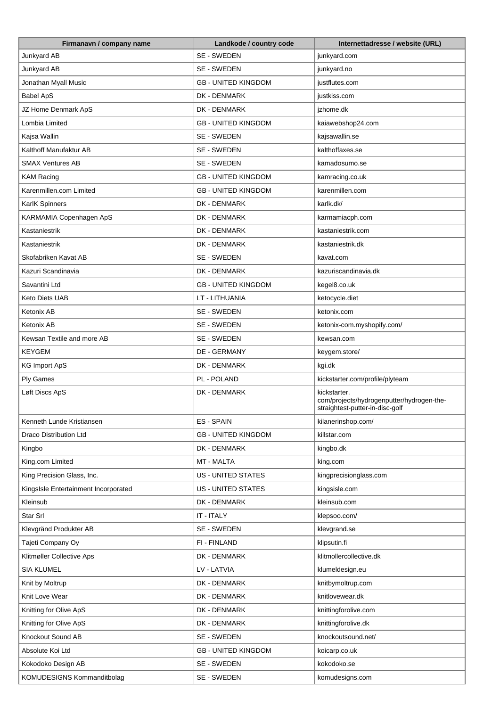| Firmanavn / company name             | Landkode / country code    | Internettadresse / website (URL)                                                             |
|--------------------------------------|----------------------------|----------------------------------------------------------------------------------------------|
| Junkyard AB                          | SE - SWEDEN                | junkyard.com                                                                                 |
| Junkyard AB                          | SE - SWEDEN                | junkyard.no                                                                                  |
| Jonathan Myall Music                 | <b>GB - UNITED KINGDOM</b> | justflutes.com                                                                               |
| <b>Babel ApS</b>                     | DK - DENMARK               | justkiss.com                                                                                 |
| JZ Home Denmark ApS                  | DK - DENMARK               | jzhome.dk                                                                                    |
| Lombia Limited                       | <b>GB - UNITED KINGDOM</b> | kaiawebshop24.com                                                                            |
| Kajsa Wallin                         | SE - SWEDEN                | kajsawallin.se                                                                               |
| Kalthoff Manufaktur AB               | SE - SWEDEN                | kalthoffaxes.se                                                                              |
| <b>SMAX Ventures AB</b>              | SE - SWEDEN                | kamadosumo.se                                                                                |
| <b>KAM Racing</b>                    | <b>GB - UNITED KINGDOM</b> | kamracing.co.uk                                                                              |
| Karenmillen.com Limited              | <b>GB - UNITED KINGDOM</b> | karenmillen.com                                                                              |
| KarlK Spinners                       | DK - DENMARK               | karlk.dk/                                                                                    |
| KARMAMIA Copenhagen ApS              | DK - DENMARK               | karmamiacph.com                                                                              |
| Kastaniestrik                        | DK - DENMARK               | kastaniestrik.com                                                                            |
| Kastaniestrik                        | DK - DENMARK               | kastaniestrik.dk                                                                             |
| Skofabriken Kavat AB                 | SE - SWEDEN                | kavat.com                                                                                    |
| Kazuri Scandinavia                   | DK - DENMARK               | kazuriscandinavia.dk                                                                         |
| Savantini Ltd                        | <b>GB - UNITED KINGDOM</b> | kegel8.co.uk                                                                                 |
| <b>Keto Diets UAB</b>                | LT - LITHUANIA             | ketocycle.diet                                                                               |
|                                      |                            |                                                                                              |
| Ketonix AB                           | SE - SWEDEN                | ketonix.com                                                                                  |
| Ketonix AB                           | SE - SWEDEN                | ketonix-com.myshopify.com/                                                                   |
| Kewsan Textile and more AB           | SE - SWEDEN                | kewsan.com                                                                                   |
| <b>KEYGEM</b>                        | DE - GERMANY               | keygem.store/                                                                                |
| <b>KG Import ApS</b>                 | DK - DENMARK               | kgi.dk                                                                                       |
| <b>Ply Games</b>                     | PL - POLAND                | kickstarter.com/profile/plyteam                                                              |
| Løft Discs ApS                       | DK - DENMARK               | kickstarter.<br>com/projects/hydrogenputter/hydrogen-the-<br>straightest-putter-in-disc-golf |
| Kenneth Lunde Kristiansen            | <b>ES-SPAIN</b>            | kilanerinshop.com/                                                                           |
| Draco Distribution Ltd               | <b>GB - UNITED KINGDOM</b> | killstar.com                                                                                 |
| Kingbo                               | DK - DENMARK               | kingbo.dk                                                                                    |
| King.com Limited                     | MT - MALTA                 | king.com                                                                                     |
| King Precision Glass, Inc.           | US - UNITED STATES         | kingprecisionglass.com                                                                       |
| KingsIsle Entertainment Incorporated | <b>US - UNITED STATES</b>  | kingsisle.com                                                                                |
| Kleinsub                             | DK - DENMARK               | kleinsub.com                                                                                 |
| Star Srl                             | IT - ITALY                 | klepsoo.com/                                                                                 |
| Klevgränd Produkter AB               | SE - SWEDEN                | klevgrand.se                                                                                 |
| Tajeti Company Oy                    | FI - FINLAND               | klipsutin.fi                                                                                 |
| Klitmøller Collective Aps            | DK - DENMARK               | klitmollercollective.dk                                                                      |
| <b>SIA KLUMEL</b>                    | LV - LATVIA                | klumeldesign.eu                                                                              |
| Knit by Moltrup                      | DK - DENMARK               | knitbymoltrup.com                                                                            |
| Knit Love Wear                       | DK - DENMARK               | knitlovewear.dk                                                                              |
| Knitting for Olive ApS               | DK - DENMARK               | knittingforolive.com                                                                         |
| Knitting for Olive ApS               | DK - DENMARK               | knittingforolive.dk                                                                          |
| Knockout Sound AB                    | SE - SWEDEN                | knockoutsound.net/                                                                           |
| Absolute Koi Ltd                     | <b>GB - UNITED KINGDOM</b> | koicarp.co.uk                                                                                |
| Kokodoko Design AB                   | SE - SWEDEN                | kokodoko.se                                                                                  |
| KOMUDESIGNS Kommanditbolag           | SE - SWEDEN                | komudesigns.com                                                                              |
|                                      |                            |                                                                                              |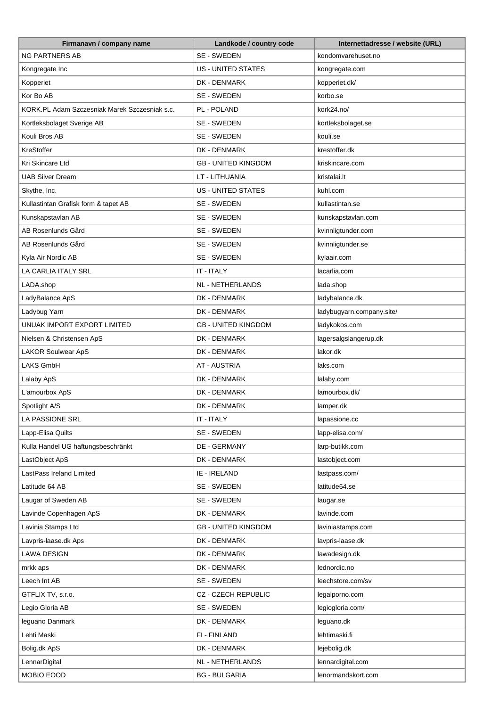| Firmanavn / company name                      | Landkode / country code    | Internettadresse / website (URL) |
|-----------------------------------------------|----------------------------|----------------------------------|
| <b>NG PARTNERS AB</b>                         | SE - SWEDEN                | kondomvarehuset.no               |
| Kongregate Inc                                | <b>US - UNITED STATES</b>  | kongregate.com                   |
| Kopperiet                                     | DK - DENMARK               | kopperiet.dk/                    |
| Kor Bo AB                                     | SE - SWEDEN                | korbo.se                         |
| KORK.PL Adam Szczesniak Marek Szczesniak s.c. | PL - POLAND                | kork24.no/                       |
| Kortleksbolaget Sverige AB                    | SE - SWEDEN                | kortleksbolaget.se               |
| Kouli Bros AB                                 | SE - SWEDEN                | kouli.se                         |
| KreStoffer                                    | DK - DENMARK               | krestoffer.dk                    |
| Kri Skincare Ltd                              | <b>GB - UNITED KINGDOM</b> | kriskincare.com                  |
| <b>UAB Silver Dream</b>                       | LT - LITHUANIA             | kristalai.lt                     |
| Skythe, Inc.                                  | <b>US - UNITED STATES</b>  | kuhl.com                         |
| Kullastintan Grafisk form & tapet AB          | SE - SWEDEN                | kullastintan.se                  |
| Kunskapstavlan AB                             | SE - SWEDEN                | kunskapstavlan.com               |
| AB Rosenlunds Gård                            | SE - SWEDEN                | kvinnligtunder.com               |
| AB Rosenlunds Gård                            | SE - SWEDEN                | kvinnligtunder.se                |
| Kyla Air Nordic AB                            | SE - SWEDEN                | kylaair.com                      |
| LA CARLIA ITALY SRL                           | IT - ITALY                 | lacarlia.com                     |
|                                               | NL - NETHERLANDS           |                                  |
| LADA.shop                                     |                            | lada.shop                        |
| LadyBalance ApS                               | DK - DENMARK               | ladybalance.dk                   |
| Ladybug Yarn                                  | DK - DENMARK               | ladybugyarn.company.site/        |
| UNUAK IMPORT EXPORT LIMITED                   | <b>GB - UNITED KINGDOM</b> | ladykokos.com                    |
| Nielsen & Christensen ApS                     | DK - DENMARK               | lagersalgslangerup.dk            |
| LAKOR Soulwear ApS                            | DK - DENMARK               | lakor.dk                         |
| LAKS GmbH                                     | <b>AT - AUSTRIA</b>        | laks.com                         |
| Lalaby ApS                                    | DK - DENMARK               | lalaby.com                       |
| L'amourbox ApS                                | DK - DENMARK               | lamourbox.dk/                    |
| Spotlight A/S                                 | DK - DENMARK               | lamper.dk                        |
| <b>LA PASSIONE SRL</b>                        | IT - ITALY                 | lapassione.cc                    |
| Lapp-Elisa Quilts                             | SE - SWEDEN                | lapp-elisa.com/                  |
| Kulla Handel UG haftungsbeschränkt            | <b>DE - GERMANY</b>        | larp-butikk.com                  |
| LastObject ApS                                | DK - DENMARK               | lastobject.com                   |
| LastPass Ireland Limited                      | IE - IRELAND               | lastpass.com/                    |
| Latitude 64 AB                                | SE - SWEDEN                | latitude64.se                    |
| Laugar of Sweden AB                           | SE - SWEDEN                | laugar.se                        |
| Lavinde Copenhagen ApS                        | DK - DENMARK               | lavinde.com                      |
| Lavinia Stamps Ltd                            | <b>GB - UNITED KINGDOM</b> | laviniastamps.com                |
| Lavpris-laase.dk Aps                          | DK - DENMARK               | lavpris-laase.dk                 |
| <b>LAWA DESIGN</b>                            | DK - DENMARK               | lawadesign.dk                    |
| mrkk aps                                      | DK - DENMARK               | lednordic.no                     |
| Leech Int AB                                  | SE - SWEDEN                | leechstore.com/sv                |
| GTFLIX TV, s.r.o.                             | CZ - CZECH REPUBLIC        | legalporno.com                   |
| Legio Gloria AB                               | SE - SWEDEN                | legiogloria.com/                 |
| leguano Danmark                               | DK - DENMARK               | leguano.dk                       |
| Lehti Maski                                   | FI - FINLAND               | lehtimaski.fi                    |
| Bolig.dk ApS                                  | DK - DENMARK               | lejebolig.dk                     |
| LennarDigital                                 | NL - NETHERLANDS           | lennardigital.com                |
| MOBIO EOOD                                    | <b>BG - BULGARIA</b>       | lenormandskort.com               |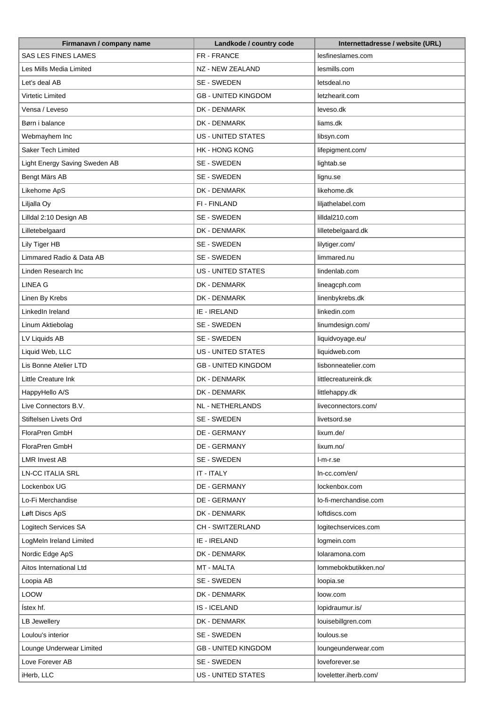| Firmanavn / company name      | Landkode / country code    | Internettadresse / website (URL) |
|-------------------------------|----------------------------|----------------------------------|
| <b>SAS LES FINES LAMES</b>    | FR - FRANCE                | lesfineslames.com                |
| Les Mills Media Limited       | NZ - NEW ZEALAND           | lesmills.com                     |
| Let's deal AB                 | SE - SWEDEN                | letsdeal.no                      |
| Virtetic Limited              | <b>GB - UNITED KINGDOM</b> | letzhearit.com                   |
| Vensa / Leveso                | DK - DENMARK               | leveso.dk                        |
| Børn i balance                | DK - DENMARK               | liams.dk                         |
| Webmayhem Inc                 | <b>US - UNITED STATES</b>  | libsyn.com                       |
| Saker Tech Limited            | <b>HK - HONG KONG</b>      | lifepigment.com/                 |
| Light Energy Saving Sweden AB | SE - SWEDEN                | lightab.se                       |
| Bengt Märs AB                 | SE - SWEDEN                | lignu.se                         |
| Likehome ApS                  | DK - DENMARK               | likehome.dk                      |
| Liljalla Oy                   | FI - FINLAND               | liljathelabel.com                |
| Lilldal 2:10 Design AB        | SE - SWEDEN                | lilldal210.com                   |
| Lilletebelgaard               | DK - DENMARK               | lilletebelgaard.dk               |
| Lily Tiger HB                 | SE - SWEDEN                | lilytiger.com/                   |
| Limmared Radio & Data AB      | SE - SWEDEN                | limmared.nu                      |
| Linden Research Inc           | <b>US - UNITED STATES</b>  | lindenlab.com                    |
| <b>LINEA G</b>                | DK - DENMARK               | lineagcph.com                    |
| Linen By Krebs                | DK - DENMARK               | linenbykrebs.dk                  |
| LinkedIn Ireland              | IE - IRELAND               | linkedin.com                     |
| Linum Aktiebolag              | SE - SWEDEN                | linumdesign.com/                 |
| LV Liquids AB                 | SE - SWEDEN                | liquidvoyage.eu/                 |
| Liquid Web, LLC               | US - UNITED STATES         | liquidweb.com                    |
| Lis Bonne Atelier LTD         | <b>GB - UNITED KINGDOM</b> | lisbonneatelier.com              |
| Little Creature Ink           | DK - DENMARK               | littlecreatureink.dk             |
| HappyHello A/S                | DK - DENMARK               | littlehappy.dk                   |
| Live Connectors B.V.          | <b>NL - NETHERLANDS</b>    | liveconnectors.com/              |
| Stiftelsen Livets Ord         | SE - SWEDEN                | livetsord.se                     |
| FloraPren GmbH                | DE - GERMANY               | lixum.de/                        |
| FloraPren GmbH                | DE - GERMANY               | lixum.no/                        |
| <b>LMR Invest AB</b>          | SE - SWEDEN                | I-m-r.se                         |
| <b>LN-CC ITALIA SRL</b>       | IT - ITALY                 | In-cc.com/en/                    |
| Lockenbox UG                  | DE - GERMANY               | lockenbox.com                    |
| Lo-Fi Merchandise             | DE - GERMANY               | lo-fi-merchandise.com            |
| Løft Discs ApS                | DK - DENMARK               | loftdiscs.com                    |
| Logitech Services SA          | CH - SWITZERLAND           | logitechservices.com             |
| LogMeIn Ireland Limited       | IE - IRELAND               | logmein.com                      |
| Nordic Edge ApS               | DK - DENMARK               | lolaramona.com                   |
| Aitos International Ltd       | MT - MALTA                 | lommebokbutikken.no/             |
| Loopia AB                     | SE - SWEDEN                | loopia.se                        |
| LOOW                          | DK - DENMARK               | loow.com                         |
| Ístex hf.                     | <b>IS-ICELAND</b>          | lopidraumur.is/                  |
| LB Jewellery                  | DK - DENMARK               | louisebillgren.com               |
| Loulou's interior             | SE - SWEDEN                | loulous.se                       |
| Lounge Underwear Limited      | <b>GB - UNITED KINGDOM</b> | loungeunderwear.com              |
| Love Forever AB               | SE - SWEDEN                | loveforever.se                   |
| iHerb, LLC                    | US - UNITED STATES         | loveletter.iherb.com/            |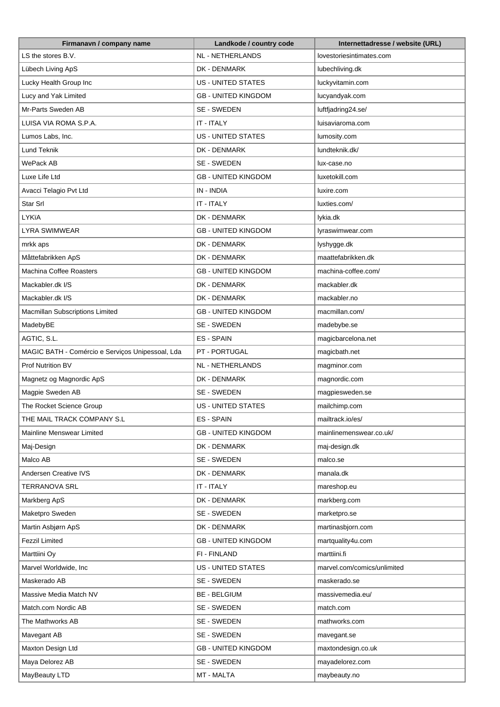| Firmanavn / company name                         | Landkode / country code    | Internettadresse / website (URL) |
|--------------------------------------------------|----------------------------|----------------------------------|
| LS the stores B.V.                               | NL - NETHERLANDS           | lovestoriesintimates.com         |
| Lübech Living ApS                                | DK - DENMARK               | lubechliving.dk                  |
| Lucky Health Group Inc                           | <b>US - UNITED STATES</b>  | luckyvitamin.com                 |
| Lucy and Yak Limited                             | <b>GB - UNITED KINGDOM</b> | lucyandyak.com                   |
| Mr-Parts Sweden AB                               | SE - SWEDEN                | luftfjadring24.se/               |
| LUISA VIA ROMA S.P.A.                            | IT - ITALY                 | luisaviaroma.com                 |
| Lumos Labs, Inc.                                 | <b>US - UNITED STATES</b>  | lumosity.com                     |
| Lund Teknik                                      | DK - DENMARK               | lundteknik.dk/                   |
| WePack AB                                        | SE - SWEDEN                | lux-case.no                      |
| Luxe Life Ltd                                    | <b>GB - UNITED KINGDOM</b> | luxetokill.com                   |
| Avacci Telagio Pvt Ltd                           | IN - INDIA                 | luxire.com                       |
| Star Srl                                         | IT - ITALY                 | luxties.com/                     |
| <b>LYKIA</b>                                     | DK - DENMARK               | lykia.dk                         |
| LYRA SWIMWEAR                                    | <b>GB - UNITED KINGDOM</b> | lyraswimwear.com                 |
| mrkk aps                                         | DK - DENMARK               | lyshygge.dk                      |
| Måttefabrikken ApS                               | DK - DENMARK               | maattefabrikken.dk               |
| <b>Machina Coffee Roasters</b>                   | <b>GB - UNITED KINGDOM</b> | machina-coffee.com/              |
| Mackabler.dk I/S                                 | DK - DENMARK               | mackabler.dk                     |
| Mackabler.dk I/S                                 | DK - DENMARK               | mackabler.no                     |
| Macmillan Subscriptions Limited                  | <b>GB - UNITED KINGDOM</b> | macmillan.com/                   |
| MadebyBE                                         | SE - SWEDEN                | madebybe.se                      |
| AGTIC, S.L.                                      | <b>ES-SPAIN</b>            | magicbarcelona.net               |
| MAGIC BATH - Comércio e Serviços Unipessoal, Lda | PT - PORTUGAL              | magicbath.net                    |
| <b>Prof Nutrition BV</b>                         | <b>NL - NETHERLANDS</b>    | magminor.com                     |
| Magnetz og Magnordic ApS                         | DK - DENMARK               | magnordic.com                    |
| Magpie Sweden AB                                 | SE - SWEDEN                | magpiesweden.se                  |
| The Rocket Science Group                         | US - UNITED STATES         | mailchimp.com                    |
| THE MAIL TRACK COMPANY S.L                       | <b>ES-SPAIN</b>            | mailtrack.io/es/                 |
| Mainline Menswear Limited                        | <b>GB - UNITED KINGDOM</b> | mainlinemenswear.co.uk/          |
| Maj-Design                                       | DK - DENMARK               | maj-design.dk                    |
| Malco AB                                         | SE - SWEDEN                | malco.se                         |
| Andersen Creative IVS                            | DK - DENMARK               | manala.dk                        |
| <b>TERRANOVA SRL</b>                             | IT - ITALY                 | mareshop.eu                      |
| Markberg ApS                                     | DK - DENMARK               | markberg.com                     |
| Maketpro Sweden                                  | SE - SWEDEN                | marketpro.se                     |
| Martin Asbjørn ApS                               | DK - DENMARK               | martinasbjorn.com                |
| <b>Fezzil Limited</b>                            | <b>GB - UNITED KINGDOM</b> | martquality4u.com                |
| Marttiini Oy                                     | FI - FINLAND               | marttiini.fi                     |
| Marvel Worldwide, Inc                            | US - UNITED STATES         | marvel.com/comics/unlimited      |
| Maskerado AB                                     | SE - SWEDEN                | maskerado.se                     |
| Massive Media Match NV                           | <b>BE - BELGIUM</b>        | massivemedia.eu/                 |
| Match.com Nordic AB                              | SE - SWEDEN                | match.com                        |
| The Mathworks AB                                 | SE - SWEDEN                | mathworks.com                    |
| Mavegant AB                                      | SE - SWEDEN                | mavegant.se                      |
| Maxton Design Ltd                                | <b>GB - UNITED KINGDOM</b> | maxtondesign.co.uk               |
| Maya Delorez AB                                  | SE - SWEDEN                | mayadelorez.com                  |
| MayBeauty LTD                                    | MT - MALTA                 | maybeauty.no                     |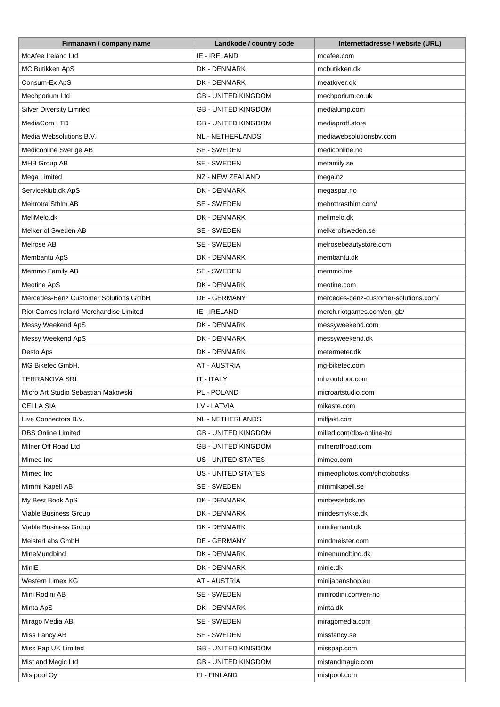| McAfee Ireland Ltd<br>IE - IRELAND<br>mcafee.com<br>MC Butikken ApS<br>DK - DENMARK<br>mcbutikken.dk<br>Consum-Ex ApS<br>DK - DENMARK<br>meatlover.dk<br>Mechporium Ltd<br><b>GB - UNITED KINGDOM</b><br>mechporium.co.uk<br><b>Silver Diversity Limited</b><br><b>GB - UNITED KINGDOM</b><br>medialump.com<br>MediaCom LTD<br>mediaproff.store<br><b>GB - UNITED KINGDOM</b><br>Media Websolutions B.V.<br>NL - NETHERLANDS<br>mediawebsolutionsbv.com<br>Mediconline Sverige AB<br>SE - SWEDEN<br>mediconline.no<br>MHB Group AB<br>SE - SWEDEN<br>mefamily.se<br>Mega Limited<br>NZ - NEW ZEALAND<br>mega.nz<br>Serviceklub.dk ApS<br>DK - DENMARK<br>megaspar.no<br>Mehrotra Sthlm AB<br>SE - SWEDEN<br>mehrotrasthlm.com/<br>MeliMelo.dk<br>DK - DENMARK<br>melimelo.dk<br>Melker of Sweden AB<br>SE - SWEDEN<br>melkerofsweden.se<br>Melrose AB<br>SE - SWEDEN<br>melrosebeautystore.com<br>Membantu ApS<br>DK - DENMARK<br>membantu.dk<br>Memmo Family AB<br>SE - SWEDEN<br>memmo.me<br>DK - DENMARK<br>Meotine ApS<br>meotine.com<br>Mercedes-Benz Customer Solutions GmbH<br>DE - GERMANY<br>mercedes-benz-customer-solutions.com/<br>IE - IRELAND<br>Riot Games Ireland Merchandise Limited<br>merch.riotgames.com/en_gb/<br>Messy Weekend ApS<br>DK - DENMARK<br>messyweekend.com<br>Messy Weekend ApS<br>DK - DENMARK<br>messyweekend.dk<br>Desto Aps<br>DK - DENMARK<br>metermeter.dk<br><b>AT - AUSTRIA</b><br>MG Biketec GmbH.<br>mg-biketec.com<br>IT - ITALY<br>TERRANOVA SRL<br>mhzoutdoor.com<br>PL - POLAND<br>Micro Art Studio Sebastian Makowski<br>microartstudio.com<br>LV - LATVIA<br><b>CELLA SIA</b><br>mikaste.com<br>Live Connectors B.V.<br><b>NL - NETHERLANDS</b><br>milfjakt.com<br><b>DBS Online Limited</b><br><b>GB - UNITED KINGDOM</b><br>milled.com/dbs-online-ltd<br>Milner Off Road Ltd<br><b>GB - UNITED KINGDOM</b><br>milneroffroad.com<br>US - UNITED STATES<br>Mimeo Inc<br>mimeo.com<br><b>US - UNITED STATES</b><br>mimeophotos.com/photobooks<br>Mimeo Inc<br>SE - SWEDEN<br>Mimmi Kapell AB<br>mimmikapell.se<br>My Best Book ApS<br>DK - DENMARK<br>minbestebok.no<br>Viable Business Group<br>DK - DENMARK<br>mindesmykke.dk<br>Viable Business Group<br>DK - DENMARK<br>mindiamant.dk<br>MeisterLabs GmbH<br>DE - GERMANY<br>mindmeister.com<br>DK - DENMARK<br>minemundbind.dk<br>MineMundbind<br><b>MiniE</b><br>DK - DENMARK<br>minie.dk<br>Western Limex KG<br><b>AT - AUSTRIA</b><br>minijapanshop.eu<br>Mini Rodini AB<br>SE - SWEDEN<br>minirodini.com/en-no<br>DK - DENMARK<br>Minta ApS<br>minta.dk<br>Mirago Media AB<br>SE - SWEDEN<br>miragomedia.com<br>SE - SWEDEN<br>Miss Fancy AB<br>missfancy.se<br>Miss Pap UK Limited<br><b>GB - UNITED KINGDOM</b><br>misspap.com<br>Mist and Magic Ltd<br><b>GB - UNITED KINGDOM</b><br>mistandmagic.com | Firmanavn / company name | Landkode / country code | Internettadresse / website (URL) |
|--------------------------------------------------------------------------------------------------------------------------------------------------------------------------------------------------------------------------------------------------------------------------------------------------------------------------------------------------------------------------------------------------------------------------------------------------------------------------------------------------------------------------------------------------------------------------------------------------------------------------------------------------------------------------------------------------------------------------------------------------------------------------------------------------------------------------------------------------------------------------------------------------------------------------------------------------------------------------------------------------------------------------------------------------------------------------------------------------------------------------------------------------------------------------------------------------------------------------------------------------------------------------------------------------------------------------------------------------------------------------------------------------------------------------------------------------------------------------------------------------------------------------------------------------------------------------------------------------------------------------------------------------------------------------------------------------------------------------------------------------------------------------------------------------------------------------------------------------------------------------------------------------------------------------------------------------------------------------------------------------------------------------------------------------------------------------------------------------------------------------------------------------------------------------------------------------------------------------------------------------------------------------------------------------------------------------------------------------------------------------------------------------------------------------------------------------------------------------------------------------------------------------------------------------------------------------------------------------------------------------------------------------------------------------------------------------------------------------------------------------------------------------------------------------------------------|--------------------------|-------------------------|----------------------------------|
|                                                                                                                                                                                                                                                                                                                                                                                                                                                                                                                                                                                                                                                                                                                                                                                                                                                                                                                                                                                                                                                                                                                                                                                                                                                                                                                                                                                                                                                                                                                                                                                                                                                                                                                                                                                                                                                                                                                                                                                                                                                                                                                                                                                                                                                                                                                                                                                                                                                                                                                                                                                                                                                                                                                                                                                                                    |                          |                         |                                  |
|                                                                                                                                                                                                                                                                                                                                                                                                                                                                                                                                                                                                                                                                                                                                                                                                                                                                                                                                                                                                                                                                                                                                                                                                                                                                                                                                                                                                                                                                                                                                                                                                                                                                                                                                                                                                                                                                                                                                                                                                                                                                                                                                                                                                                                                                                                                                                                                                                                                                                                                                                                                                                                                                                                                                                                                                                    |                          |                         |                                  |
|                                                                                                                                                                                                                                                                                                                                                                                                                                                                                                                                                                                                                                                                                                                                                                                                                                                                                                                                                                                                                                                                                                                                                                                                                                                                                                                                                                                                                                                                                                                                                                                                                                                                                                                                                                                                                                                                                                                                                                                                                                                                                                                                                                                                                                                                                                                                                                                                                                                                                                                                                                                                                                                                                                                                                                                                                    |                          |                         |                                  |
|                                                                                                                                                                                                                                                                                                                                                                                                                                                                                                                                                                                                                                                                                                                                                                                                                                                                                                                                                                                                                                                                                                                                                                                                                                                                                                                                                                                                                                                                                                                                                                                                                                                                                                                                                                                                                                                                                                                                                                                                                                                                                                                                                                                                                                                                                                                                                                                                                                                                                                                                                                                                                                                                                                                                                                                                                    |                          |                         |                                  |
|                                                                                                                                                                                                                                                                                                                                                                                                                                                                                                                                                                                                                                                                                                                                                                                                                                                                                                                                                                                                                                                                                                                                                                                                                                                                                                                                                                                                                                                                                                                                                                                                                                                                                                                                                                                                                                                                                                                                                                                                                                                                                                                                                                                                                                                                                                                                                                                                                                                                                                                                                                                                                                                                                                                                                                                                                    |                          |                         |                                  |
|                                                                                                                                                                                                                                                                                                                                                                                                                                                                                                                                                                                                                                                                                                                                                                                                                                                                                                                                                                                                                                                                                                                                                                                                                                                                                                                                                                                                                                                                                                                                                                                                                                                                                                                                                                                                                                                                                                                                                                                                                                                                                                                                                                                                                                                                                                                                                                                                                                                                                                                                                                                                                                                                                                                                                                                                                    |                          |                         |                                  |
|                                                                                                                                                                                                                                                                                                                                                                                                                                                                                                                                                                                                                                                                                                                                                                                                                                                                                                                                                                                                                                                                                                                                                                                                                                                                                                                                                                                                                                                                                                                                                                                                                                                                                                                                                                                                                                                                                                                                                                                                                                                                                                                                                                                                                                                                                                                                                                                                                                                                                                                                                                                                                                                                                                                                                                                                                    |                          |                         |                                  |
|                                                                                                                                                                                                                                                                                                                                                                                                                                                                                                                                                                                                                                                                                                                                                                                                                                                                                                                                                                                                                                                                                                                                                                                                                                                                                                                                                                                                                                                                                                                                                                                                                                                                                                                                                                                                                                                                                                                                                                                                                                                                                                                                                                                                                                                                                                                                                                                                                                                                                                                                                                                                                                                                                                                                                                                                                    |                          |                         |                                  |
|                                                                                                                                                                                                                                                                                                                                                                                                                                                                                                                                                                                                                                                                                                                                                                                                                                                                                                                                                                                                                                                                                                                                                                                                                                                                                                                                                                                                                                                                                                                                                                                                                                                                                                                                                                                                                                                                                                                                                                                                                                                                                                                                                                                                                                                                                                                                                                                                                                                                                                                                                                                                                                                                                                                                                                                                                    |                          |                         |                                  |
|                                                                                                                                                                                                                                                                                                                                                                                                                                                                                                                                                                                                                                                                                                                                                                                                                                                                                                                                                                                                                                                                                                                                                                                                                                                                                                                                                                                                                                                                                                                                                                                                                                                                                                                                                                                                                                                                                                                                                                                                                                                                                                                                                                                                                                                                                                                                                                                                                                                                                                                                                                                                                                                                                                                                                                                                                    |                          |                         |                                  |
|                                                                                                                                                                                                                                                                                                                                                                                                                                                                                                                                                                                                                                                                                                                                                                                                                                                                                                                                                                                                                                                                                                                                                                                                                                                                                                                                                                                                                                                                                                                                                                                                                                                                                                                                                                                                                                                                                                                                                                                                                                                                                                                                                                                                                                                                                                                                                                                                                                                                                                                                                                                                                                                                                                                                                                                                                    |                          |                         |                                  |
|                                                                                                                                                                                                                                                                                                                                                                                                                                                                                                                                                                                                                                                                                                                                                                                                                                                                                                                                                                                                                                                                                                                                                                                                                                                                                                                                                                                                                                                                                                                                                                                                                                                                                                                                                                                                                                                                                                                                                                                                                                                                                                                                                                                                                                                                                                                                                                                                                                                                                                                                                                                                                                                                                                                                                                                                                    |                          |                         |                                  |
|                                                                                                                                                                                                                                                                                                                                                                                                                                                                                                                                                                                                                                                                                                                                                                                                                                                                                                                                                                                                                                                                                                                                                                                                                                                                                                                                                                                                                                                                                                                                                                                                                                                                                                                                                                                                                                                                                                                                                                                                                                                                                                                                                                                                                                                                                                                                                                                                                                                                                                                                                                                                                                                                                                                                                                                                                    |                          |                         |                                  |
|                                                                                                                                                                                                                                                                                                                                                                                                                                                                                                                                                                                                                                                                                                                                                                                                                                                                                                                                                                                                                                                                                                                                                                                                                                                                                                                                                                                                                                                                                                                                                                                                                                                                                                                                                                                                                                                                                                                                                                                                                                                                                                                                                                                                                                                                                                                                                                                                                                                                                                                                                                                                                                                                                                                                                                                                                    |                          |                         |                                  |
|                                                                                                                                                                                                                                                                                                                                                                                                                                                                                                                                                                                                                                                                                                                                                                                                                                                                                                                                                                                                                                                                                                                                                                                                                                                                                                                                                                                                                                                                                                                                                                                                                                                                                                                                                                                                                                                                                                                                                                                                                                                                                                                                                                                                                                                                                                                                                                                                                                                                                                                                                                                                                                                                                                                                                                                                                    |                          |                         |                                  |
|                                                                                                                                                                                                                                                                                                                                                                                                                                                                                                                                                                                                                                                                                                                                                                                                                                                                                                                                                                                                                                                                                                                                                                                                                                                                                                                                                                                                                                                                                                                                                                                                                                                                                                                                                                                                                                                                                                                                                                                                                                                                                                                                                                                                                                                                                                                                                                                                                                                                                                                                                                                                                                                                                                                                                                                                                    |                          |                         |                                  |
|                                                                                                                                                                                                                                                                                                                                                                                                                                                                                                                                                                                                                                                                                                                                                                                                                                                                                                                                                                                                                                                                                                                                                                                                                                                                                                                                                                                                                                                                                                                                                                                                                                                                                                                                                                                                                                                                                                                                                                                                                                                                                                                                                                                                                                                                                                                                                                                                                                                                                                                                                                                                                                                                                                                                                                                                                    |                          |                         |                                  |
|                                                                                                                                                                                                                                                                                                                                                                                                                                                                                                                                                                                                                                                                                                                                                                                                                                                                                                                                                                                                                                                                                                                                                                                                                                                                                                                                                                                                                                                                                                                                                                                                                                                                                                                                                                                                                                                                                                                                                                                                                                                                                                                                                                                                                                                                                                                                                                                                                                                                                                                                                                                                                                                                                                                                                                                                                    |                          |                         |                                  |
|                                                                                                                                                                                                                                                                                                                                                                                                                                                                                                                                                                                                                                                                                                                                                                                                                                                                                                                                                                                                                                                                                                                                                                                                                                                                                                                                                                                                                                                                                                                                                                                                                                                                                                                                                                                                                                                                                                                                                                                                                                                                                                                                                                                                                                                                                                                                                                                                                                                                                                                                                                                                                                                                                                                                                                                                                    |                          |                         |                                  |
|                                                                                                                                                                                                                                                                                                                                                                                                                                                                                                                                                                                                                                                                                                                                                                                                                                                                                                                                                                                                                                                                                                                                                                                                                                                                                                                                                                                                                                                                                                                                                                                                                                                                                                                                                                                                                                                                                                                                                                                                                                                                                                                                                                                                                                                                                                                                                                                                                                                                                                                                                                                                                                                                                                                                                                                                                    |                          |                         |                                  |
|                                                                                                                                                                                                                                                                                                                                                                                                                                                                                                                                                                                                                                                                                                                                                                                                                                                                                                                                                                                                                                                                                                                                                                                                                                                                                                                                                                                                                                                                                                                                                                                                                                                                                                                                                                                                                                                                                                                                                                                                                                                                                                                                                                                                                                                                                                                                                                                                                                                                                                                                                                                                                                                                                                                                                                                                                    |                          |                         |                                  |
|                                                                                                                                                                                                                                                                                                                                                                                                                                                                                                                                                                                                                                                                                                                                                                                                                                                                                                                                                                                                                                                                                                                                                                                                                                                                                                                                                                                                                                                                                                                                                                                                                                                                                                                                                                                                                                                                                                                                                                                                                                                                                                                                                                                                                                                                                                                                                                                                                                                                                                                                                                                                                                                                                                                                                                                                                    |                          |                         |                                  |
|                                                                                                                                                                                                                                                                                                                                                                                                                                                                                                                                                                                                                                                                                                                                                                                                                                                                                                                                                                                                                                                                                                                                                                                                                                                                                                                                                                                                                                                                                                                                                                                                                                                                                                                                                                                                                                                                                                                                                                                                                                                                                                                                                                                                                                                                                                                                                                                                                                                                                                                                                                                                                                                                                                                                                                                                                    |                          |                         |                                  |
|                                                                                                                                                                                                                                                                                                                                                                                                                                                                                                                                                                                                                                                                                                                                                                                                                                                                                                                                                                                                                                                                                                                                                                                                                                                                                                                                                                                                                                                                                                                                                                                                                                                                                                                                                                                                                                                                                                                                                                                                                                                                                                                                                                                                                                                                                                                                                                                                                                                                                                                                                                                                                                                                                                                                                                                                                    |                          |                         |                                  |
|                                                                                                                                                                                                                                                                                                                                                                                                                                                                                                                                                                                                                                                                                                                                                                                                                                                                                                                                                                                                                                                                                                                                                                                                                                                                                                                                                                                                                                                                                                                                                                                                                                                                                                                                                                                                                                                                                                                                                                                                                                                                                                                                                                                                                                                                                                                                                                                                                                                                                                                                                                                                                                                                                                                                                                                                                    |                          |                         |                                  |
|                                                                                                                                                                                                                                                                                                                                                                                                                                                                                                                                                                                                                                                                                                                                                                                                                                                                                                                                                                                                                                                                                                                                                                                                                                                                                                                                                                                                                                                                                                                                                                                                                                                                                                                                                                                                                                                                                                                                                                                                                                                                                                                                                                                                                                                                                                                                                                                                                                                                                                                                                                                                                                                                                                                                                                                                                    |                          |                         |                                  |
|                                                                                                                                                                                                                                                                                                                                                                                                                                                                                                                                                                                                                                                                                                                                                                                                                                                                                                                                                                                                                                                                                                                                                                                                                                                                                                                                                                                                                                                                                                                                                                                                                                                                                                                                                                                                                                                                                                                                                                                                                                                                                                                                                                                                                                                                                                                                                                                                                                                                                                                                                                                                                                                                                                                                                                                                                    |                          |                         |                                  |
|                                                                                                                                                                                                                                                                                                                                                                                                                                                                                                                                                                                                                                                                                                                                                                                                                                                                                                                                                                                                                                                                                                                                                                                                                                                                                                                                                                                                                                                                                                                                                                                                                                                                                                                                                                                                                                                                                                                                                                                                                                                                                                                                                                                                                                                                                                                                                                                                                                                                                                                                                                                                                                                                                                                                                                                                                    |                          |                         |                                  |
|                                                                                                                                                                                                                                                                                                                                                                                                                                                                                                                                                                                                                                                                                                                                                                                                                                                                                                                                                                                                                                                                                                                                                                                                                                                                                                                                                                                                                                                                                                                                                                                                                                                                                                                                                                                                                                                                                                                                                                                                                                                                                                                                                                                                                                                                                                                                                                                                                                                                                                                                                                                                                                                                                                                                                                                                                    |                          |                         |                                  |
|                                                                                                                                                                                                                                                                                                                                                                                                                                                                                                                                                                                                                                                                                                                                                                                                                                                                                                                                                                                                                                                                                                                                                                                                                                                                                                                                                                                                                                                                                                                                                                                                                                                                                                                                                                                                                                                                                                                                                                                                                                                                                                                                                                                                                                                                                                                                                                                                                                                                                                                                                                                                                                                                                                                                                                                                                    |                          |                         |                                  |
|                                                                                                                                                                                                                                                                                                                                                                                                                                                                                                                                                                                                                                                                                                                                                                                                                                                                                                                                                                                                                                                                                                                                                                                                                                                                                                                                                                                                                                                                                                                                                                                                                                                                                                                                                                                                                                                                                                                                                                                                                                                                                                                                                                                                                                                                                                                                                                                                                                                                                                                                                                                                                                                                                                                                                                                                                    |                          |                         |                                  |
|                                                                                                                                                                                                                                                                                                                                                                                                                                                                                                                                                                                                                                                                                                                                                                                                                                                                                                                                                                                                                                                                                                                                                                                                                                                                                                                                                                                                                                                                                                                                                                                                                                                                                                                                                                                                                                                                                                                                                                                                                                                                                                                                                                                                                                                                                                                                                                                                                                                                                                                                                                                                                                                                                                                                                                                                                    |                          |                         |                                  |
|                                                                                                                                                                                                                                                                                                                                                                                                                                                                                                                                                                                                                                                                                                                                                                                                                                                                                                                                                                                                                                                                                                                                                                                                                                                                                                                                                                                                                                                                                                                                                                                                                                                                                                                                                                                                                                                                                                                                                                                                                                                                                                                                                                                                                                                                                                                                                                                                                                                                                                                                                                                                                                                                                                                                                                                                                    |                          |                         |                                  |
|                                                                                                                                                                                                                                                                                                                                                                                                                                                                                                                                                                                                                                                                                                                                                                                                                                                                                                                                                                                                                                                                                                                                                                                                                                                                                                                                                                                                                                                                                                                                                                                                                                                                                                                                                                                                                                                                                                                                                                                                                                                                                                                                                                                                                                                                                                                                                                                                                                                                                                                                                                                                                                                                                                                                                                                                                    |                          |                         |                                  |
|                                                                                                                                                                                                                                                                                                                                                                                                                                                                                                                                                                                                                                                                                                                                                                                                                                                                                                                                                                                                                                                                                                                                                                                                                                                                                                                                                                                                                                                                                                                                                                                                                                                                                                                                                                                                                                                                                                                                                                                                                                                                                                                                                                                                                                                                                                                                                                                                                                                                                                                                                                                                                                                                                                                                                                                                                    |                          |                         |                                  |
|                                                                                                                                                                                                                                                                                                                                                                                                                                                                                                                                                                                                                                                                                                                                                                                                                                                                                                                                                                                                                                                                                                                                                                                                                                                                                                                                                                                                                                                                                                                                                                                                                                                                                                                                                                                                                                                                                                                                                                                                                                                                                                                                                                                                                                                                                                                                                                                                                                                                                                                                                                                                                                                                                                                                                                                                                    |                          |                         |                                  |
|                                                                                                                                                                                                                                                                                                                                                                                                                                                                                                                                                                                                                                                                                                                                                                                                                                                                                                                                                                                                                                                                                                                                                                                                                                                                                                                                                                                                                                                                                                                                                                                                                                                                                                                                                                                                                                                                                                                                                                                                                                                                                                                                                                                                                                                                                                                                                                                                                                                                                                                                                                                                                                                                                                                                                                                                                    |                          |                         |                                  |
|                                                                                                                                                                                                                                                                                                                                                                                                                                                                                                                                                                                                                                                                                                                                                                                                                                                                                                                                                                                                                                                                                                                                                                                                                                                                                                                                                                                                                                                                                                                                                                                                                                                                                                                                                                                                                                                                                                                                                                                                                                                                                                                                                                                                                                                                                                                                                                                                                                                                                                                                                                                                                                                                                                                                                                                                                    |                          |                         |                                  |
|                                                                                                                                                                                                                                                                                                                                                                                                                                                                                                                                                                                                                                                                                                                                                                                                                                                                                                                                                                                                                                                                                                                                                                                                                                                                                                                                                                                                                                                                                                                                                                                                                                                                                                                                                                                                                                                                                                                                                                                                                                                                                                                                                                                                                                                                                                                                                                                                                                                                                                                                                                                                                                                                                                                                                                                                                    |                          |                         |                                  |
|                                                                                                                                                                                                                                                                                                                                                                                                                                                                                                                                                                                                                                                                                                                                                                                                                                                                                                                                                                                                                                                                                                                                                                                                                                                                                                                                                                                                                                                                                                                                                                                                                                                                                                                                                                                                                                                                                                                                                                                                                                                                                                                                                                                                                                                                                                                                                                                                                                                                                                                                                                                                                                                                                                                                                                                                                    |                          |                         |                                  |
|                                                                                                                                                                                                                                                                                                                                                                                                                                                                                                                                                                                                                                                                                                                                                                                                                                                                                                                                                                                                                                                                                                                                                                                                                                                                                                                                                                                                                                                                                                                                                                                                                                                                                                                                                                                                                                                                                                                                                                                                                                                                                                                                                                                                                                                                                                                                                                                                                                                                                                                                                                                                                                                                                                                                                                                                                    |                          |                         |                                  |
|                                                                                                                                                                                                                                                                                                                                                                                                                                                                                                                                                                                                                                                                                                                                                                                                                                                                                                                                                                                                                                                                                                                                                                                                                                                                                                                                                                                                                                                                                                                                                                                                                                                                                                                                                                                                                                                                                                                                                                                                                                                                                                                                                                                                                                                                                                                                                                                                                                                                                                                                                                                                                                                                                                                                                                                                                    |                          |                         |                                  |
|                                                                                                                                                                                                                                                                                                                                                                                                                                                                                                                                                                                                                                                                                                                                                                                                                                                                                                                                                                                                                                                                                                                                                                                                                                                                                                                                                                                                                                                                                                                                                                                                                                                                                                                                                                                                                                                                                                                                                                                                                                                                                                                                                                                                                                                                                                                                                                                                                                                                                                                                                                                                                                                                                                                                                                                                                    |                          |                         |                                  |
|                                                                                                                                                                                                                                                                                                                                                                                                                                                                                                                                                                                                                                                                                                                                                                                                                                                                                                                                                                                                                                                                                                                                                                                                                                                                                                                                                                                                                                                                                                                                                                                                                                                                                                                                                                                                                                                                                                                                                                                                                                                                                                                                                                                                                                                                                                                                                                                                                                                                                                                                                                                                                                                                                                                                                                                                                    |                          |                         |                                  |
|                                                                                                                                                                                                                                                                                                                                                                                                                                                                                                                                                                                                                                                                                                                                                                                                                                                                                                                                                                                                                                                                                                                                                                                                                                                                                                                                                                                                                                                                                                                                                                                                                                                                                                                                                                                                                                                                                                                                                                                                                                                                                                                                                                                                                                                                                                                                                                                                                                                                                                                                                                                                                                                                                                                                                                                                                    |                          |                         |                                  |
|                                                                                                                                                                                                                                                                                                                                                                                                                                                                                                                                                                                                                                                                                                                                                                                                                                                                                                                                                                                                                                                                                                                                                                                                                                                                                                                                                                                                                                                                                                                                                                                                                                                                                                                                                                                                                                                                                                                                                                                                                                                                                                                                                                                                                                                                                                                                                                                                                                                                                                                                                                                                                                                                                                                                                                                                                    |                          |                         |                                  |
|                                                                                                                                                                                                                                                                                                                                                                                                                                                                                                                                                                                                                                                                                                                                                                                                                                                                                                                                                                                                                                                                                                                                                                                                                                                                                                                                                                                                                                                                                                                                                                                                                                                                                                                                                                                                                                                                                                                                                                                                                                                                                                                                                                                                                                                                                                                                                                                                                                                                                                                                                                                                                                                                                                                                                                                                                    |                          |                         |                                  |
|                                                                                                                                                                                                                                                                                                                                                                                                                                                                                                                                                                                                                                                                                                                                                                                                                                                                                                                                                                                                                                                                                                                                                                                                                                                                                                                                                                                                                                                                                                                                                                                                                                                                                                                                                                                                                                                                                                                                                                                                                                                                                                                                                                                                                                                                                                                                                                                                                                                                                                                                                                                                                                                                                                                                                                                                                    | Mistpool Oy              | FI - FINLAND            | mistpool.com                     |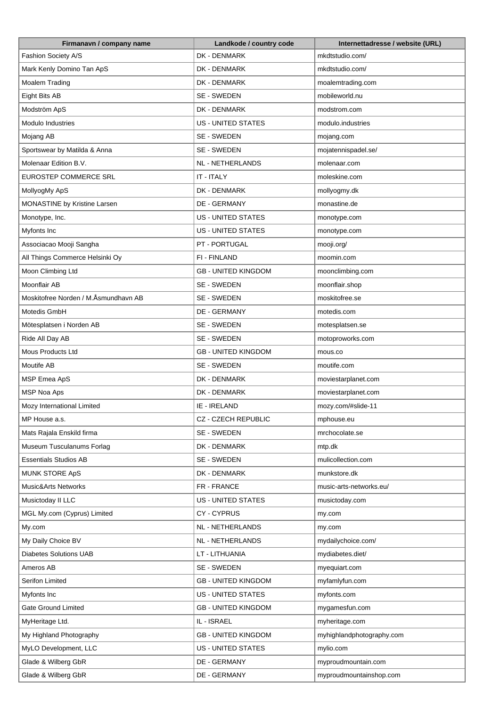| Firmanavn / company name             | Landkode / country code    | Internettadresse / website (URL) |
|--------------------------------------|----------------------------|----------------------------------|
| Fashion Society A/S                  | DK - DENMARK               | mkdtstudio.com/                  |
| Mark Kenly Domino Tan ApS            | DK - DENMARK               | mkdtstudio.com/                  |
| Moalem Trading                       | DK - DENMARK               | moalemtrading.com                |
| Eight Bits AB                        | SE - SWEDEN                | mobileworld.nu                   |
| Modström ApS                         | DK - DENMARK               | modstrom.com                     |
| Modulo Industries                    | <b>US - UNITED STATES</b>  | modulo.industries                |
| Mojang AB                            | SE - SWEDEN                | mojang.com                       |
| Sportswear by Matilda & Anna         | SE - SWEDEN                | mojatennispadel.se/              |
| Molenaar Edition B.V.                | NL - NETHERLANDS           | molenaar.com                     |
| <b>EUROSTEP COMMERCE SRL</b>         | IT - ITALY                 | moleskine.com                    |
| MollyogMy ApS                        | DK - DENMARK               | mollyogmy.dk                     |
| MONASTINE by Kristine Larsen         | DE - GERMANY               | monastine.de                     |
| Monotype, Inc.                       | <b>US - UNITED STATES</b>  | monotype.com                     |
| Myfonts Inc                          | <b>US - UNITED STATES</b>  | monotype.com                     |
| Associacao Mooji Sangha              | PT - PORTUGAL              | mooji.org/                       |
| All Things Commerce Helsinki Oy      | FI - FINLAND               | moomin.com                       |
| Moon Climbing Ltd                    | <b>GB - UNITED KINGDOM</b> | moonclimbing.com                 |
| Moonflair AB                         | SE - SWEDEN                | moonflair.shop                   |
| Moskitofree Norden / M.Åsmundhavn AB | SE - SWEDEN                | moskitofree.se                   |
| Motedis GmbH                         | DE - GERMANY               | motedis.com                      |
| Mötesplatsen i Norden AB             | SE - SWEDEN                | motesplatsen.se                  |
| Ride All Day AB                      | SE - SWEDEN                | motoproworks.com                 |
| Mous Products Ltd                    | <b>GB - UNITED KINGDOM</b> | mous.co                          |
| Moutife AB                           | SE - SWEDEN                | moutife.com                      |
| MSP Emea ApS                         | DK - DENMARK               | moviestarplanet.com              |
| MSP Noa Aps                          | DK - DENMARK               | moviestarplanet.com              |
| Mozy International Limited           | IE - IRELAND               | mozy.com/#slide-11               |
| MP House a.s.                        | CZ - CZECH REPUBLIC        | mphouse.eu                       |
| Mats Rajala Enskild firma            | SE - SWEDEN                | mrchocolate.se                   |
| Museum Tusculanums Forlag            | DK - DENMARK               | mtp.dk                           |
| <b>Essentials Studios AB</b>         | SE - SWEDEN                | mulicollection.com               |
| <b>MUNK STORE ApS</b>                | DK - DENMARK               | munkstore.dk                     |
| <b>Music&amp;Arts Networks</b>       | FR - FRANCE                | music-arts-networks.eu/          |
| Musictoday II LLC                    | US - UNITED STATES         | musictoday.com                   |
| MGL My.com (Cyprus) Limited          | CY-CYPRUS                  | my.com                           |
| My.com                               | NL - NETHERLANDS           | my.com                           |
| My Daily Choice BV                   | NL - NETHERLANDS           | mydailychoice.com/               |
| <b>Diabetes Solutions UAB</b>        | LT - LITHUANIA             | mydiabetes.diet/                 |
| Ameros AB                            | SE - SWEDEN                | myequiart.com                    |
| Serifon Limited                      | <b>GB - UNITED KINGDOM</b> | myfamlyfun.com                   |
| Myfonts Inc                          | <b>US - UNITED STATES</b>  | myfonts.com                      |
| <b>Gate Ground Limited</b>           | <b>GB - UNITED KINGDOM</b> | mygamesfun.com                   |
| MyHeritage Ltd.                      | IL - ISRAEL                | myheritage.com                   |
| My Highland Photography              | <b>GB - UNITED KINGDOM</b> | myhighlandphotography.com        |
| MyLO Development, LLC                | US - UNITED STATES         | mylio.com                        |
| Glade & Wilberg GbR                  | DE - GERMANY               | myproudmountain.com              |
| Glade & Wilberg GbR                  | DE - GERMANY               | myproudmountainshop.com          |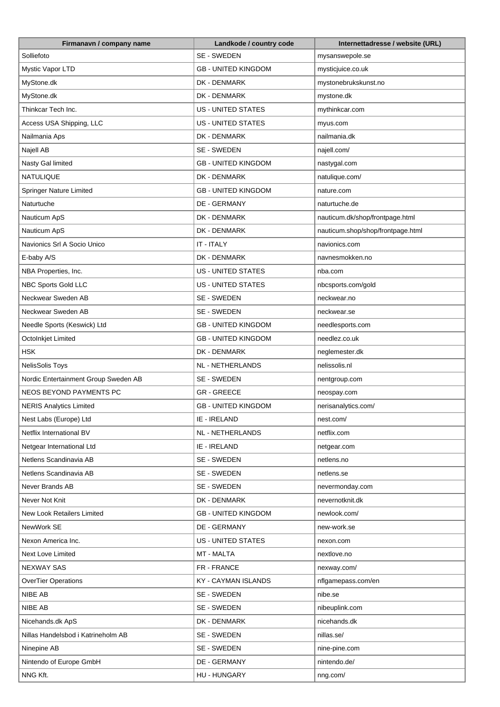| Firmanavn / company name             | Landkode / country code    | Internettadresse / website (URL)  |
|--------------------------------------|----------------------------|-----------------------------------|
| Solliefoto                           | SE - SWEDEN                | mysanswepole.se                   |
| Mystic Vapor LTD                     | <b>GB - UNITED KINGDOM</b> | mysticjuice.co.uk                 |
| MyStone.dk                           | DK - DENMARK               | mystonebrukskunst.no              |
| MyStone.dk                           | DK - DENMARK               | mystone.dk                        |
| Thinkcar Tech Inc.                   | <b>US - UNITED STATES</b>  | mythinkcar.com                    |
| Access USA Shipping, LLC             | <b>US - UNITED STATES</b>  | myus.com                          |
| Nailmania Aps                        | DK - DENMARK               | nailmania.dk                      |
| Najell AB                            | SE - SWEDEN                | najell.com/                       |
| Nasty Gal limited                    | <b>GB - UNITED KINGDOM</b> | nastygal.com                      |
| NATULIQUE                            | DK - DENMARK               | natulique.com/                    |
| Springer Nature Limited              | <b>GB - UNITED KINGDOM</b> | nature.com                        |
| Naturtuche                           | DE - GERMANY               | naturtuche.de                     |
| Nauticum ApS                         | DK - DENMARK               | nauticum.dk/shop/frontpage.html   |
| Nauticum ApS                         | DK - DENMARK               | nauticum.shop/shop/frontpage.html |
| Navionics Srl A Socio Unico          | IT - ITALY                 | navionics.com                     |
| E-baby A/S                           | DK - DENMARK               | navnesmokken.no                   |
| NBA Properties, Inc.                 | <b>US - UNITED STATES</b>  | nba.com                           |
| NBC Sports Gold LLC                  | <b>US - UNITED STATES</b>  | nbcsports.com/gold                |
| Neckwear Sweden AB                   | SE - SWEDEN                | neckwear.no                       |
| Neckwear Sweden AB                   | SE - SWEDEN                | neckwear.se                       |
| Needle Sports (Keswick) Ltd          | <b>GB - UNITED KINGDOM</b> | needlesports.com                  |
| OctoInkjet Limited                   | <b>GB - UNITED KINGDOM</b> | needlez.co.uk                     |
| <b>HSK</b>                           | DK - DENMARK               | neglemester.dk                    |
| <b>NelisSolis Toys</b>               | NL - NETHERLANDS           | nelissolis.nl                     |
| Nordic Entertainment Group Sweden AB | SE - SWEDEN                | nentgroup.com                     |
| NEOS BEYOND PAYMENTS PC              | <b>GR-GREECE</b>           | neospay.com                       |
| <b>NERIS Analytics Limited</b>       | <b>GB - UNITED KINGDOM</b> | nerisanalytics.com/               |
| Nest Labs (Europe) Ltd               | IE - IRELAND               | nest.com/                         |
| Netflix International BV             | <b>NL - NETHERLANDS</b>    | netflix.com                       |
| Netgear International Ltd            | IE - IRELAND               | netgear.com                       |
| Netlens Scandinavia AB               | SE - SWEDEN                | netlens.no                        |
| Netlens Scandinavia AB               | SE - SWEDEN                | netlens.se                        |
| Never Brands AB                      | SE - SWEDEN                | nevermonday.com                   |
| Never Not Knit                       | DK - DENMARK               | nevernotknit.dk                   |
| New Look Retailers Limited           | <b>GB - UNITED KINGDOM</b> | newlook.com/                      |
| NewWork SE                           | DE - GERMANY               | new-work.se                       |
| Nexon America Inc.                   | <b>US - UNITED STATES</b>  | nexon.com                         |
| Next Love Limited                    | MT - MALTA                 | nextlove.no                       |
| <b>NEXWAY SAS</b>                    | FR - FRANCE                | nexway.com/                       |
| <b>OverTier Operations</b>           | KY - CAYMAN ISLANDS        | nflgamepass.com/en                |
| NIBE AB                              | SE - SWEDEN                | nibe.se                           |
| NIBE AB                              | SE - SWEDEN                | nibeuplink.com                    |
| Nicehands.dk ApS                     | DK - DENMARK               | nicehands.dk                      |
| Nillas Handelsbod i Katrineholm AB   | SE - SWEDEN                | nillas.se/                        |
| Ninepine AB                          | SE - SWEDEN                | nine-pine.com                     |
| Nintendo of Europe GmbH              | DE - GERMANY               | nintendo.de/                      |
| NNG Kft.                             | HU - HUNGARY               | nng.com/                          |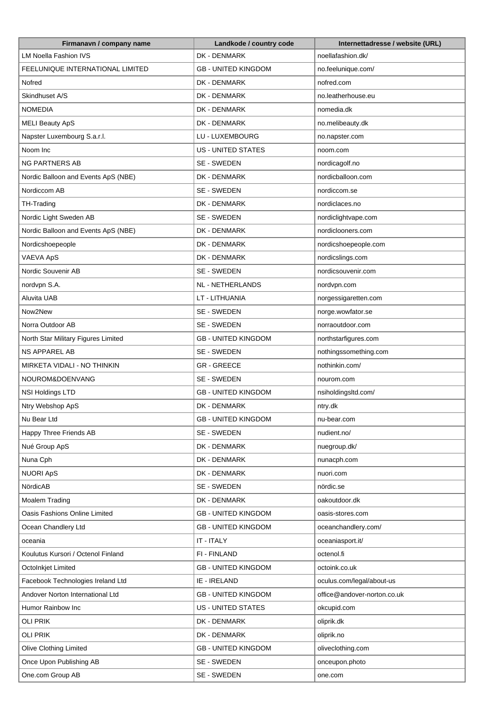| <b>LM Noella Fashion IVS</b><br>DK - DENMARK<br>noellafashion.dk/<br>FEELUNIQUE INTERNATIONAL LIMITED<br><b>GB - UNITED KINGDOM</b><br>no.feelunique.com/<br>Nofred<br>DK - DENMARK<br>nofred.com<br>Skindhuset A/S<br>DK - DENMARK<br>no.leatherhouse.eu<br><b>NOMEDIA</b><br>DK - DENMARK<br>nomedia.dk<br><b>MELI Beauty ApS</b><br>DK - DENMARK<br>no.melibeauty.dk<br>Napster Luxembourg S.a.r.l.<br>LU - LUXEMBOURG<br>no.napster.com<br>Noom Inc<br><b>US - UNITED STATES</b><br>noom.com<br><b>NG PARTNERS AB</b><br>SE - SWEDEN<br>nordicagolf.no<br>Nordic Balloon and Events ApS (NBE)<br>DK - DENMARK<br>nordicballoon.com<br>Nordiccom AB<br>SE - SWEDEN<br>nordiccom.se<br>DK - DENMARK<br>TH-Trading<br>nordiclaces.no<br>SE - SWEDEN<br>Nordic Light Sweden AB<br>nordiclightvape.com<br>Nordic Balloon and Events ApS (NBE)<br>nordiclooners.com<br>DK - DENMARK<br>Nordicshoepeople<br>DK - DENMARK<br>nordicshoepeople.com<br>VAEVA ApS<br>DK - DENMARK<br>nordicslings.com<br>Nordic Souvenir AB<br>SE - SWEDEN<br>nordicsouvenir.com<br>nordvpn S.A.<br>NL - NETHERLANDS<br>nordvpn.com<br><b>Aluvita UAB</b><br>LT - LITHUANIA<br>norgessigaretten.com<br>Now2New<br>SE - SWEDEN<br>norge.wowfator.se<br>Norra Outdoor AB<br>SE - SWEDEN<br>norraoutdoor.com<br>North Star Military Figures Limited<br><b>GB - UNITED KINGDOM</b><br>northstarfigures.com<br><b>NS APPAREL AB</b><br>nothingssomething.com<br>SE - SWEDEN<br>MIRKETA VIDALI - NO THINKIN<br><b>GR-GREECE</b><br>nothinkin.com/<br>NOUROM&DOENVANG<br>SE - SWEDEN<br>nourom.com<br>NSI Holdings LTD<br><b>GB - UNITED KINGDOM</b><br>nsiholdingsltd.com/<br>Ntry Webshop ApS<br>DK - DENMARK<br>ntry.dk<br>Nu Bear Ltd<br><b>GB - UNITED KINGDOM</b><br>nu-bear.com<br>Happy Three Friends AB<br>SE - SWEDEN<br>nudient.no/<br>Nué Group ApS<br>DK - DENMARK<br>nuegroup.dk/<br>Nuna Cph<br>DK - DENMARK<br>nunacph.com<br><b>NUORI ApS</b><br>DK - DENMARK<br>nuori.com<br>NördicAB<br>SE - SWEDEN<br>nördic.se<br>DK - DENMARK<br>Moalem Trading<br>oakoutdoor.dk<br>Oasis Fashions Online Limited<br><b>GB - UNITED KINGDOM</b><br>oasis-stores.com<br>Ocean Chandlery Ltd<br><b>GB - UNITED KINGDOM</b><br>oceanchandlery.com/<br>IT - ITALY<br>oceaniasport.it/<br>oceania<br>Koulutus Kursori / Octenol Finland<br>FI - FINLAND<br>octenol.fi<br>OctoInkjet Limited<br><b>GB - UNITED KINGDOM</b><br>octoink.co.uk<br>Facebook Technologies Ireland Ltd<br>IE - IRELAND<br>oculus.com/legal/about-us<br>Andover Norton International Ltd<br><b>GB - UNITED KINGDOM</b><br>office@andover-norton.co.uk<br><b>US - UNITED STATES</b><br>Humor Rainbow Inc<br>okcupid.com<br>OLI PRIK<br>DK - DENMARK<br>oliprik.dk<br><b>OLI PRIK</b><br>DK - DENMARK<br>oliprik.no<br>Olive Clothing Limited<br><b>GB - UNITED KINGDOM</b><br>oliveclothing.com<br>Once Upon Publishing AB<br>SE - SWEDEN<br>onceupon.photo | Firmanavn / company name | Landkode / country code | Internettadresse / website (URL) |
|-------------------------------------------------------------------------------------------------------------------------------------------------------------------------------------------------------------------------------------------------------------------------------------------------------------------------------------------------------------------------------------------------------------------------------------------------------------------------------------------------------------------------------------------------------------------------------------------------------------------------------------------------------------------------------------------------------------------------------------------------------------------------------------------------------------------------------------------------------------------------------------------------------------------------------------------------------------------------------------------------------------------------------------------------------------------------------------------------------------------------------------------------------------------------------------------------------------------------------------------------------------------------------------------------------------------------------------------------------------------------------------------------------------------------------------------------------------------------------------------------------------------------------------------------------------------------------------------------------------------------------------------------------------------------------------------------------------------------------------------------------------------------------------------------------------------------------------------------------------------------------------------------------------------------------------------------------------------------------------------------------------------------------------------------------------------------------------------------------------------------------------------------------------------------------------------------------------------------------------------------------------------------------------------------------------------------------------------------------------------------------------------------------------------------------------------------------------------------------------------------------------------------------------------------------------------------------------------------------------------------------------------------------------------------------------------------------------------------------------------------------------------------------------------------------------------------------------------------------------------------------------------------------|--------------------------|-------------------------|----------------------------------|
|                                                                                                                                                                                                                                                                                                                                                                                                                                                                                                                                                                                                                                                                                                                                                                                                                                                                                                                                                                                                                                                                                                                                                                                                                                                                                                                                                                                                                                                                                                                                                                                                                                                                                                                                                                                                                                                                                                                                                                                                                                                                                                                                                                                                                                                                                                                                                                                                                                                                                                                                                                                                                                                                                                                                                                                                                                                                                                       |                          |                         |                                  |
|                                                                                                                                                                                                                                                                                                                                                                                                                                                                                                                                                                                                                                                                                                                                                                                                                                                                                                                                                                                                                                                                                                                                                                                                                                                                                                                                                                                                                                                                                                                                                                                                                                                                                                                                                                                                                                                                                                                                                                                                                                                                                                                                                                                                                                                                                                                                                                                                                                                                                                                                                                                                                                                                                                                                                                                                                                                                                                       |                          |                         |                                  |
|                                                                                                                                                                                                                                                                                                                                                                                                                                                                                                                                                                                                                                                                                                                                                                                                                                                                                                                                                                                                                                                                                                                                                                                                                                                                                                                                                                                                                                                                                                                                                                                                                                                                                                                                                                                                                                                                                                                                                                                                                                                                                                                                                                                                                                                                                                                                                                                                                                                                                                                                                                                                                                                                                                                                                                                                                                                                                                       |                          |                         |                                  |
|                                                                                                                                                                                                                                                                                                                                                                                                                                                                                                                                                                                                                                                                                                                                                                                                                                                                                                                                                                                                                                                                                                                                                                                                                                                                                                                                                                                                                                                                                                                                                                                                                                                                                                                                                                                                                                                                                                                                                                                                                                                                                                                                                                                                                                                                                                                                                                                                                                                                                                                                                                                                                                                                                                                                                                                                                                                                                                       |                          |                         |                                  |
|                                                                                                                                                                                                                                                                                                                                                                                                                                                                                                                                                                                                                                                                                                                                                                                                                                                                                                                                                                                                                                                                                                                                                                                                                                                                                                                                                                                                                                                                                                                                                                                                                                                                                                                                                                                                                                                                                                                                                                                                                                                                                                                                                                                                                                                                                                                                                                                                                                                                                                                                                                                                                                                                                                                                                                                                                                                                                                       |                          |                         |                                  |
|                                                                                                                                                                                                                                                                                                                                                                                                                                                                                                                                                                                                                                                                                                                                                                                                                                                                                                                                                                                                                                                                                                                                                                                                                                                                                                                                                                                                                                                                                                                                                                                                                                                                                                                                                                                                                                                                                                                                                                                                                                                                                                                                                                                                                                                                                                                                                                                                                                                                                                                                                                                                                                                                                                                                                                                                                                                                                                       |                          |                         |                                  |
|                                                                                                                                                                                                                                                                                                                                                                                                                                                                                                                                                                                                                                                                                                                                                                                                                                                                                                                                                                                                                                                                                                                                                                                                                                                                                                                                                                                                                                                                                                                                                                                                                                                                                                                                                                                                                                                                                                                                                                                                                                                                                                                                                                                                                                                                                                                                                                                                                                                                                                                                                                                                                                                                                                                                                                                                                                                                                                       |                          |                         |                                  |
|                                                                                                                                                                                                                                                                                                                                                                                                                                                                                                                                                                                                                                                                                                                                                                                                                                                                                                                                                                                                                                                                                                                                                                                                                                                                                                                                                                                                                                                                                                                                                                                                                                                                                                                                                                                                                                                                                                                                                                                                                                                                                                                                                                                                                                                                                                                                                                                                                                                                                                                                                                                                                                                                                                                                                                                                                                                                                                       |                          |                         |                                  |
|                                                                                                                                                                                                                                                                                                                                                                                                                                                                                                                                                                                                                                                                                                                                                                                                                                                                                                                                                                                                                                                                                                                                                                                                                                                                                                                                                                                                                                                                                                                                                                                                                                                                                                                                                                                                                                                                                                                                                                                                                                                                                                                                                                                                                                                                                                                                                                                                                                                                                                                                                                                                                                                                                                                                                                                                                                                                                                       |                          |                         |                                  |
|                                                                                                                                                                                                                                                                                                                                                                                                                                                                                                                                                                                                                                                                                                                                                                                                                                                                                                                                                                                                                                                                                                                                                                                                                                                                                                                                                                                                                                                                                                                                                                                                                                                                                                                                                                                                                                                                                                                                                                                                                                                                                                                                                                                                                                                                                                                                                                                                                                                                                                                                                                                                                                                                                                                                                                                                                                                                                                       |                          |                         |                                  |
|                                                                                                                                                                                                                                                                                                                                                                                                                                                                                                                                                                                                                                                                                                                                                                                                                                                                                                                                                                                                                                                                                                                                                                                                                                                                                                                                                                                                                                                                                                                                                                                                                                                                                                                                                                                                                                                                                                                                                                                                                                                                                                                                                                                                                                                                                                                                                                                                                                                                                                                                                                                                                                                                                                                                                                                                                                                                                                       |                          |                         |                                  |
|                                                                                                                                                                                                                                                                                                                                                                                                                                                                                                                                                                                                                                                                                                                                                                                                                                                                                                                                                                                                                                                                                                                                                                                                                                                                                                                                                                                                                                                                                                                                                                                                                                                                                                                                                                                                                                                                                                                                                                                                                                                                                                                                                                                                                                                                                                                                                                                                                                                                                                                                                                                                                                                                                                                                                                                                                                                                                                       |                          |                         |                                  |
|                                                                                                                                                                                                                                                                                                                                                                                                                                                                                                                                                                                                                                                                                                                                                                                                                                                                                                                                                                                                                                                                                                                                                                                                                                                                                                                                                                                                                                                                                                                                                                                                                                                                                                                                                                                                                                                                                                                                                                                                                                                                                                                                                                                                                                                                                                                                                                                                                                                                                                                                                                                                                                                                                                                                                                                                                                                                                                       |                          |                         |                                  |
|                                                                                                                                                                                                                                                                                                                                                                                                                                                                                                                                                                                                                                                                                                                                                                                                                                                                                                                                                                                                                                                                                                                                                                                                                                                                                                                                                                                                                                                                                                                                                                                                                                                                                                                                                                                                                                                                                                                                                                                                                                                                                                                                                                                                                                                                                                                                                                                                                                                                                                                                                                                                                                                                                                                                                                                                                                                                                                       |                          |                         |                                  |
|                                                                                                                                                                                                                                                                                                                                                                                                                                                                                                                                                                                                                                                                                                                                                                                                                                                                                                                                                                                                                                                                                                                                                                                                                                                                                                                                                                                                                                                                                                                                                                                                                                                                                                                                                                                                                                                                                                                                                                                                                                                                                                                                                                                                                                                                                                                                                                                                                                                                                                                                                                                                                                                                                                                                                                                                                                                                                                       |                          |                         |                                  |
|                                                                                                                                                                                                                                                                                                                                                                                                                                                                                                                                                                                                                                                                                                                                                                                                                                                                                                                                                                                                                                                                                                                                                                                                                                                                                                                                                                                                                                                                                                                                                                                                                                                                                                                                                                                                                                                                                                                                                                                                                                                                                                                                                                                                                                                                                                                                                                                                                                                                                                                                                                                                                                                                                                                                                                                                                                                                                                       |                          |                         |                                  |
|                                                                                                                                                                                                                                                                                                                                                                                                                                                                                                                                                                                                                                                                                                                                                                                                                                                                                                                                                                                                                                                                                                                                                                                                                                                                                                                                                                                                                                                                                                                                                                                                                                                                                                                                                                                                                                                                                                                                                                                                                                                                                                                                                                                                                                                                                                                                                                                                                                                                                                                                                                                                                                                                                                                                                                                                                                                                                                       |                          |                         |                                  |
|                                                                                                                                                                                                                                                                                                                                                                                                                                                                                                                                                                                                                                                                                                                                                                                                                                                                                                                                                                                                                                                                                                                                                                                                                                                                                                                                                                                                                                                                                                                                                                                                                                                                                                                                                                                                                                                                                                                                                                                                                                                                                                                                                                                                                                                                                                                                                                                                                                                                                                                                                                                                                                                                                                                                                                                                                                                                                                       |                          |                         |                                  |
|                                                                                                                                                                                                                                                                                                                                                                                                                                                                                                                                                                                                                                                                                                                                                                                                                                                                                                                                                                                                                                                                                                                                                                                                                                                                                                                                                                                                                                                                                                                                                                                                                                                                                                                                                                                                                                                                                                                                                                                                                                                                                                                                                                                                                                                                                                                                                                                                                                                                                                                                                                                                                                                                                                                                                                                                                                                                                                       |                          |                         |                                  |
|                                                                                                                                                                                                                                                                                                                                                                                                                                                                                                                                                                                                                                                                                                                                                                                                                                                                                                                                                                                                                                                                                                                                                                                                                                                                                                                                                                                                                                                                                                                                                                                                                                                                                                                                                                                                                                                                                                                                                                                                                                                                                                                                                                                                                                                                                                                                                                                                                                                                                                                                                                                                                                                                                                                                                                                                                                                                                                       |                          |                         |                                  |
|                                                                                                                                                                                                                                                                                                                                                                                                                                                                                                                                                                                                                                                                                                                                                                                                                                                                                                                                                                                                                                                                                                                                                                                                                                                                                                                                                                                                                                                                                                                                                                                                                                                                                                                                                                                                                                                                                                                                                                                                                                                                                                                                                                                                                                                                                                                                                                                                                                                                                                                                                                                                                                                                                                                                                                                                                                                                                                       |                          |                         |                                  |
|                                                                                                                                                                                                                                                                                                                                                                                                                                                                                                                                                                                                                                                                                                                                                                                                                                                                                                                                                                                                                                                                                                                                                                                                                                                                                                                                                                                                                                                                                                                                                                                                                                                                                                                                                                                                                                                                                                                                                                                                                                                                                                                                                                                                                                                                                                                                                                                                                                                                                                                                                                                                                                                                                                                                                                                                                                                                                                       |                          |                         |                                  |
|                                                                                                                                                                                                                                                                                                                                                                                                                                                                                                                                                                                                                                                                                                                                                                                                                                                                                                                                                                                                                                                                                                                                                                                                                                                                                                                                                                                                                                                                                                                                                                                                                                                                                                                                                                                                                                                                                                                                                                                                                                                                                                                                                                                                                                                                                                                                                                                                                                                                                                                                                                                                                                                                                                                                                                                                                                                                                                       |                          |                         |                                  |
|                                                                                                                                                                                                                                                                                                                                                                                                                                                                                                                                                                                                                                                                                                                                                                                                                                                                                                                                                                                                                                                                                                                                                                                                                                                                                                                                                                                                                                                                                                                                                                                                                                                                                                                                                                                                                                                                                                                                                                                                                                                                                                                                                                                                                                                                                                                                                                                                                                                                                                                                                                                                                                                                                                                                                                                                                                                                                                       |                          |                         |                                  |
|                                                                                                                                                                                                                                                                                                                                                                                                                                                                                                                                                                                                                                                                                                                                                                                                                                                                                                                                                                                                                                                                                                                                                                                                                                                                                                                                                                                                                                                                                                                                                                                                                                                                                                                                                                                                                                                                                                                                                                                                                                                                                                                                                                                                                                                                                                                                                                                                                                                                                                                                                                                                                                                                                                                                                                                                                                                                                                       |                          |                         |                                  |
|                                                                                                                                                                                                                                                                                                                                                                                                                                                                                                                                                                                                                                                                                                                                                                                                                                                                                                                                                                                                                                                                                                                                                                                                                                                                                                                                                                                                                                                                                                                                                                                                                                                                                                                                                                                                                                                                                                                                                                                                                                                                                                                                                                                                                                                                                                                                                                                                                                                                                                                                                                                                                                                                                                                                                                                                                                                                                                       |                          |                         |                                  |
|                                                                                                                                                                                                                                                                                                                                                                                                                                                                                                                                                                                                                                                                                                                                                                                                                                                                                                                                                                                                                                                                                                                                                                                                                                                                                                                                                                                                                                                                                                                                                                                                                                                                                                                                                                                                                                                                                                                                                                                                                                                                                                                                                                                                                                                                                                                                                                                                                                                                                                                                                                                                                                                                                                                                                                                                                                                                                                       |                          |                         |                                  |
|                                                                                                                                                                                                                                                                                                                                                                                                                                                                                                                                                                                                                                                                                                                                                                                                                                                                                                                                                                                                                                                                                                                                                                                                                                                                                                                                                                                                                                                                                                                                                                                                                                                                                                                                                                                                                                                                                                                                                                                                                                                                                                                                                                                                                                                                                                                                                                                                                                                                                                                                                                                                                                                                                                                                                                                                                                                                                                       |                          |                         |                                  |
|                                                                                                                                                                                                                                                                                                                                                                                                                                                                                                                                                                                                                                                                                                                                                                                                                                                                                                                                                                                                                                                                                                                                                                                                                                                                                                                                                                                                                                                                                                                                                                                                                                                                                                                                                                                                                                                                                                                                                                                                                                                                                                                                                                                                                                                                                                                                                                                                                                                                                                                                                                                                                                                                                                                                                                                                                                                                                                       |                          |                         |                                  |
|                                                                                                                                                                                                                                                                                                                                                                                                                                                                                                                                                                                                                                                                                                                                                                                                                                                                                                                                                                                                                                                                                                                                                                                                                                                                                                                                                                                                                                                                                                                                                                                                                                                                                                                                                                                                                                                                                                                                                                                                                                                                                                                                                                                                                                                                                                                                                                                                                                                                                                                                                                                                                                                                                                                                                                                                                                                                                                       |                          |                         |                                  |
|                                                                                                                                                                                                                                                                                                                                                                                                                                                                                                                                                                                                                                                                                                                                                                                                                                                                                                                                                                                                                                                                                                                                                                                                                                                                                                                                                                                                                                                                                                                                                                                                                                                                                                                                                                                                                                                                                                                                                                                                                                                                                                                                                                                                                                                                                                                                                                                                                                                                                                                                                                                                                                                                                                                                                                                                                                                                                                       |                          |                         |                                  |
|                                                                                                                                                                                                                                                                                                                                                                                                                                                                                                                                                                                                                                                                                                                                                                                                                                                                                                                                                                                                                                                                                                                                                                                                                                                                                                                                                                                                                                                                                                                                                                                                                                                                                                                                                                                                                                                                                                                                                                                                                                                                                                                                                                                                                                                                                                                                                                                                                                                                                                                                                                                                                                                                                                                                                                                                                                                                                                       |                          |                         |                                  |
|                                                                                                                                                                                                                                                                                                                                                                                                                                                                                                                                                                                                                                                                                                                                                                                                                                                                                                                                                                                                                                                                                                                                                                                                                                                                                                                                                                                                                                                                                                                                                                                                                                                                                                                                                                                                                                                                                                                                                                                                                                                                                                                                                                                                                                                                                                                                                                                                                                                                                                                                                                                                                                                                                                                                                                                                                                                                                                       |                          |                         |                                  |
|                                                                                                                                                                                                                                                                                                                                                                                                                                                                                                                                                                                                                                                                                                                                                                                                                                                                                                                                                                                                                                                                                                                                                                                                                                                                                                                                                                                                                                                                                                                                                                                                                                                                                                                                                                                                                                                                                                                                                                                                                                                                                                                                                                                                                                                                                                                                                                                                                                                                                                                                                                                                                                                                                                                                                                                                                                                                                                       |                          |                         |                                  |
|                                                                                                                                                                                                                                                                                                                                                                                                                                                                                                                                                                                                                                                                                                                                                                                                                                                                                                                                                                                                                                                                                                                                                                                                                                                                                                                                                                                                                                                                                                                                                                                                                                                                                                                                                                                                                                                                                                                                                                                                                                                                                                                                                                                                                                                                                                                                                                                                                                                                                                                                                                                                                                                                                                                                                                                                                                                                                                       |                          |                         |                                  |
|                                                                                                                                                                                                                                                                                                                                                                                                                                                                                                                                                                                                                                                                                                                                                                                                                                                                                                                                                                                                                                                                                                                                                                                                                                                                                                                                                                                                                                                                                                                                                                                                                                                                                                                                                                                                                                                                                                                                                                                                                                                                                                                                                                                                                                                                                                                                                                                                                                                                                                                                                                                                                                                                                                                                                                                                                                                                                                       |                          |                         |                                  |
|                                                                                                                                                                                                                                                                                                                                                                                                                                                                                                                                                                                                                                                                                                                                                                                                                                                                                                                                                                                                                                                                                                                                                                                                                                                                                                                                                                                                                                                                                                                                                                                                                                                                                                                                                                                                                                                                                                                                                                                                                                                                                                                                                                                                                                                                                                                                                                                                                                                                                                                                                                                                                                                                                                                                                                                                                                                                                                       |                          |                         |                                  |
|                                                                                                                                                                                                                                                                                                                                                                                                                                                                                                                                                                                                                                                                                                                                                                                                                                                                                                                                                                                                                                                                                                                                                                                                                                                                                                                                                                                                                                                                                                                                                                                                                                                                                                                                                                                                                                                                                                                                                                                                                                                                                                                                                                                                                                                                                                                                                                                                                                                                                                                                                                                                                                                                                                                                                                                                                                                                                                       |                          |                         |                                  |
|                                                                                                                                                                                                                                                                                                                                                                                                                                                                                                                                                                                                                                                                                                                                                                                                                                                                                                                                                                                                                                                                                                                                                                                                                                                                                                                                                                                                                                                                                                                                                                                                                                                                                                                                                                                                                                                                                                                                                                                                                                                                                                                                                                                                                                                                                                                                                                                                                                                                                                                                                                                                                                                                                                                                                                                                                                                                                                       |                          |                         |                                  |
|                                                                                                                                                                                                                                                                                                                                                                                                                                                                                                                                                                                                                                                                                                                                                                                                                                                                                                                                                                                                                                                                                                                                                                                                                                                                                                                                                                                                                                                                                                                                                                                                                                                                                                                                                                                                                                                                                                                                                                                                                                                                                                                                                                                                                                                                                                                                                                                                                                                                                                                                                                                                                                                                                                                                                                                                                                                                                                       |                          |                         |                                  |
|                                                                                                                                                                                                                                                                                                                                                                                                                                                                                                                                                                                                                                                                                                                                                                                                                                                                                                                                                                                                                                                                                                                                                                                                                                                                                                                                                                                                                                                                                                                                                                                                                                                                                                                                                                                                                                                                                                                                                                                                                                                                                                                                                                                                                                                                                                                                                                                                                                                                                                                                                                                                                                                                                                                                                                                                                                                                                                       |                          |                         |                                  |
|                                                                                                                                                                                                                                                                                                                                                                                                                                                                                                                                                                                                                                                                                                                                                                                                                                                                                                                                                                                                                                                                                                                                                                                                                                                                                                                                                                                                                                                                                                                                                                                                                                                                                                                                                                                                                                                                                                                                                                                                                                                                                                                                                                                                                                                                                                                                                                                                                                                                                                                                                                                                                                                                                                                                                                                                                                                                                                       |                          |                         |                                  |
|                                                                                                                                                                                                                                                                                                                                                                                                                                                                                                                                                                                                                                                                                                                                                                                                                                                                                                                                                                                                                                                                                                                                                                                                                                                                                                                                                                                                                                                                                                                                                                                                                                                                                                                                                                                                                                                                                                                                                                                                                                                                                                                                                                                                                                                                                                                                                                                                                                                                                                                                                                                                                                                                                                                                                                                                                                                                                                       |                          |                         |                                  |
|                                                                                                                                                                                                                                                                                                                                                                                                                                                                                                                                                                                                                                                                                                                                                                                                                                                                                                                                                                                                                                                                                                                                                                                                                                                                                                                                                                                                                                                                                                                                                                                                                                                                                                                                                                                                                                                                                                                                                                                                                                                                                                                                                                                                                                                                                                                                                                                                                                                                                                                                                                                                                                                                                                                                                                                                                                                                                                       |                          |                         |                                  |
|                                                                                                                                                                                                                                                                                                                                                                                                                                                                                                                                                                                                                                                                                                                                                                                                                                                                                                                                                                                                                                                                                                                                                                                                                                                                                                                                                                                                                                                                                                                                                                                                                                                                                                                                                                                                                                                                                                                                                                                                                                                                                                                                                                                                                                                                                                                                                                                                                                                                                                                                                                                                                                                                                                                                                                                                                                                                                                       |                          |                         |                                  |
|                                                                                                                                                                                                                                                                                                                                                                                                                                                                                                                                                                                                                                                                                                                                                                                                                                                                                                                                                                                                                                                                                                                                                                                                                                                                                                                                                                                                                                                                                                                                                                                                                                                                                                                                                                                                                                                                                                                                                                                                                                                                                                                                                                                                                                                                                                                                                                                                                                                                                                                                                                                                                                                                                                                                                                                                                                                                                                       |                          |                         |                                  |
|                                                                                                                                                                                                                                                                                                                                                                                                                                                                                                                                                                                                                                                                                                                                                                                                                                                                                                                                                                                                                                                                                                                                                                                                                                                                                                                                                                                                                                                                                                                                                                                                                                                                                                                                                                                                                                                                                                                                                                                                                                                                                                                                                                                                                                                                                                                                                                                                                                                                                                                                                                                                                                                                                                                                                                                                                                                                                                       |                          |                         |                                  |
|                                                                                                                                                                                                                                                                                                                                                                                                                                                                                                                                                                                                                                                                                                                                                                                                                                                                                                                                                                                                                                                                                                                                                                                                                                                                                                                                                                                                                                                                                                                                                                                                                                                                                                                                                                                                                                                                                                                                                                                                                                                                                                                                                                                                                                                                                                                                                                                                                                                                                                                                                                                                                                                                                                                                                                                                                                                                                                       | One.com Group AB         | SE - SWEDEN             | one.com                          |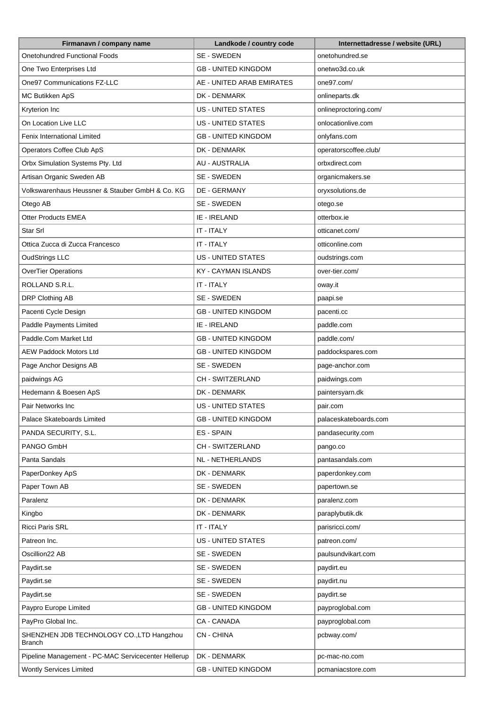| Firmanavn / company name                            | Landkode / country code    | Internettadresse / website (URL) |
|-----------------------------------------------------|----------------------------|----------------------------------|
| <b>Onetohundred Functional Foods</b>                | SE - SWEDEN                | onetohundred.se                  |
| One Two Enterprises Ltd                             | <b>GB - UNITED KINGDOM</b> | onetwo3d.co.uk                   |
| One97 Communications FZ-LLC                         | AE - UNITED ARAB EMIRATES  | one97.com/                       |
| MC Butikken ApS                                     | DK - DENMARK               | onlineparts.dk                   |
| Kryterion Inc                                       | <b>US - UNITED STATES</b>  | onlineproctoring.com/            |
| On Location Live LLC                                | <b>US - UNITED STATES</b>  | onlocationlive.com               |
| Fenix International Limited                         | <b>GB - UNITED KINGDOM</b> | onlyfans.com                     |
| Operators Coffee Club ApS                           | DK - DENMARK               | operatorscoffee.club/            |
| Orbx Simulation Systems Pty. Ltd                    | AU - AUSTRALIA             | orbxdirect.com                   |
| Artisan Organic Sweden AB                           | SE - SWEDEN                | organicmakers.se                 |
| Volkswarenhaus Heussner & Stauber GmbH & Co. KG     | DE - GERMANY               | oryxsolutions.de                 |
| Otego AB                                            | SE - SWEDEN                | otego.se                         |
| <b>Otter Products EMEA</b>                          | IE - IRELAND               | otterbox.ie                      |
| Star Srl                                            | IT - ITALY                 | otticanet.com/                   |
| Ottica Zucca di Zucca Francesco                     | IT - ITALY                 | otticonline.com                  |
| <b>OudStrings LLC</b>                               | <b>US - UNITED STATES</b>  | oudstrings.com                   |
| <b>OverTier Operations</b>                          | <b>KY - CAYMAN ISLANDS</b> | over-tier.com/                   |
| ROLLAND S.R.L.                                      | IT - ITALY                 | oway.it                          |
| DRP Clothing AB                                     | SE - SWEDEN                | paapi.se                         |
| Pacenti Cycle Design                                | <b>GB - UNITED KINGDOM</b> | pacenti.cc                       |
| Paddle Payments Limited                             | IE - IRELAND               | paddle.com                       |
| Paddle.Com Market Ltd                               | <b>GB - UNITED KINGDOM</b> | paddle.com/                      |
| <b>AEW Paddock Motors Ltd</b>                       | <b>GB - UNITED KINGDOM</b> | paddockspares.com                |
| Page Anchor Designs AB                              | SE - SWEDEN                | page-anchor.com                  |
| paidwings AG                                        | CH - SWITZERLAND           | paidwings.com                    |
| Hedemann & Boesen ApS                               | DK - DENMARK               | paintersyarn.dk                  |
| Pair Networks Inc                                   | <b>US - UNITED STATES</b>  | pair.com                         |
| Palace Skateboards Limited                          | <b>GB - UNITED KINGDOM</b> | palaceskateboards.com            |
| PANDA SECURITY, S.L.                                | ES - SPAIN                 | pandasecurity.com                |
| PANGO GmbH                                          | CH - SWITZERLAND           | pango.co                         |
| Panta Sandals                                       | NL - NETHERLANDS           | pantasandals.com                 |
| PaperDonkey ApS                                     | DK - DENMARK               | paperdonkey.com                  |
| Paper Town AB                                       | SE - SWEDEN                | papertown.se                     |
| Paralenz                                            | DK - DENMARK               | paralenz.com                     |
| Kingbo                                              | DK - DENMARK               | paraplybutik.dk                  |
| Ricci Paris SRL                                     | IT - ITALY                 | parisricci.com/                  |
| Patreon Inc.                                        | US - UNITED STATES         | patreon.com/                     |
| Oscillion22 AB                                      | SE - SWEDEN                | paulsundvikart.com               |
| Paydirt.se                                          | SE - SWEDEN                | paydirt.eu                       |
| Paydirt.se                                          | SE - SWEDEN                | paydirt.nu                       |
| Paydirt.se                                          | SE - SWEDEN                | paydirt.se                       |
| Paypro Europe Limited                               | <b>GB - UNITED KINGDOM</b> | payproglobal.com                 |
| PayPro Global Inc.                                  | CA - CANADA                | payproglobal.com                 |
| SHENZHEN JDB TECHNOLOGY CO., LTD Hangzhou<br>Branch | <b>CN-CHINA</b>            | pcbway.com/                      |
| Pipeline Management - PC-MAC Servicecenter Hellerup | DK - DENMARK               | pc-mac-no.com                    |
| <b>Wontly Services Limited</b>                      | <b>GB - UNITED KINGDOM</b> | pcmaniacstore.com                |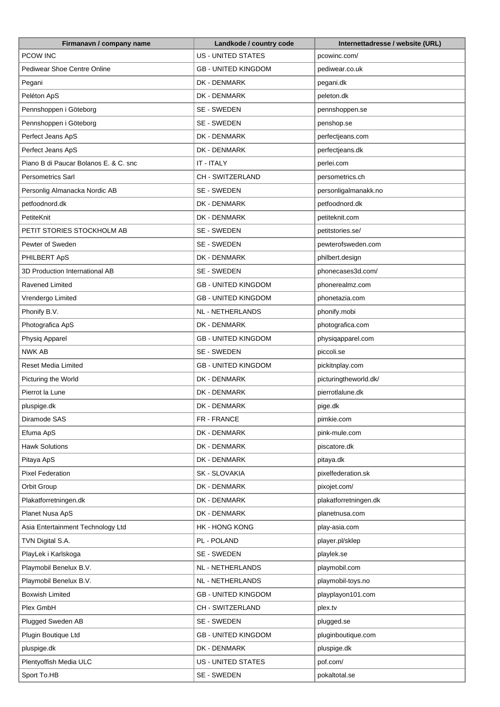| Firmanavn / company name              | Landkode / country code    | Internettadresse / website (URL) |
|---------------------------------------|----------------------------|----------------------------------|
| <b>PCOW INC</b>                       | <b>US - UNITED STATES</b>  | pcowinc.com/                     |
| Pediwear Shoe Centre Online           | <b>GB - UNITED KINGDOM</b> | pediwear.co.uk                   |
| Pegani                                | DK - DENMARK               | pegani.dk                        |
| Peléton ApS                           | DK - DENMARK               | peleton.dk                       |
| Pennshoppen i Göteborg                | SE - SWEDEN                | pennshoppen.se                   |
| Pennshoppen i Göteborg                | SE - SWEDEN                | penshop.se                       |
| Perfect Jeans ApS                     | DK - DENMARK               | perfectjeans.com                 |
| Perfect Jeans ApS                     | DK - DENMARK               | perfectjeans.dk                  |
| Piano B di Paucar Bolanos E. & C. snc | IT - ITALY                 | perlei.com                       |
| <b>Persometrics Sarl</b>              | CH - SWITZERLAND           | persometrics.ch                  |
| Personlig Almanacka Nordic AB         | SE - SWEDEN                | personligalmanakk.no             |
| petfoodnord.dk                        | DK - DENMARK               | petfoodnord.dk                   |
| PetiteKnit                            | DK - DENMARK               | petiteknit.com                   |
| PETIT STORIES STOCKHOLM AB            | SE - SWEDEN                | petitstories.se/                 |
| Pewter of Sweden                      | SE - SWEDEN                | pewterofsweden.com               |
| PHILBERT ApS                          | DK - DENMARK               | philbert.design                  |
| 3D Production International AB        | SE - SWEDEN                | phonecases3d.com/                |
| <b>Ravened Limited</b>                | <b>GB - UNITED KINGDOM</b> | phonerealmz.com                  |
| Vrendergo Limited                     | <b>GB - UNITED KINGDOM</b> | phonetazia.com                   |
| Phonify B.V.                          | <b>NL - NETHERLANDS</b>    | phonify.mobi                     |
| Photografica ApS                      | <b>DK - DENMARK</b>        | photografica.com                 |
| Physiq Apparel                        | <b>GB - UNITED KINGDOM</b> | physiqapparel.com                |
| <b>NWK AB</b>                         | SE - SWEDEN                | piccoli.se                       |
| <b>Reset Media Limited</b>            | <b>GB - UNITED KINGDOM</b> | pickitnplay.com                  |
| Picturing the World                   | DK - DENMARK               | picturingtheworld.dk/            |
| Pierrot la Lune                       | DK - DENMARK               | pierrotlalune.dk                 |
| pluspige.dk                           | <b>DK - DENMARK</b>        | pige.dk                          |
| Diramode SAS                          | FR - FRANCE                | pimkie.com                       |
| Efuma ApS                             | DK - DENMARK               | pink-mule.com                    |
| <b>Hawk Solutions</b>                 | DK - DENMARK               | piscatore.dk                     |
| Pitaya ApS                            | DK - DENMARK               | pitaya.dk                        |
| <b>Pixel Federation</b>               | SK - SLOVAKIA              | pixelfederation.sk               |
| Orbit Group                           | DK - DENMARK               | pixojet.com/                     |
| Plakatforretningen.dk                 | DK - DENMARK               | plakatforretningen.dk            |
| Planet Nusa ApS                       | DK - DENMARK               | planetnusa.com                   |
| Asia Entertainment Technology Ltd     | HK - HONG KONG             | play-asia.com                    |
| TVN Digital S.A.                      | PL - POLAND                | player.pl/sklep                  |
| PlayLek i Karlskoga                   | SE - SWEDEN                | playlek.se                       |
| Playmobil Benelux B.V.                | <b>NL - NETHERLANDS</b>    | playmobil.com                    |
| Playmobil Benelux B.V.                | NL - NETHERLANDS           | playmobil-toys.no                |
| <b>Boxwish Limited</b>                | <b>GB - UNITED KINGDOM</b> | playplayon101.com                |
| Plex GmbH                             | CH - SWITZERLAND           |                                  |
| Plugged Sweden AB                     | SE - SWEDEN                | plex.tv<br>plugged.se            |
| Plugin Boutique Ltd                   | <b>GB - UNITED KINGDOM</b> |                                  |
| pluspige.dk                           | DK - DENMARK               | pluginboutique.com               |
|                                       |                            | pluspige.dk                      |
| Plentyoffish Media ULC                | US - UNITED STATES         | pof.com/                         |
| Sport To.HB                           | SE - SWEDEN                | pokaltotal.se                    |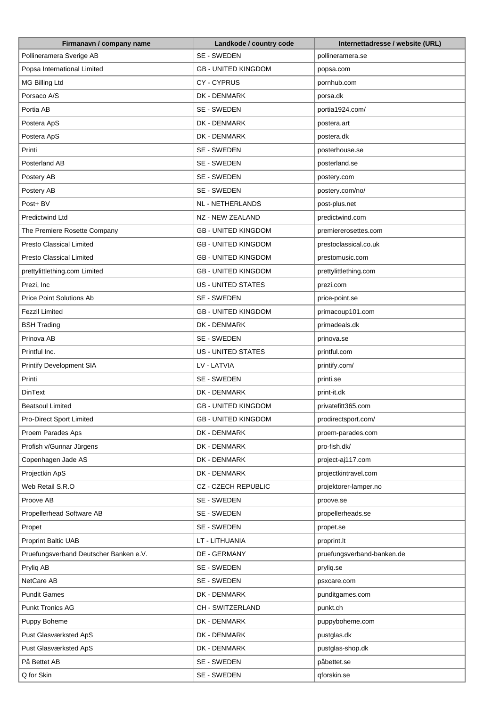| Firmanavn / company name               | Landkode / country code    | Internettadresse / website (URL) |
|----------------------------------------|----------------------------|----------------------------------|
| Pollineramera Sverige AB               | SE - SWEDEN                | pollineramera.se                 |
| Popsa International Limited            | <b>GB - UNITED KINGDOM</b> | popsa.com                        |
| MG Billing Ltd                         | <b>CY-CYPRUS</b>           | pornhub.com                      |
| Porsaco A/S                            | DK - DENMARK               | porsa.dk                         |
| Portia AB                              | SE - SWEDEN                | portia1924.com/                  |
| Postera ApS                            | DK - DENMARK               | postera.art                      |
| Postera ApS                            | DK - DENMARK               | postera.dk                       |
| Printi                                 | SE - SWEDEN                | posterhouse.se                   |
| Posterland AB                          | SE - SWEDEN                | posterland.se                    |
| Postery AB                             | SE - SWEDEN                | postery.com                      |
| Postery AB                             | SE - SWEDEN                | postery.com/no/                  |
| Post+ BV                               | <b>NL - NETHERLANDS</b>    | post-plus.net                    |
| <b>Predictwind Ltd</b>                 | <b>NZ - NEW ZEALAND</b>    | predictwind.com                  |
| The Premiere Rosette Company           | <b>GB - UNITED KINGDOM</b> | premiererosettes.com             |
| <b>Presto Classical Limited</b>        | <b>GB - UNITED KINGDOM</b> | prestoclassical.co.uk            |
| <b>Presto Classical Limited</b>        | <b>GB - UNITED KINGDOM</b> | prestomusic.com                  |
| prettylittlething.com Limited          | <b>GB - UNITED KINGDOM</b> |                                  |
|                                        | <b>US - UNITED STATES</b>  | prettylittlething.com            |
| Prezi, Inc                             |                            | prezi.com                        |
| <b>Price Point Solutions Ab</b>        | SE - SWEDEN                | price-point.se                   |
| Fezzil Limited                         | <b>GB - UNITED KINGDOM</b> | primacoup101.com                 |
| <b>BSH Trading</b>                     | DK - DENMARK               | primadeals.dk                    |
| Prinova AB                             | SE - SWEDEN                | prinova.se                       |
| Printful Inc.                          | US - UNITED STATES         | printful.com                     |
| <b>Printify Development SIA</b>        | LV - LATVIA                | printify.com/                    |
| Printi                                 | SE - SWEDEN                | printi.se                        |
| <b>DinText</b>                         | DK - DENMARK               | print-it.dk                      |
| <b>Beatsoul Limited</b>                | <b>GB - UNITED KINGDOM</b> | privatefitt365.com               |
| <b>Pro-Direct Sport Limited</b>        | <b>GB - UNITED KINGDOM</b> | prodirectsport.com/              |
| Proem Parades Aps                      | DK - DENMARK               | proem-parades.com                |
| Profish v/Gunnar Jürgens               | DK - DENMARK               | pro-fish.dk/                     |
| Copenhagen Jade AS                     | DK - DENMARK               | project-aj117.com                |
| Projectkin ApS                         | DK - DENMARK               | projectkintravel.com             |
| Web Retail S.R.O                       | <b>CZ - CZECH REPUBLIC</b> | projektorer-lamper.no            |
| Proove AB                              | SE - SWEDEN                | proove.se                        |
| Propellerhead Software AB              | SE - SWEDEN                | propellerheads.se                |
| Propet                                 | SE - SWEDEN                | propet.se                        |
| <b>Proprint Baltic UAB</b>             | LT - LITHUANIA             | proprint.lt                      |
| Pruefungsverband Deutscher Banken e.V. | DE - GERMANY               | pruefungsverband-banken.de       |
| Pryliq AB                              | SE - SWEDEN                | pryliq.se                        |
| NetCare AB                             | SE - SWEDEN                | psxcare.com                      |
| <b>Pundit Games</b>                    | DK - DENMARK               | punditgames.com                  |
| <b>Punkt Tronics AG</b>                | CH - SWITZERLAND           | punkt.ch                         |
| Puppy Boheme                           | DK - DENMARK               | puppyboheme.com                  |
| Pust Glasværksted ApS                  | DK - DENMARK               | pustglas.dk                      |
| Pust Glasværksted ApS                  | DK - DENMARK               | pustglas-shop.dk                 |
| På Bettet AB                           | SE - SWEDEN                | påbettet.se                      |
| Q for Skin                             | SE - SWEDEN                | qforskin.se                      |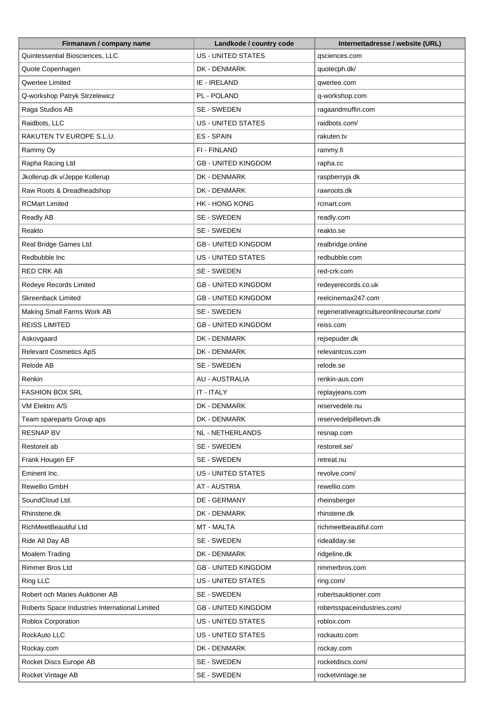| Firmanavn / company name                       | Landkode / country code    | Internettadresse / website (URL)         |
|------------------------------------------------|----------------------------|------------------------------------------|
| Quintessential Biosciences, LLC                | <b>US - UNITED STATES</b>  | qsciences.com                            |
| Quote Copenhagen                               | DK - DENMARK               | quotecph.dk/                             |
| Qwertee Limited                                | IE - IRELAND               | qwertee.com                              |
| Q-workshop Patryk Strzelewicz                  | PL - POLAND                | q-workshop.com                           |
| Raga Studios AB                                | SE - SWEDEN                | ragaandmuffin.com                        |
| Raidbots, LLC                                  | <b>US - UNITED STATES</b>  | raidbots.com/                            |
| RAKUTEN TV EUROPE S.L.U.                       | ES - SPAIN                 | rakuten.tv                               |
| Rammy Oy                                       | FI - FINLAND               | rammy.fi                                 |
| Rapha Racing Ltd                               | <b>GB - UNITED KINGDOM</b> | rapha.cc                                 |
| Jkollerup.dk v/Jeppe Kollerup                  | DK - DENMARK               | raspberrypi.dk                           |
| Raw Roots & Dreadheadshop                      | DK - DENMARK               | rawroots.dk                              |
| <b>RCMart Limited</b>                          | <b>HK - HONG KONG</b>      | rcmart.com                               |
| Readly AB                                      | SE - SWEDEN                | readly.com                               |
| Reakto                                         | SE - SWEDEN                | reakto.se                                |
| Real Bridge Games Ltd                          | <b>GB - UNITED KINGDOM</b> | realbridge.online                        |
| Redbubble Inc                                  | <b>US - UNITED STATES</b>  | redbubble.com                            |
| <b>RED CRK AB</b>                              | SE - SWEDEN                |                                          |
|                                                | <b>GB - UNITED KINGDOM</b> | red-crk.com                              |
| Redeye Records Limited                         |                            | redeyerecords.co.uk                      |
| <b>Skreenback Limited</b>                      | <b>GB - UNITED KINGDOM</b> | reelcinemax247.com                       |
| Making Small Farms Work AB                     | SE - SWEDEN                | regenerativeagricultureonlinecourse.com/ |
| <b>REISS LIMITED</b>                           | <b>GB - UNITED KINGDOM</b> | reiss.com                                |
| Askovgaard                                     | DK - DENMARK               | rejsepuder.dk                            |
| <b>Relevant Cosmetics ApS</b>                  | DK - DENMARK               | relevantcos.com                          |
| Relode AB                                      | SE - SWEDEN                | relode.se                                |
| Renkin                                         | <b>AU - AUSTRALIA</b>      | renkin-aus.com                           |
| FASHION BOX SRL                                | IT - ITALY                 | replayjeans.com                          |
| VM Elektro A/S                                 | DK - DENMARK               | reservedele.nu                           |
| Team spareparts Group aps                      | DK - DENMARK               | reservedelpilleovn.dk                    |
| <b>RESNAP BV</b>                               | NL - NETHERLANDS           | resnap.com                               |
| Restoreit ab                                   | SE - SWEDEN                | restoreit.se/                            |
| Frank Hougen EF                                | SE - SWEDEN                | retreat.nu                               |
| Eminent Inc.                                   | <b>US - UNITED STATES</b>  | revolve.com/                             |
| Rewellio GmbH                                  | <b>AT - AUSTRIA</b>        | rewellio.com                             |
| SoundCloud Ltd.                                | DE - GERMANY               | rheinsberger                             |
| Rhinstene.dk                                   | DK - DENMARK               | rhinstene.dk                             |
| RichMeetBeautiful Ltd                          | MT - MALTA                 | richmeetbeautiful.com                    |
| Ride All Day AB                                | SE - SWEDEN                | ridealIday.se                            |
| Moalem Trading                                 | DK - DENMARK               | ridgeline.dk                             |
| Rimmer Bros Ltd                                | <b>GB - UNITED KINGDOM</b> | rimmerbros.com                           |
| Ring LLC                                       | US - UNITED STATES         | ring.com/                                |
| Robert och Maries Auktioner AB                 | SE - SWEDEN                | robertsauktioner.com                     |
| Roberts Space Industries International Limited | <b>GB - UNITED KINGDOM</b> | robertsspaceindustries.com/              |
| Roblox Corporation                             | US - UNITED STATES         | roblox.com                               |
| RockAuto LLC                                   | <b>US - UNITED STATES</b>  | rockauto.com                             |
| Rockay.com                                     | DK - DENMARK               | rockay.com                               |
| Rocket Discs Europe AB                         | SE - SWEDEN                | rocketdiscs.com/                         |
| Rocket Vintage AB                              | SE - SWEDEN                | rocketvintage.se                         |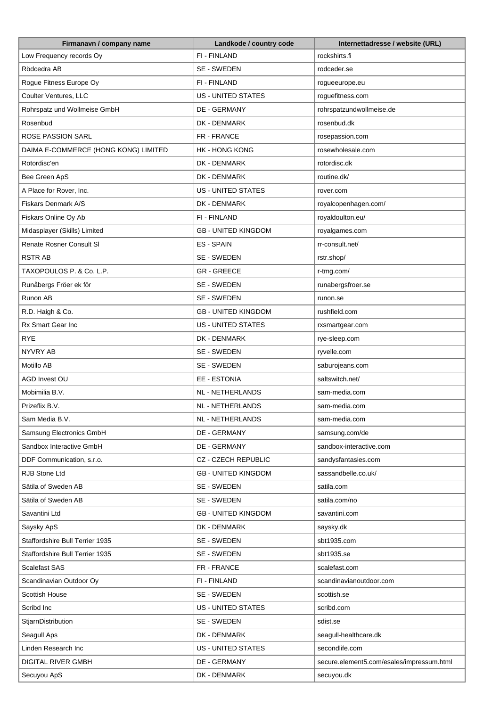| Firmanavn / company name             | Landkode / country code    | Internettadresse / website (URL)          |
|--------------------------------------|----------------------------|-------------------------------------------|
| Low Frequency records Oy             | FI - FINLAND               | rockshirts.fi                             |
| Rödcedra AB                          | SE - SWEDEN                | rodceder.se                               |
| Rogue Fitness Europe Oy              | FI - FINLAND               | rogueeurope.eu                            |
| Coulter Ventures, LLC                | <b>US - UNITED STATES</b>  | roguefitness.com                          |
| Rohrspatz und Wollmeise GmbH         | DE - GERMANY               | rohrspatzundwollmeise.de                  |
| Rosenbud                             | DK - DENMARK               | rosenbud.dk                               |
| <b>ROSE PASSION SARL</b>             | FR - FRANCE                | rosepassion.com                           |
| DAIMA E-COMMERCE (HONG KONG) LIMITED | <b>HK - HONG KONG</b>      | rosewholesale.com                         |
| Rotordisc'en                         | DK - DENMARK               | rotordisc.dk                              |
| Bee Green ApS                        | DK - DENMARK               | routine.dk/                               |
| A Place for Rover, Inc.              | <b>US - UNITED STATES</b>  | rover.com                                 |
| Fiskars Denmark A/S                  | DK - DENMARK               | royalcopenhagen.com/                      |
| Fiskars Online Oy Ab                 | FI - FINLAND               | royaldoulton.eu/                          |
| Midasplayer (Skills) Limited         | <b>GB - UNITED KINGDOM</b> | royalgames.com                            |
| Renate Rosner Consult SI             | <b>ES-SPAIN</b>            | rr-consult.net/                           |
| <b>RSTR AB</b>                       | SE - SWEDEN                | rstr.shop/                                |
| TAXOPOULOS P. & Co. L.P.             | <b>GR-GREECE</b>           | r-tmg.com/                                |
| Runåbergs Fröer ek för               | SE - SWEDEN                | runabergsfroer.se                         |
| Runon AB                             | SE - SWEDEN                | runon.se                                  |
| R.D. Haigh & Co.                     | <b>GB - UNITED KINGDOM</b> | rushfield.com                             |
| Rx Smart Gear Inc                    | <b>US - UNITED STATES</b>  | rxsmartgear.com                           |
| <b>RYE</b>                           | DK - DENMARK               | rye-sleep.com                             |
| NYVRY AB                             | SE - SWEDEN                | ryvelle.com                               |
| Motillo AB                           | SE - SWEDEN                | saburojeans.com                           |
| AGD Invest OU                        | <b>EE - ESTONIA</b>        | saltswitch.net/                           |
| Mobimilia B.V.                       | NL - NETHERLANDS           | sam-media.com                             |
| Prizeflix B.V.                       | NL - NETHERLANDS           | sam-media.com                             |
| Sam Media B.V.                       | NL - NETHERLANDS           | sam-media.com                             |
| Samsung Electronics GmbH             | <b>DE - GERMANY</b>        | samsung.com/de                            |
| Sandbox Interactive GmbH             | DE - GERMANY               | sandbox-interactive.com                   |
| DDF Communication, s.r.o.            | CZ - CZECH REPUBLIC        | sandysfantasies.com                       |
| <b>RJB Stone Ltd</b>                 | <b>GB - UNITED KINGDOM</b> | sassandbelle.co.uk/                       |
| Sätila of Sweden AB                  |                            | satila.com                                |
|                                      | SE - SWEDEN                |                                           |
| Sätila of Sweden AB<br>Savantini Ltd | SE - SWEDEN                | satila.com/no                             |
|                                      | <b>GB - UNITED KINGDOM</b> | savantini.com                             |
| Saysky ApS                           | DK - DENMARK               | saysky.dk                                 |
| Staffordshire Bull Terrier 1935      | SE - SWEDEN                | sbt1935.com                               |
| Staffordshire Bull Terrier 1935      | SE - SWEDEN                | sbt1935.se                                |
| <b>Scalefast SAS</b>                 | FR - FRANCE                | scalefast.com                             |
| Scandinavian Outdoor Oy              | FI - FINLAND               | scandinavianoutdoor.com                   |
| Scottish House                       | SE - SWEDEN                | scottish.se                               |
| Scribd Inc                           | <b>US - UNITED STATES</b>  | scribd.com                                |
| StjarnDistribution                   | SE - SWEDEN                | sdist.se                                  |
| Seagull Aps                          | DK - DENMARK               | seagull-healthcare.dk                     |
| Linden Research Inc                  | <b>US - UNITED STATES</b>  | secondlife.com                            |
| DIGITAL RIVER GMBH                   | DE - GERMANY               | secure.element5.com/esales/impressum.html |
| Secuyou ApS                          | DK - DENMARK               | secuyou.dk                                |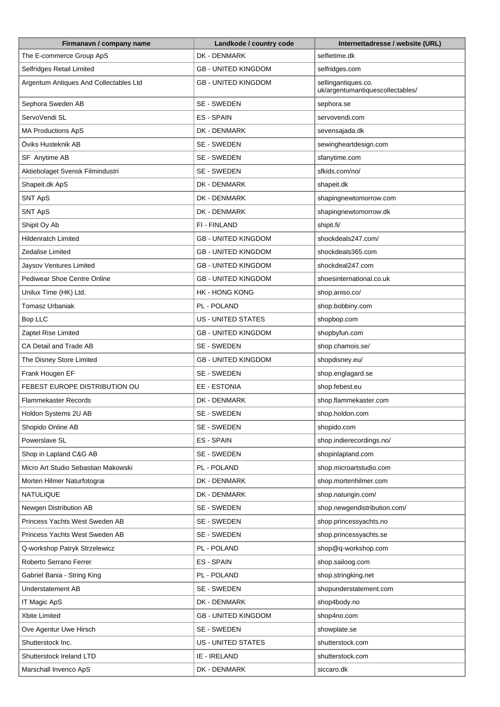| Firmanavn / company name               | Landkode / country code    | Internettadresse / website (URL)                        |
|----------------------------------------|----------------------------|---------------------------------------------------------|
| The E-commerce Group ApS               | DK - DENMARK               | selfietime.dk                                           |
| Selfridges Retail Limited              | <b>GB - UNITED KINGDOM</b> | selfridges.com                                          |
| Argentum Antiques And Collectables Ltd | <b>GB - UNITED KINGDOM</b> | sellingantiques.co.<br>uk/argentumantiquescollectables/ |
| Sephora Sweden AB                      | SE - SWEDEN                | sephora.se                                              |
| ServoVendi SL                          | ES - SPAIN                 | servovendi.com                                          |
| <b>MA Productions ApS</b>              | DK - DENMARK               | sevensajada.dk                                          |
| Öviks Husteknik AB                     | SE - SWEDEN                | sewingheartdesign.com                                   |
| SF Anytime AB                          | SE - SWEDEN                | sfanytime.com                                           |
| Aktiebolaget Svensk Filmindustri       | SE - SWEDEN                | sfkids.com/no/                                          |
| Shapeit.dk ApS                         | DK - DENMARK               | shapeit.dk                                              |
| <b>SNT ApS</b>                         | DK - DENMARK               | shapingnewtomorrow.com                                  |
| SNT ApS                                | DK - DENMARK               | shapingnewtomorrow.dk                                   |
| Shipit Oy Ab                           | FI - FINLAND               | shipit.fi/                                              |
| <b>Hildenratch Limited</b>             | <b>GB - UNITED KINGDOM</b> | shockdeals247.com/                                      |
| Zedalise Limited                       | <b>GB - UNITED KINGDOM</b> | shockdeals365.com                                       |
| Jaysov Ventures Limited                | <b>GB - UNITED KINGDOM</b> | shockdeal247.com                                        |
| Pediwear Shoe Centre Online            | <b>GB - UNITED KINGDOM</b> | shoesinternational.co.uk                                |
| Unilux Time (HK) Ltd.                  | <b>HK - HONG KONG</b>      | shop.aniso.co/                                          |
| Tomasz Urbaniak                        | PL - POLAND                | shop.bobbiny.com                                        |
| Bop LLC                                | US - UNITED STATES         | shopbop.com                                             |
| Zaptel Rise Limited                    | <b>GB - UNITED KINGDOM</b> | shopbyfun.com                                           |
| CA Detail and Trade AB                 | SE - SWEDEN                | shop.chamois.se/                                        |
| The Disney Store Limited               | <b>GB - UNITED KINGDOM</b> | shopdisney.eu/                                          |
| Frank Hougen EF                        | SE - SWEDEN                | shop.englagard.se                                       |
| FEBEST EUROPE DISTRIBUTION OU          | EE - ESTONIA               | shop.febest.eu                                          |
| <b>Flammekaster Records</b>            | DK - DENMARK               | shop.flammekaster.com                                   |
| Holdon Systems 2U AB                   | SE - SWEDEN                | shop.holdon.com                                         |
| Shopido Online AB                      | SE - SWEDEN                | shopido.com                                             |
| Powerslave SL                          | ES - SPAIN                 | shop.indierecordings.no/                                |
| Shop in Lapland C&G AB                 | SE - SWEDEN                | shopinlapland.com                                       |
| Micro Art Studio Sebastian Makowski    | PL - POLAND                | shop.microartstudio.com                                 |
| Morten Hilmer Naturfotograi            | DK - DENMARK               | shop.mortenhilmer.com                                   |
| NATULIQUE                              | DK - DENMARK               | shop.naturigin.com/                                     |
| Newgen Distribution AB                 | SE - SWEDEN                | shop.newgendistribution.com/                            |
| Princess Yachts West Sweden AB         | SE - SWEDEN                | shop.princessyachts.no                                  |
| Princess Yachts West Sweden AB         | SE - SWEDEN                | shop.princessyachts.se                                  |
| Q-workshop Patryk Strzelewicz          | PL - POLAND                | shop@q-workshop.com                                     |
| Roberto Serrano Ferrer                 | ES - SPAIN                 | shop.sailoog.com                                        |
| Gabriel Bania - String King            | PL - POLAND                | shop.stringking.net                                     |
| Understatement AB                      | SE - SWEDEN                | shopunderstatement.com                                  |
| IT Magic ApS                           | DK - DENMARK               | shop4body.no                                            |
| Xbite Limited                          | <b>GB - UNITED KINGDOM</b> | shop4no.com                                             |
| Ove Agentur Uwe Hirsch                 | SE - SWEDEN                | showplate.se                                            |
| Shutterstock Inc.                      | US - UNITED STATES         | shutterstock.com                                        |
| Shutterstock Ireland LTD               | IE - IRELAND               | shutterstock.com                                        |
| Marschall Invenco ApS                  | DK - DENMARK               | siccaro.dk                                              |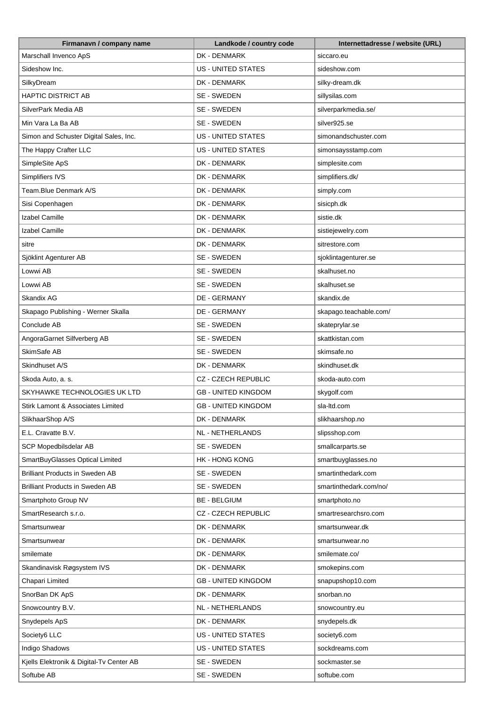| Firmanavn / company name                 | Landkode / country code    | Internettadresse / website (URL) |
|------------------------------------------|----------------------------|----------------------------------|
| Marschall Invenco ApS                    | DK - DENMARK               | siccaro.eu                       |
| Sideshow Inc.                            | <b>US - UNITED STATES</b>  | sideshow.com                     |
| SilkyDream                               | DK - DENMARK               | silky-dream.dk                   |
| <b>HAPTIC DISTRICT AB</b>                | SE - SWEDEN                | sillysilas.com                   |
| SilverPark Media AB                      | SE - SWEDEN                | silverparkmedia.se/              |
| Min Vara La Ba AB                        | SE - SWEDEN                | silver925.se                     |
| Simon and Schuster Digital Sales, Inc.   | <b>US - UNITED STATES</b>  | simonandschuster.com             |
| The Happy Crafter LLC                    | <b>US - UNITED STATES</b>  | simonsaysstamp.com               |
| SimpleSite ApS                           | DK - DENMARK               | simplesite.com                   |
| Simplifiers IVS                          | DK - DENMARK               | simplifiers.dk/                  |
| Team.Blue Denmark A/S                    | DK - DENMARK               | simply.com                       |
| Sisi Copenhagen                          | DK - DENMARK               | sisicph.dk                       |
| Izabel Camille                           | DK - DENMARK               | sistie.dk                        |
| Izabel Camille                           | DK - DENMARK               | sistiejewelry.com                |
| sitre                                    | DK - DENMARK               | sitrestore.com                   |
| Sjöklint Agenturer AB                    | SE - SWEDEN                | sjoklintagenturer.se             |
| Lowwi AB                                 | SE - SWEDEN                | skalhuset.no                     |
| Lowwi AB                                 | SE - SWEDEN                | skalhuset.se                     |
|                                          |                            |                                  |
| Skandix AG                               | DE - GERMANY               | skandix.de                       |
| Skapago Publishing - Werner Skalla       | DE - GERMANY               | skapago.teachable.com/           |
| Conclude AB                              | SE - SWEDEN                | skateprylar.se                   |
| AngoraGarnet Silfverberg AB              | SE - SWEDEN                | skattkistan.com                  |
| SkimSafe AB                              | SE - SWEDEN                | skimsafe.no                      |
| Skindhuset A/S                           | DK - DENMARK               | skindhuset.dk                    |
| Skoda Auto, a. s.                        | <b>CZ - CZECH REPUBLIC</b> | skoda-auto.com                   |
| SKYHAWKE TECHNOLOGIES UK LTD             | <b>GB - UNITED KINGDOM</b> | skygolf.com                      |
| Stirk Lamont & Associates Limited        | <b>GB - UNITED KINGDOM</b> | sla-ltd.com                      |
| SlikhaarShop A/S                         | DK - DENMARK               | slikhaarshop.no                  |
| E.L. Cravatte B.V.                       | NL - NETHERLANDS           | slipsshop.com                    |
| SCP Mopedbilsdelar AB                    | SE - SWEDEN                | smallcarparts.se                 |
| SmartBuyGlasses Optical Limited          | HK - HONG KONG             | smartbuyglasses.no               |
| <b>Brilliant Products in Sweden AB</b>   | SE - SWEDEN                | smartinthedark.com               |
| <b>Brilliant Products in Sweden AB</b>   | SE - SWEDEN                | smartinthedark.com/no/           |
| Smartphoto Group NV                      | <b>BE - BELGIUM</b>        | smartphoto.no                    |
| SmartResearch s.r.o.                     | <b>CZ - CZECH REPUBLIC</b> | smartresearchsro.com             |
| Smartsunwear                             | DK - DENMARK               | smartsunwear.dk                  |
| Smartsunwear                             | DK - DENMARK               | smartsunwear.no                  |
| smilemate                                | DK - DENMARK               | smilemate.co/                    |
| Skandinavisk Røgsystem IVS               | DK - DENMARK               | smokepins.com                    |
| Chapari Limited                          | <b>GB - UNITED KINGDOM</b> | snapupshop10.com                 |
| SnorBan DK ApS                           | DK - DENMARK               | snorban.no                       |
| Snowcountry B.V.                         | NL - NETHERLANDS           | snowcountry.eu                   |
| Snydepels ApS                            | DK - DENMARK               | snydepels.dk                     |
| Society6 LLC                             | <b>US - UNITED STATES</b>  | society6.com                     |
| Indigo Shadows                           | US - UNITED STATES         | sockdreams.com                   |
| Kjells Elektronik & Digital-Tv Center AB | SE - SWEDEN                | sockmaster.se                    |
| Softube AB                               | SE - SWEDEN                | softube.com                      |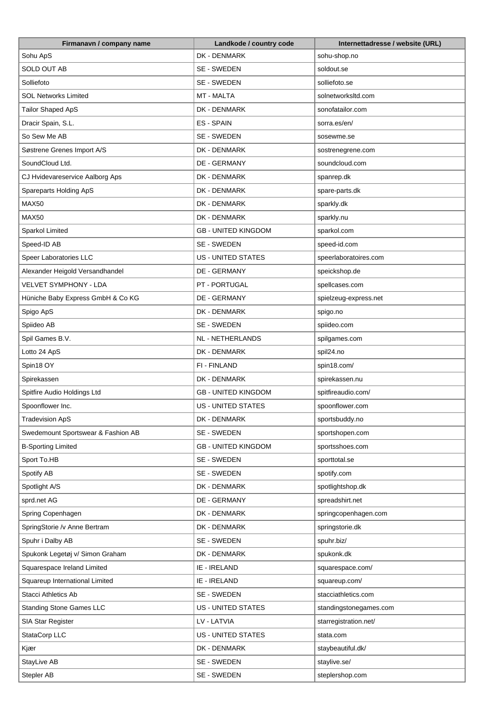| Firmanavn / company name           | Landkode / country code    | Internettadresse / website (URL) |
|------------------------------------|----------------------------|----------------------------------|
| Sohu ApS                           | DK - DENMARK               | sohu-shop.no                     |
| <b>SOLD OUT AB</b>                 | SE - SWEDEN                | soldout.se                       |
| Solliefoto                         | SE - SWEDEN                | solliefoto.se                    |
| <b>SOL Networks Limited</b>        | <b>MT - MALTA</b>          | solnetworksltd.com               |
| Tailor Shaped ApS                  | DK - DENMARK               | sonofatailor.com                 |
| Dracir Spain, S.L.                 | ES - SPAIN                 | sorra.es/en/                     |
| So Sew Me AB                       | SE - SWEDEN                | sosewme.se                       |
| Søstrene Grenes Import A/S         | DK - DENMARK               | sostrenegrene.com                |
| SoundCloud Ltd.                    | DE - GERMANY               | soundcloud.com                   |
| CJ Hvidevareservice Aalborg Aps    | DK - DENMARK               | spanrep.dk                       |
| Spareparts Holding ApS             | DK - DENMARK               | spare-parts.dk                   |
| MAX50                              | DK - DENMARK               | sparkly.dk                       |
| MAX50                              | DK - DENMARK               | sparkly.nu                       |
| Sparkol Limited                    | <b>GB - UNITED KINGDOM</b> | sparkol.com                      |
| Speed-ID AB                        | SE - SWEDEN                | speed-id.com                     |
| Speer Laboratories LLC             | <b>US - UNITED STATES</b>  | speerlaboratoires.com            |
| Alexander Heigold Versandhandel    | DE - GERMANY               | speickshop.de                    |
| VELVET SYMPHONY - LDA              | PT - PORTUGAL              |                                  |
|                                    | DE - GERMANY               | spellcases.com                   |
| Hüniche Baby Express GmbH & Co KG  |                            | spielzeug-express.net            |
| Spigo ApS                          | DK - DENMARK               | spigo.no                         |
| Spiideo AB                         | SE - SWEDEN                | spiideo.com                      |
| Spil Games B.V.                    | NL - NETHERLANDS           | spilgames.com                    |
| Lotto 24 ApS                       | DK - DENMARK               | spil24.no                        |
| Spin18 OY                          | FI - FINLAND               | spin18.com/                      |
| Spirekassen                        | DK - DENMARK               | spirekassen.nu                   |
| Spitfire Audio Holdings Ltd        | <b>GB - UNITED KINGDOM</b> | spitfireaudio.com/               |
| Spoonflower Inc.                   | <b>US - UNITED STATES</b>  | spoonflower.com                  |
| <b>Tradevision ApS</b>             | DK - DENMARK               | sportsbuddy.no                   |
| Swedemount Sportswear & Fashion AB | SE - SWEDEN                | sportshopen.com                  |
| <b>B-Sporting Limited</b>          | <b>GB - UNITED KINGDOM</b> | sportsshoes.com                  |
| Sport To.HB                        | SE - SWEDEN                | sporttotal.se                    |
| Spotify AB                         | SE - SWEDEN                | spotify.com                      |
| Spotlight A/S                      | DK - DENMARK               | spotlightshop.dk                 |
| sprd.net AG                        | DE - GERMANY               | spreadshirt.net                  |
| Spring Copenhagen                  | DK - DENMARK               | springcopenhagen.com             |
| SpringStorie /v Anne Bertram       | DK - DENMARK               | springstorie.dk                  |
| Spuhr i Dalby AB                   | SE - SWEDEN                | spuhr.biz/                       |
| Spukonk Legetøj v/ Simon Graham    | DK - DENMARK               | spukonk.dk                       |
| Squarespace Ireland Limited        | IE - IRELAND               | squarespace.com/                 |
| Squareup International Limited     | IE - IRELAND               | squareup.com/                    |
| <b>Stacci Athletics Ab</b>         | SE - SWEDEN                | stacciathletics.com              |
| <b>Standing Stone Games LLC</b>    | US - UNITED STATES         | standingstonegames.com           |
| <b>SIA Star Register</b>           | LV - LATVIA                | starregistration.net/            |
| StataCorp LLC                      | <b>US - UNITED STATES</b>  | stata.com                        |
| Kjær                               | DK - DENMARK               | staybeautiful.dk/                |
| StayLive AB                        | SE - SWEDEN                | staylive.se/                     |
| Stepler AB                         | SE - SWEDEN                | steplershop.com                  |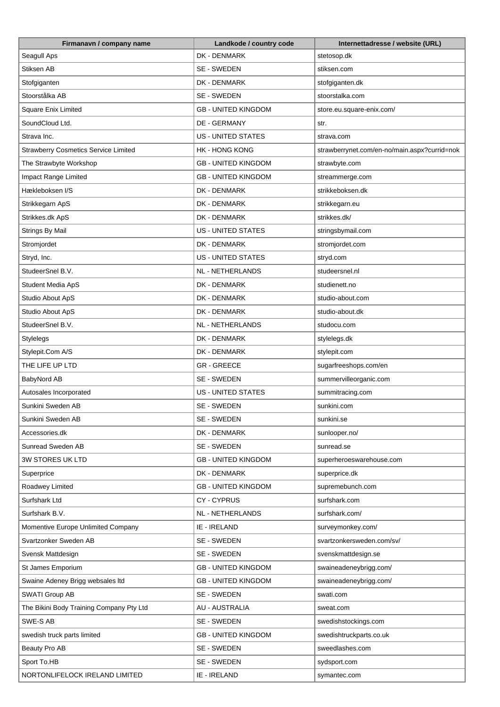| Seagull Aps<br>DK - DENMARK<br>stetosop.dk<br>Stiksen AB<br>SE - SWEDEN<br>stiksen.com<br>Stofgiganten<br>DK - DENMARK<br>stofgiganten.dk<br>Stoorstålka AB<br>SE - SWEDEN<br>stoorstalka.com<br><b>Square Enix Limited</b><br><b>GB - UNITED KINGDOM</b><br>store.eu.square-enix.com/<br>SoundCloud Ltd.<br>DE - GERMANY<br>str.<br><b>US - UNITED STATES</b><br>Strava Inc.<br>strava.com<br><b>Strawberry Cosmetics Service Limited</b><br><b>HK - HONG KONG</b><br>strawberrynet.com/en-no/main.aspx?currid=nok<br>The Strawbyte Workshop<br><b>GB - UNITED KINGDOM</b><br>strawbyte.com<br>Impact Range Limited<br><b>GB - UNITED KINGDOM</b><br>streammerge.com<br>Hækleboksen I/S<br>DK - DENMARK<br>strikkeboksen.dk<br>DK - DENMARK<br>Strikkegarn ApS<br>strikkegarn.eu<br>Strikkes.dk ApS<br>DK - DENMARK<br>strikkes.dk/<br>Strings By Mail<br><b>US - UNITED STATES</b><br>stringsbymail.com<br>Stromjordet<br>DK - DENMARK<br>stromjordet.com<br>Stryd, Inc.<br><b>US - UNITED STATES</b><br>stryd.com<br>StudeerSnel B.V.<br><b>NL - NETHERLANDS</b><br>studeersnel.nl<br>DK - DENMARK<br>Student Media ApS<br>studienett.no<br>Studio About ApS<br>DK - DENMARK<br>studio-about.com<br>Studio About ApS<br>DK - DENMARK<br>studio-about.dk<br>StudeerSnel B.V.<br>NL - NETHERLANDS<br>studocu.com<br>DK - DENMARK<br><b>Stylelegs</b><br>stylelegs.dk<br>Stylepit.Com A/S<br>DK - DENMARK<br>stylepit.com<br>THE LIFE UP LTD<br><b>GR-GREECE</b><br>sugarfreeshops.com/en<br>BabyNord AB<br>SE - SWEDEN<br>summervilleorganic.com<br>Autosales Incorporated<br><b>US - UNITED STATES</b><br>summitracing.com<br>SE - SWEDEN<br>Sunkini Sweden AB<br>sunkini.com<br>Sunkini Sweden AB<br>SE - SWEDEN<br>sunkini.se<br>DK - DENMARK<br>Accessories.dk<br>sunlooper.no/<br>Sunread Sweden AB<br>SE - SWEDEN<br>sunread.se<br>3W STORES UK LTD<br><b>GB - UNITED KINGDOM</b><br>superheroeswarehouse.com<br>DK - DENMARK<br>Superprice<br>superprice.dk<br><b>GB - UNITED KINGDOM</b><br>Roadwey Limited<br>supremebunch.com<br>Surfshark Ltd<br>CY-CYPRUS<br>surfshark.com<br>Surfshark B.V.<br>NL - NETHERLANDS<br>surfshark.com/<br>Momentive Europe Unlimited Company<br>IE - IRELAND<br>surveymonkey.com/<br>Svartzonker Sweden AB<br>svartzonkersweden.com/sv/<br>SE - SWEDEN<br>SE - SWEDEN<br>Svensk Mattdesign<br>svenskmattdesign.se<br>St James Emporium<br><b>GB - UNITED KINGDOM</b><br>swaineadeneybrigg.com/<br>Swaine Adeney Brigg websales Itd<br><b>GB - UNITED KINGDOM</b><br>swaineadeneybrigg.com/<br>SE - SWEDEN<br>SWATI Group AB<br>swati.com<br><b>AU - AUSTRALIA</b><br>The Bikini Body Training Company Pty Ltd<br>sweat.com<br>SWE-S AB<br>SE - SWEDEN<br>swedishstockings.com<br>swedish truck parts limited<br><b>GB - UNITED KINGDOM</b><br>swedishtruckparts.co.uk<br>Beauty Pro AB<br>sweedlashes.com<br>SE - SWEDEN<br>Sport To.HB<br>SE - SWEDEN<br>sydsport.com | Firmanavn / company name       | Landkode / country code | Internettadresse / website (URL) |
|-----------------------------------------------------------------------------------------------------------------------------------------------------------------------------------------------------------------------------------------------------------------------------------------------------------------------------------------------------------------------------------------------------------------------------------------------------------------------------------------------------------------------------------------------------------------------------------------------------------------------------------------------------------------------------------------------------------------------------------------------------------------------------------------------------------------------------------------------------------------------------------------------------------------------------------------------------------------------------------------------------------------------------------------------------------------------------------------------------------------------------------------------------------------------------------------------------------------------------------------------------------------------------------------------------------------------------------------------------------------------------------------------------------------------------------------------------------------------------------------------------------------------------------------------------------------------------------------------------------------------------------------------------------------------------------------------------------------------------------------------------------------------------------------------------------------------------------------------------------------------------------------------------------------------------------------------------------------------------------------------------------------------------------------------------------------------------------------------------------------------------------------------------------------------------------------------------------------------------------------------------------------------------------------------------------------------------------------------------------------------------------------------------------------------------------------------------------------------------------------------------------------------------------------------------------------------------------------------------------------------------------------------------------------------------------------------------------------------------------------------------------------------------------------------------------------------------------------------------------------------------------------------------------------|--------------------------------|-------------------------|----------------------------------|
|                                                                                                                                                                                                                                                                                                                                                                                                                                                                                                                                                                                                                                                                                                                                                                                                                                                                                                                                                                                                                                                                                                                                                                                                                                                                                                                                                                                                                                                                                                                                                                                                                                                                                                                                                                                                                                                                                                                                                                                                                                                                                                                                                                                                                                                                                                                                                                                                                                                                                                                                                                                                                                                                                                                                                                                                                                                                                                                 |                                |                         |                                  |
|                                                                                                                                                                                                                                                                                                                                                                                                                                                                                                                                                                                                                                                                                                                                                                                                                                                                                                                                                                                                                                                                                                                                                                                                                                                                                                                                                                                                                                                                                                                                                                                                                                                                                                                                                                                                                                                                                                                                                                                                                                                                                                                                                                                                                                                                                                                                                                                                                                                                                                                                                                                                                                                                                                                                                                                                                                                                                                                 |                                |                         |                                  |
|                                                                                                                                                                                                                                                                                                                                                                                                                                                                                                                                                                                                                                                                                                                                                                                                                                                                                                                                                                                                                                                                                                                                                                                                                                                                                                                                                                                                                                                                                                                                                                                                                                                                                                                                                                                                                                                                                                                                                                                                                                                                                                                                                                                                                                                                                                                                                                                                                                                                                                                                                                                                                                                                                                                                                                                                                                                                                                                 |                                |                         |                                  |
|                                                                                                                                                                                                                                                                                                                                                                                                                                                                                                                                                                                                                                                                                                                                                                                                                                                                                                                                                                                                                                                                                                                                                                                                                                                                                                                                                                                                                                                                                                                                                                                                                                                                                                                                                                                                                                                                                                                                                                                                                                                                                                                                                                                                                                                                                                                                                                                                                                                                                                                                                                                                                                                                                                                                                                                                                                                                                                                 |                                |                         |                                  |
|                                                                                                                                                                                                                                                                                                                                                                                                                                                                                                                                                                                                                                                                                                                                                                                                                                                                                                                                                                                                                                                                                                                                                                                                                                                                                                                                                                                                                                                                                                                                                                                                                                                                                                                                                                                                                                                                                                                                                                                                                                                                                                                                                                                                                                                                                                                                                                                                                                                                                                                                                                                                                                                                                                                                                                                                                                                                                                                 |                                |                         |                                  |
|                                                                                                                                                                                                                                                                                                                                                                                                                                                                                                                                                                                                                                                                                                                                                                                                                                                                                                                                                                                                                                                                                                                                                                                                                                                                                                                                                                                                                                                                                                                                                                                                                                                                                                                                                                                                                                                                                                                                                                                                                                                                                                                                                                                                                                                                                                                                                                                                                                                                                                                                                                                                                                                                                                                                                                                                                                                                                                                 |                                |                         |                                  |
|                                                                                                                                                                                                                                                                                                                                                                                                                                                                                                                                                                                                                                                                                                                                                                                                                                                                                                                                                                                                                                                                                                                                                                                                                                                                                                                                                                                                                                                                                                                                                                                                                                                                                                                                                                                                                                                                                                                                                                                                                                                                                                                                                                                                                                                                                                                                                                                                                                                                                                                                                                                                                                                                                                                                                                                                                                                                                                                 |                                |                         |                                  |
|                                                                                                                                                                                                                                                                                                                                                                                                                                                                                                                                                                                                                                                                                                                                                                                                                                                                                                                                                                                                                                                                                                                                                                                                                                                                                                                                                                                                                                                                                                                                                                                                                                                                                                                                                                                                                                                                                                                                                                                                                                                                                                                                                                                                                                                                                                                                                                                                                                                                                                                                                                                                                                                                                                                                                                                                                                                                                                                 |                                |                         |                                  |
|                                                                                                                                                                                                                                                                                                                                                                                                                                                                                                                                                                                                                                                                                                                                                                                                                                                                                                                                                                                                                                                                                                                                                                                                                                                                                                                                                                                                                                                                                                                                                                                                                                                                                                                                                                                                                                                                                                                                                                                                                                                                                                                                                                                                                                                                                                                                                                                                                                                                                                                                                                                                                                                                                                                                                                                                                                                                                                                 |                                |                         |                                  |
|                                                                                                                                                                                                                                                                                                                                                                                                                                                                                                                                                                                                                                                                                                                                                                                                                                                                                                                                                                                                                                                                                                                                                                                                                                                                                                                                                                                                                                                                                                                                                                                                                                                                                                                                                                                                                                                                                                                                                                                                                                                                                                                                                                                                                                                                                                                                                                                                                                                                                                                                                                                                                                                                                                                                                                                                                                                                                                                 |                                |                         |                                  |
|                                                                                                                                                                                                                                                                                                                                                                                                                                                                                                                                                                                                                                                                                                                                                                                                                                                                                                                                                                                                                                                                                                                                                                                                                                                                                                                                                                                                                                                                                                                                                                                                                                                                                                                                                                                                                                                                                                                                                                                                                                                                                                                                                                                                                                                                                                                                                                                                                                                                                                                                                                                                                                                                                                                                                                                                                                                                                                                 |                                |                         |                                  |
|                                                                                                                                                                                                                                                                                                                                                                                                                                                                                                                                                                                                                                                                                                                                                                                                                                                                                                                                                                                                                                                                                                                                                                                                                                                                                                                                                                                                                                                                                                                                                                                                                                                                                                                                                                                                                                                                                                                                                                                                                                                                                                                                                                                                                                                                                                                                                                                                                                                                                                                                                                                                                                                                                                                                                                                                                                                                                                                 |                                |                         |                                  |
|                                                                                                                                                                                                                                                                                                                                                                                                                                                                                                                                                                                                                                                                                                                                                                                                                                                                                                                                                                                                                                                                                                                                                                                                                                                                                                                                                                                                                                                                                                                                                                                                                                                                                                                                                                                                                                                                                                                                                                                                                                                                                                                                                                                                                                                                                                                                                                                                                                                                                                                                                                                                                                                                                                                                                                                                                                                                                                                 |                                |                         |                                  |
|                                                                                                                                                                                                                                                                                                                                                                                                                                                                                                                                                                                                                                                                                                                                                                                                                                                                                                                                                                                                                                                                                                                                                                                                                                                                                                                                                                                                                                                                                                                                                                                                                                                                                                                                                                                                                                                                                                                                                                                                                                                                                                                                                                                                                                                                                                                                                                                                                                                                                                                                                                                                                                                                                                                                                                                                                                                                                                                 |                                |                         |                                  |
|                                                                                                                                                                                                                                                                                                                                                                                                                                                                                                                                                                                                                                                                                                                                                                                                                                                                                                                                                                                                                                                                                                                                                                                                                                                                                                                                                                                                                                                                                                                                                                                                                                                                                                                                                                                                                                                                                                                                                                                                                                                                                                                                                                                                                                                                                                                                                                                                                                                                                                                                                                                                                                                                                                                                                                                                                                                                                                                 |                                |                         |                                  |
|                                                                                                                                                                                                                                                                                                                                                                                                                                                                                                                                                                                                                                                                                                                                                                                                                                                                                                                                                                                                                                                                                                                                                                                                                                                                                                                                                                                                                                                                                                                                                                                                                                                                                                                                                                                                                                                                                                                                                                                                                                                                                                                                                                                                                                                                                                                                                                                                                                                                                                                                                                                                                                                                                                                                                                                                                                                                                                                 |                                |                         |                                  |
|                                                                                                                                                                                                                                                                                                                                                                                                                                                                                                                                                                                                                                                                                                                                                                                                                                                                                                                                                                                                                                                                                                                                                                                                                                                                                                                                                                                                                                                                                                                                                                                                                                                                                                                                                                                                                                                                                                                                                                                                                                                                                                                                                                                                                                                                                                                                                                                                                                                                                                                                                                                                                                                                                                                                                                                                                                                                                                                 |                                |                         |                                  |
|                                                                                                                                                                                                                                                                                                                                                                                                                                                                                                                                                                                                                                                                                                                                                                                                                                                                                                                                                                                                                                                                                                                                                                                                                                                                                                                                                                                                                                                                                                                                                                                                                                                                                                                                                                                                                                                                                                                                                                                                                                                                                                                                                                                                                                                                                                                                                                                                                                                                                                                                                                                                                                                                                                                                                                                                                                                                                                                 |                                |                         |                                  |
|                                                                                                                                                                                                                                                                                                                                                                                                                                                                                                                                                                                                                                                                                                                                                                                                                                                                                                                                                                                                                                                                                                                                                                                                                                                                                                                                                                                                                                                                                                                                                                                                                                                                                                                                                                                                                                                                                                                                                                                                                                                                                                                                                                                                                                                                                                                                                                                                                                                                                                                                                                                                                                                                                                                                                                                                                                                                                                                 |                                |                         |                                  |
|                                                                                                                                                                                                                                                                                                                                                                                                                                                                                                                                                                                                                                                                                                                                                                                                                                                                                                                                                                                                                                                                                                                                                                                                                                                                                                                                                                                                                                                                                                                                                                                                                                                                                                                                                                                                                                                                                                                                                                                                                                                                                                                                                                                                                                                                                                                                                                                                                                                                                                                                                                                                                                                                                                                                                                                                                                                                                                                 |                                |                         |                                  |
|                                                                                                                                                                                                                                                                                                                                                                                                                                                                                                                                                                                                                                                                                                                                                                                                                                                                                                                                                                                                                                                                                                                                                                                                                                                                                                                                                                                                                                                                                                                                                                                                                                                                                                                                                                                                                                                                                                                                                                                                                                                                                                                                                                                                                                                                                                                                                                                                                                                                                                                                                                                                                                                                                                                                                                                                                                                                                                                 |                                |                         |                                  |
|                                                                                                                                                                                                                                                                                                                                                                                                                                                                                                                                                                                                                                                                                                                                                                                                                                                                                                                                                                                                                                                                                                                                                                                                                                                                                                                                                                                                                                                                                                                                                                                                                                                                                                                                                                                                                                                                                                                                                                                                                                                                                                                                                                                                                                                                                                                                                                                                                                                                                                                                                                                                                                                                                                                                                                                                                                                                                                                 |                                |                         |                                  |
|                                                                                                                                                                                                                                                                                                                                                                                                                                                                                                                                                                                                                                                                                                                                                                                                                                                                                                                                                                                                                                                                                                                                                                                                                                                                                                                                                                                                                                                                                                                                                                                                                                                                                                                                                                                                                                                                                                                                                                                                                                                                                                                                                                                                                                                                                                                                                                                                                                                                                                                                                                                                                                                                                                                                                                                                                                                                                                                 |                                |                         |                                  |
|                                                                                                                                                                                                                                                                                                                                                                                                                                                                                                                                                                                                                                                                                                                                                                                                                                                                                                                                                                                                                                                                                                                                                                                                                                                                                                                                                                                                                                                                                                                                                                                                                                                                                                                                                                                                                                                                                                                                                                                                                                                                                                                                                                                                                                                                                                                                                                                                                                                                                                                                                                                                                                                                                                                                                                                                                                                                                                                 |                                |                         |                                  |
|                                                                                                                                                                                                                                                                                                                                                                                                                                                                                                                                                                                                                                                                                                                                                                                                                                                                                                                                                                                                                                                                                                                                                                                                                                                                                                                                                                                                                                                                                                                                                                                                                                                                                                                                                                                                                                                                                                                                                                                                                                                                                                                                                                                                                                                                                                                                                                                                                                                                                                                                                                                                                                                                                                                                                                                                                                                                                                                 |                                |                         |                                  |
|                                                                                                                                                                                                                                                                                                                                                                                                                                                                                                                                                                                                                                                                                                                                                                                                                                                                                                                                                                                                                                                                                                                                                                                                                                                                                                                                                                                                                                                                                                                                                                                                                                                                                                                                                                                                                                                                                                                                                                                                                                                                                                                                                                                                                                                                                                                                                                                                                                                                                                                                                                                                                                                                                                                                                                                                                                                                                                                 |                                |                         |                                  |
|                                                                                                                                                                                                                                                                                                                                                                                                                                                                                                                                                                                                                                                                                                                                                                                                                                                                                                                                                                                                                                                                                                                                                                                                                                                                                                                                                                                                                                                                                                                                                                                                                                                                                                                                                                                                                                                                                                                                                                                                                                                                                                                                                                                                                                                                                                                                                                                                                                                                                                                                                                                                                                                                                                                                                                                                                                                                                                                 |                                |                         |                                  |
|                                                                                                                                                                                                                                                                                                                                                                                                                                                                                                                                                                                                                                                                                                                                                                                                                                                                                                                                                                                                                                                                                                                                                                                                                                                                                                                                                                                                                                                                                                                                                                                                                                                                                                                                                                                                                                                                                                                                                                                                                                                                                                                                                                                                                                                                                                                                                                                                                                                                                                                                                                                                                                                                                                                                                                                                                                                                                                                 |                                |                         |                                  |
|                                                                                                                                                                                                                                                                                                                                                                                                                                                                                                                                                                                                                                                                                                                                                                                                                                                                                                                                                                                                                                                                                                                                                                                                                                                                                                                                                                                                                                                                                                                                                                                                                                                                                                                                                                                                                                                                                                                                                                                                                                                                                                                                                                                                                                                                                                                                                                                                                                                                                                                                                                                                                                                                                                                                                                                                                                                                                                                 |                                |                         |                                  |
|                                                                                                                                                                                                                                                                                                                                                                                                                                                                                                                                                                                                                                                                                                                                                                                                                                                                                                                                                                                                                                                                                                                                                                                                                                                                                                                                                                                                                                                                                                                                                                                                                                                                                                                                                                                                                                                                                                                                                                                                                                                                                                                                                                                                                                                                                                                                                                                                                                                                                                                                                                                                                                                                                                                                                                                                                                                                                                                 |                                |                         |                                  |
|                                                                                                                                                                                                                                                                                                                                                                                                                                                                                                                                                                                                                                                                                                                                                                                                                                                                                                                                                                                                                                                                                                                                                                                                                                                                                                                                                                                                                                                                                                                                                                                                                                                                                                                                                                                                                                                                                                                                                                                                                                                                                                                                                                                                                                                                                                                                                                                                                                                                                                                                                                                                                                                                                                                                                                                                                                                                                                                 |                                |                         |                                  |
|                                                                                                                                                                                                                                                                                                                                                                                                                                                                                                                                                                                                                                                                                                                                                                                                                                                                                                                                                                                                                                                                                                                                                                                                                                                                                                                                                                                                                                                                                                                                                                                                                                                                                                                                                                                                                                                                                                                                                                                                                                                                                                                                                                                                                                                                                                                                                                                                                                                                                                                                                                                                                                                                                                                                                                                                                                                                                                                 |                                |                         |                                  |
|                                                                                                                                                                                                                                                                                                                                                                                                                                                                                                                                                                                                                                                                                                                                                                                                                                                                                                                                                                                                                                                                                                                                                                                                                                                                                                                                                                                                                                                                                                                                                                                                                                                                                                                                                                                                                                                                                                                                                                                                                                                                                                                                                                                                                                                                                                                                                                                                                                                                                                                                                                                                                                                                                                                                                                                                                                                                                                                 |                                |                         |                                  |
|                                                                                                                                                                                                                                                                                                                                                                                                                                                                                                                                                                                                                                                                                                                                                                                                                                                                                                                                                                                                                                                                                                                                                                                                                                                                                                                                                                                                                                                                                                                                                                                                                                                                                                                                                                                                                                                                                                                                                                                                                                                                                                                                                                                                                                                                                                                                                                                                                                                                                                                                                                                                                                                                                                                                                                                                                                                                                                                 |                                |                         |                                  |
|                                                                                                                                                                                                                                                                                                                                                                                                                                                                                                                                                                                                                                                                                                                                                                                                                                                                                                                                                                                                                                                                                                                                                                                                                                                                                                                                                                                                                                                                                                                                                                                                                                                                                                                                                                                                                                                                                                                                                                                                                                                                                                                                                                                                                                                                                                                                                                                                                                                                                                                                                                                                                                                                                                                                                                                                                                                                                                                 |                                |                         |                                  |
|                                                                                                                                                                                                                                                                                                                                                                                                                                                                                                                                                                                                                                                                                                                                                                                                                                                                                                                                                                                                                                                                                                                                                                                                                                                                                                                                                                                                                                                                                                                                                                                                                                                                                                                                                                                                                                                                                                                                                                                                                                                                                                                                                                                                                                                                                                                                                                                                                                                                                                                                                                                                                                                                                                                                                                                                                                                                                                                 |                                |                         |                                  |
|                                                                                                                                                                                                                                                                                                                                                                                                                                                                                                                                                                                                                                                                                                                                                                                                                                                                                                                                                                                                                                                                                                                                                                                                                                                                                                                                                                                                                                                                                                                                                                                                                                                                                                                                                                                                                                                                                                                                                                                                                                                                                                                                                                                                                                                                                                                                                                                                                                                                                                                                                                                                                                                                                                                                                                                                                                                                                                                 |                                |                         |                                  |
|                                                                                                                                                                                                                                                                                                                                                                                                                                                                                                                                                                                                                                                                                                                                                                                                                                                                                                                                                                                                                                                                                                                                                                                                                                                                                                                                                                                                                                                                                                                                                                                                                                                                                                                                                                                                                                                                                                                                                                                                                                                                                                                                                                                                                                                                                                                                                                                                                                                                                                                                                                                                                                                                                                                                                                                                                                                                                                                 |                                |                         |                                  |
|                                                                                                                                                                                                                                                                                                                                                                                                                                                                                                                                                                                                                                                                                                                                                                                                                                                                                                                                                                                                                                                                                                                                                                                                                                                                                                                                                                                                                                                                                                                                                                                                                                                                                                                                                                                                                                                                                                                                                                                                                                                                                                                                                                                                                                                                                                                                                                                                                                                                                                                                                                                                                                                                                                                                                                                                                                                                                                                 |                                |                         |                                  |
|                                                                                                                                                                                                                                                                                                                                                                                                                                                                                                                                                                                                                                                                                                                                                                                                                                                                                                                                                                                                                                                                                                                                                                                                                                                                                                                                                                                                                                                                                                                                                                                                                                                                                                                                                                                                                                                                                                                                                                                                                                                                                                                                                                                                                                                                                                                                                                                                                                                                                                                                                                                                                                                                                                                                                                                                                                                                                                                 |                                |                         |                                  |
|                                                                                                                                                                                                                                                                                                                                                                                                                                                                                                                                                                                                                                                                                                                                                                                                                                                                                                                                                                                                                                                                                                                                                                                                                                                                                                                                                                                                                                                                                                                                                                                                                                                                                                                                                                                                                                                                                                                                                                                                                                                                                                                                                                                                                                                                                                                                                                                                                                                                                                                                                                                                                                                                                                                                                                                                                                                                                                                 |                                |                         |                                  |
|                                                                                                                                                                                                                                                                                                                                                                                                                                                                                                                                                                                                                                                                                                                                                                                                                                                                                                                                                                                                                                                                                                                                                                                                                                                                                                                                                                                                                                                                                                                                                                                                                                                                                                                                                                                                                                                                                                                                                                                                                                                                                                                                                                                                                                                                                                                                                                                                                                                                                                                                                                                                                                                                                                                                                                                                                                                                                                                 |                                |                         |                                  |
|                                                                                                                                                                                                                                                                                                                                                                                                                                                                                                                                                                                                                                                                                                                                                                                                                                                                                                                                                                                                                                                                                                                                                                                                                                                                                                                                                                                                                                                                                                                                                                                                                                                                                                                                                                                                                                                                                                                                                                                                                                                                                                                                                                                                                                                                                                                                                                                                                                                                                                                                                                                                                                                                                                                                                                                                                                                                                                                 |                                |                         |                                  |
|                                                                                                                                                                                                                                                                                                                                                                                                                                                                                                                                                                                                                                                                                                                                                                                                                                                                                                                                                                                                                                                                                                                                                                                                                                                                                                                                                                                                                                                                                                                                                                                                                                                                                                                                                                                                                                                                                                                                                                                                                                                                                                                                                                                                                                                                                                                                                                                                                                                                                                                                                                                                                                                                                                                                                                                                                                                                                                                 |                                |                         |                                  |
|                                                                                                                                                                                                                                                                                                                                                                                                                                                                                                                                                                                                                                                                                                                                                                                                                                                                                                                                                                                                                                                                                                                                                                                                                                                                                                                                                                                                                                                                                                                                                                                                                                                                                                                                                                                                                                                                                                                                                                                                                                                                                                                                                                                                                                                                                                                                                                                                                                                                                                                                                                                                                                                                                                                                                                                                                                                                                                                 |                                |                         |                                  |
|                                                                                                                                                                                                                                                                                                                                                                                                                                                                                                                                                                                                                                                                                                                                                                                                                                                                                                                                                                                                                                                                                                                                                                                                                                                                                                                                                                                                                                                                                                                                                                                                                                                                                                                                                                                                                                                                                                                                                                                                                                                                                                                                                                                                                                                                                                                                                                                                                                                                                                                                                                                                                                                                                                                                                                                                                                                                                                                 |                                |                         |                                  |
|                                                                                                                                                                                                                                                                                                                                                                                                                                                                                                                                                                                                                                                                                                                                                                                                                                                                                                                                                                                                                                                                                                                                                                                                                                                                                                                                                                                                                                                                                                                                                                                                                                                                                                                                                                                                                                                                                                                                                                                                                                                                                                                                                                                                                                                                                                                                                                                                                                                                                                                                                                                                                                                                                                                                                                                                                                                                                                                 |                                |                         |                                  |
|                                                                                                                                                                                                                                                                                                                                                                                                                                                                                                                                                                                                                                                                                                                                                                                                                                                                                                                                                                                                                                                                                                                                                                                                                                                                                                                                                                                                                                                                                                                                                                                                                                                                                                                                                                                                                                                                                                                                                                                                                                                                                                                                                                                                                                                                                                                                                                                                                                                                                                                                                                                                                                                                                                                                                                                                                                                                                                                 | NORTONLIFELOCK IRELAND LIMITED | IE - IRELAND            | symantec.com                     |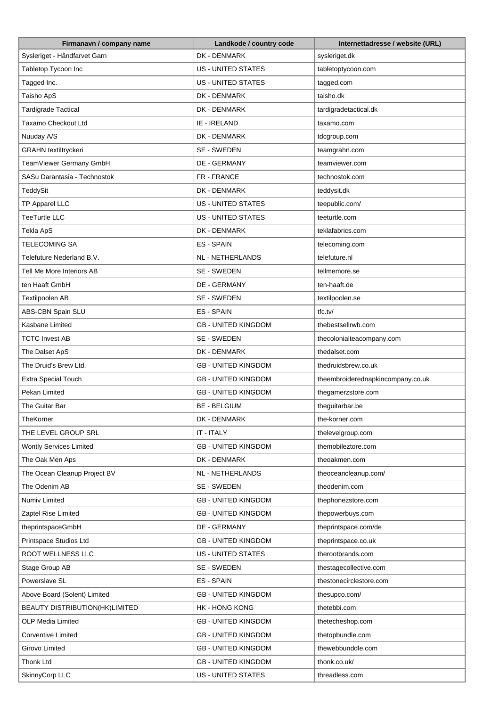| Sysleriget - Håndfarvet Garn<br>DK - DENMARK<br>sysleriget.dk<br><b>US - UNITED STATES</b><br>Tabletop Tycoon Inc<br>tabletoptycoon.com<br>Tagged Inc.<br>US - UNITED STATES<br>tagged.com<br>Taisho ApS<br>DK - DENMARK<br>taisho.dk<br><b>Tardigrade Tactical</b><br>DK - DENMARK<br>tardigradetactical.dk<br>Taxamo Checkout Ltd<br>IE - IRELAND<br>taxamo.com<br>Nuuday A/S<br>DK - DENMARK<br>tdcgroup.com<br><b>GRAHN</b> textiltryckeri<br>SE - SWEDEN<br>teamgrahn.com<br>TeamViewer Germany GmbH<br>DE - GERMANY<br>teamviewer.com<br>SASu Darantasia - Technostok<br>FR - FRANCE<br>technostok.com<br><b>TeddySit</b><br>DK - DENMARK<br>teddysit.dk<br>TP Apparel LLC<br>US - UNITED STATES<br>teepublic.com/<br><b>TeeTurtle LLC</b><br><b>US - UNITED STATES</b><br>teeturtle.com<br>Tekla ApS<br>DK - DENMARK<br>teklafabrics.com<br><b>TELECOMING SA</b><br>ES - SPAIN<br>telecoming.com<br>Telefuture Nederland B.V.<br>NL - NETHERLANDS<br>telefuture.nl<br>SE - SWEDEN<br>Tell Me More Interiors AB<br>tellmemore.se<br>ten Haaft GmbH<br>DE - GERMANY<br>ten-haaft.de<br>SE - SWEDEN<br>Textilpoolen AB<br>textilpoolen.se<br>ABS-CBN Spain SLU<br>ES - SPAIN<br>tfc.tv/<br>Kasbane Limited<br><b>GB - UNITED KINGDOM</b><br>thebestsellrwb.com<br>SE - SWEDEN<br><b>TCTC Invest AB</b><br>thecolonialteacompany.com<br>The Dalset ApS<br>thedalset.com<br>DK - DENMARK<br>The Druid's Brew Ltd.<br><b>GB - UNITED KINGDOM</b><br>thedruidsbrew.co.uk<br>Extra Special Touch<br><b>GB - UNITED KINGDOM</b><br>theembroiderednapkincompany.co.uk<br>Pekan Limited<br><b>GB - UNITED KINGDOM</b><br>thegamerzstore.com<br><b>BE - BELGIUM</b><br>theguitarbar.be<br>The Guitar Bar<br><b>TheKorner</b><br>DK - DENMARK<br>the-korner.com<br>IT - ITALY<br>THE LEVEL GROUP SRL<br>thelevelgroup.com<br><b>GB - UNITED KINGDOM</b><br><b>Wontly Services Limited</b><br>themobileztore.com<br>DK - DENMARK<br>The Oak Men Aps<br>theoakmen.com<br>The Ocean Cleanup Project BV<br>NL - NETHERLANDS<br>theoceancleanup.com/<br>The Odenim AB<br>SE - SWEDEN<br>theodenim.com<br>Numiv Limited<br><b>GB - UNITED KINGDOM</b><br>thephonezstore.com<br><b>GB - UNITED KINGDOM</b><br>Zaptel Rise Limited<br>thepowerbuys.com<br>DE - GERMANY<br>theprintspaceGmbH<br>theprintspace.com/de<br>Printspace Studios Ltd<br><b>GB - UNITED KINGDOM</b><br>theprintspace.co.uk<br>ROOT WELLNESS LLC<br><b>US - UNITED STATES</b><br>therootbrands.com<br>SE - SWEDEN<br>Stage Group AB<br>thestagecollective.com<br>Powerslave SL<br>ES - SPAIN<br>thestonecirclestore.com<br><b>GB - UNITED KINGDOM</b><br>Above Board (Solent) Limited<br>thesupco.com/<br>HK - HONG KONG<br>thetebbi.com<br><b>BEAUTY DISTRIBUTION(HK)LIMITED</b><br><b>OLP Media Limited</b><br><b>GB - UNITED KINGDOM</b><br>thetecheshop.com<br><b>Corventive Limited</b><br><b>GB - UNITED KINGDOM</b><br>thetopbundle.com<br>Girovo Limited<br><b>GB - UNITED KINGDOM</b><br>thewebbunddle.com<br><b>Thonk Ltd</b><br><b>GB - UNITED KINGDOM</b><br>thonk.co.uk/ | Firmanavn / company name | Landkode / country code | Internettadresse / website (URL) |
|------------------------------------------------------------------------------------------------------------------------------------------------------------------------------------------------------------------------------------------------------------------------------------------------------------------------------------------------------------------------------------------------------------------------------------------------------------------------------------------------------------------------------------------------------------------------------------------------------------------------------------------------------------------------------------------------------------------------------------------------------------------------------------------------------------------------------------------------------------------------------------------------------------------------------------------------------------------------------------------------------------------------------------------------------------------------------------------------------------------------------------------------------------------------------------------------------------------------------------------------------------------------------------------------------------------------------------------------------------------------------------------------------------------------------------------------------------------------------------------------------------------------------------------------------------------------------------------------------------------------------------------------------------------------------------------------------------------------------------------------------------------------------------------------------------------------------------------------------------------------------------------------------------------------------------------------------------------------------------------------------------------------------------------------------------------------------------------------------------------------------------------------------------------------------------------------------------------------------------------------------------------------------------------------------------------------------------------------------------------------------------------------------------------------------------------------------------------------------------------------------------------------------------------------------------------------------------------------------------------------------------------------------------------------------------------------------------------------------------------------------------------------------------------------------------------------------------------------------------------------------------------------------------------------------------------------------------------------------------------------------------------------------------------------|--------------------------|-------------------------|----------------------------------|
|                                                                                                                                                                                                                                                                                                                                                                                                                                                                                                                                                                                                                                                                                                                                                                                                                                                                                                                                                                                                                                                                                                                                                                                                                                                                                                                                                                                                                                                                                                                                                                                                                                                                                                                                                                                                                                                                                                                                                                                                                                                                                                                                                                                                                                                                                                                                                                                                                                                                                                                                                                                                                                                                                                                                                                                                                                                                                                                                                                                                                                                |                          |                         |                                  |
|                                                                                                                                                                                                                                                                                                                                                                                                                                                                                                                                                                                                                                                                                                                                                                                                                                                                                                                                                                                                                                                                                                                                                                                                                                                                                                                                                                                                                                                                                                                                                                                                                                                                                                                                                                                                                                                                                                                                                                                                                                                                                                                                                                                                                                                                                                                                                                                                                                                                                                                                                                                                                                                                                                                                                                                                                                                                                                                                                                                                                                                |                          |                         |                                  |
|                                                                                                                                                                                                                                                                                                                                                                                                                                                                                                                                                                                                                                                                                                                                                                                                                                                                                                                                                                                                                                                                                                                                                                                                                                                                                                                                                                                                                                                                                                                                                                                                                                                                                                                                                                                                                                                                                                                                                                                                                                                                                                                                                                                                                                                                                                                                                                                                                                                                                                                                                                                                                                                                                                                                                                                                                                                                                                                                                                                                                                                |                          |                         |                                  |
|                                                                                                                                                                                                                                                                                                                                                                                                                                                                                                                                                                                                                                                                                                                                                                                                                                                                                                                                                                                                                                                                                                                                                                                                                                                                                                                                                                                                                                                                                                                                                                                                                                                                                                                                                                                                                                                                                                                                                                                                                                                                                                                                                                                                                                                                                                                                                                                                                                                                                                                                                                                                                                                                                                                                                                                                                                                                                                                                                                                                                                                |                          |                         |                                  |
|                                                                                                                                                                                                                                                                                                                                                                                                                                                                                                                                                                                                                                                                                                                                                                                                                                                                                                                                                                                                                                                                                                                                                                                                                                                                                                                                                                                                                                                                                                                                                                                                                                                                                                                                                                                                                                                                                                                                                                                                                                                                                                                                                                                                                                                                                                                                                                                                                                                                                                                                                                                                                                                                                                                                                                                                                                                                                                                                                                                                                                                |                          |                         |                                  |
|                                                                                                                                                                                                                                                                                                                                                                                                                                                                                                                                                                                                                                                                                                                                                                                                                                                                                                                                                                                                                                                                                                                                                                                                                                                                                                                                                                                                                                                                                                                                                                                                                                                                                                                                                                                                                                                                                                                                                                                                                                                                                                                                                                                                                                                                                                                                                                                                                                                                                                                                                                                                                                                                                                                                                                                                                                                                                                                                                                                                                                                |                          |                         |                                  |
|                                                                                                                                                                                                                                                                                                                                                                                                                                                                                                                                                                                                                                                                                                                                                                                                                                                                                                                                                                                                                                                                                                                                                                                                                                                                                                                                                                                                                                                                                                                                                                                                                                                                                                                                                                                                                                                                                                                                                                                                                                                                                                                                                                                                                                                                                                                                                                                                                                                                                                                                                                                                                                                                                                                                                                                                                                                                                                                                                                                                                                                |                          |                         |                                  |
|                                                                                                                                                                                                                                                                                                                                                                                                                                                                                                                                                                                                                                                                                                                                                                                                                                                                                                                                                                                                                                                                                                                                                                                                                                                                                                                                                                                                                                                                                                                                                                                                                                                                                                                                                                                                                                                                                                                                                                                                                                                                                                                                                                                                                                                                                                                                                                                                                                                                                                                                                                                                                                                                                                                                                                                                                                                                                                                                                                                                                                                |                          |                         |                                  |
|                                                                                                                                                                                                                                                                                                                                                                                                                                                                                                                                                                                                                                                                                                                                                                                                                                                                                                                                                                                                                                                                                                                                                                                                                                                                                                                                                                                                                                                                                                                                                                                                                                                                                                                                                                                                                                                                                                                                                                                                                                                                                                                                                                                                                                                                                                                                                                                                                                                                                                                                                                                                                                                                                                                                                                                                                                                                                                                                                                                                                                                |                          |                         |                                  |
|                                                                                                                                                                                                                                                                                                                                                                                                                                                                                                                                                                                                                                                                                                                                                                                                                                                                                                                                                                                                                                                                                                                                                                                                                                                                                                                                                                                                                                                                                                                                                                                                                                                                                                                                                                                                                                                                                                                                                                                                                                                                                                                                                                                                                                                                                                                                                                                                                                                                                                                                                                                                                                                                                                                                                                                                                                                                                                                                                                                                                                                |                          |                         |                                  |
|                                                                                                                                                                                                                                                                                                                                                                                                                                                                                                                                                                                                                                                                                                                                                                                                                                                                                                                                                                                                                                                                                                                                                                                                                                                                                                                                                                                                                                                                                                                                                                                                                                                                                                                                                                                                                                                                                                                                                                                                                                                                                                                                                                                                                                                                                                                                                                                                                                                                                                                                                                                                                                                                                                                                                                                                                                                                                                                                                                                                                                                |                          |                         |                                  |
|                                                                                                                                                                                                                                                                                                                                                                                                                                                                                                                                                                                                                                                                                                                                                                                                                                                                                                                                                                                                                                                                                                                                                                                                                                                                                                                                                                                                                                                                                                                                                                                                                                                                                                                                                                                                                                                                                                                                                                                                                                                                                                                                                                                                                                                                                                                                                                                                                                                                                                                                                                                                                                                                                                                                                                                                                                                                                                                                                                                                                                                |                          |                         |                                  |
|                                                                                                                                                                                                                                                                                                                                                                                                                                                                                                                                                                                                                                                                                                                                                                                                                                                                                                                                                                                                                                                                                                                                                                                                                                                                                                                                                                                                                                                                                                                                                                                                                                                                                                                                                                                                                                                                                                                                                                                                                                                                                                                                                                                                                                                                                                                                                                                                                                                                                                                                                                                                                                                                                                                                                                                                                                                                                                                                                                                                                                                |                          |                         |                                  |
|                                                                                                                                                                                                                                                                                                                                                                                                                                                                                                                                                                                                                                                                                                                                                                                                                                                                                                                                                                                                                                                                                                                                                                                                                                                                                                                                                                                                                                                                                                                                                                                                                                                                                                                                                                                                                                                                                                                                                                                                                                                                                                                                                                                                                                                                                                                                                                                                                                                                                                                                                                                                                                                                                                                                                                                                                                                                                                                                                                                                                                                |                          |                         |                                  |
|                                                                                                                                                                                                                                                                                                                                                                                                                                                                                                                                                                                                                                                                                                                                                                                                                                                                                                                                                                                                                                                                                                                                                                                                                                                                                                                                                                                                                                                                                                                                                                                                                                                                                                                                                                                                                                                                                                                                                                                                                                                                                                                                                                                                                                                                                                                                                                                                                                                                                                                                                                                                                                                                                                                                                                                                                                                                                                                                                                                                                                                |                          |                         |                                  |
|                                                                                                                                                                                                                                                                                                                                                                                                                                                                                                                                                                                                                                                                                                                                                                                                                                                                                                                                                                                                                                                                                                                                                                                                                                                                                                                                                                                                                                                                                                                                                                                                                                                                                                                                                                                                                                                                                                                                                                                                                                                                                                                                                                                                                                                                                                                                                                                                                                                                                                                                                                                                                                                                                                                                                                                                                                                                                                                                                                                                                                                |                          |                         |                                  |
|                                                                                                                                                                                                                                                                                                                                                                                                                                                                                                                                                                                                                                                                                                                                                                                                                                                                                                                                                                                                                                                                                                                                                                                                                                                                                                                                                                                                                                                                                                                                                                                                                                                                                                                                                                                                                                                                                                                                                                                                                                                                                                                                                                                                                                                                                                                                                                                                                                                                                                                                                                                                                                                                                                                                                                                                                                                                                                                                                                                                                                                |                          |                         |                                  |
|                                                                                                                                                                                                                                                                                                                                                                                                                                                                                                                                                                                                                                                                                                                                                                                                                                                                                                                                                                                                                                                                                                                                                                                                                                                                                                                                                                                                                                                                                                                                                                                                                                                                                                                                                                                                                                                                                                                                                                                                                                                                                                                                                                                                                                                                                                                                                                                                                                                                                                                                                                                                                                                                                                                                                                                                                                                                                                                                                                                                                                                |                          |                         |                                  |
|                                                                                                                                                                                                                                                                                                                                                                                                                                                                                                                                                                                                                                                                                                                                                                                                                                                                                                                                                                                                                                                                                                                                                                                                                                                                                                                                                                                                                                                                                                                                                                                                                                                                                                                                                                                                                                                                                                                                                                                                                                                                                                                                                                                                                                                                                                                                                                                                                                                                                                                                                                                                                                                                                                                                                                                                                                                                                                                                                                                                                                                |                          |                         |                                  |
|                                                                                                                                                                                                                                                                                                                                                                                                                                                                                                                                                                                                                                                                                                                                                                                                                                                                                                                                                                                                                                                                                                                                                                                                                                                                                                                                                                                                                                                                                                                                                                                                                                                                                                                                                                                                                                                                                                                                                                                                                                                                                                                                                                                                                                                                                                                                                                                                                                                                                                                                                                                                                                                                                                                                                                                                                                                                                                                                                                                                                                                |                          |                         |                                  |
|                                                                                                                                                                                                                                                                                                                                                                                                                                                                                                                                                                                                                                                                                                                                                                                                                                                                                                                                                                                                                                                                                                                                                                                                                                                                                                                                                                                                                                                                                                                                                                                                                                                                                                                                                                                                                                                                                                                                                                                                                                                                                                                                                                                                                                                                                                                                                                                                                                                                                                                                                                                                                                                                                                                                                                                                                                                                                                                                                                                                                                                |                          |                         |                                  |
|                                                                                                                                                                                                                                                                                                                                                                                                                                                                                                                                                                                                                                                                                                                                                                                                                                                                                                                                                                                                                                                                                                                                                                                                                                                                                                                                                                                                                                                                                                                                                                                                                                                                                                                                                                                                                                                                                                                                                                                                                                                                                                                                                                                                                                                                                                                                                                                                                                                                                                                                                                                                                                                                                                                                                                                                                                                                                                                                                                                                                                                |                          |                         |                                  |
|                                                                                                                                                                                                                                                                                                                                                                                                                                                                                                                                                                                                                                                                                                                                                                                                                                                                                                                                                                                                                                                                                                                                                                                                                                                                                                                                                                                                                                                                                                                                                                                                                                                                                                                                                                                                                                                                                                                                                                                                                                                                                                                                                                                                                                                                                                                                                                                                                                                                                                                                                                                                                                                                                                                                                                                                                                                                                                                                                                                                                                                |                          |                         |                                  |
|                                                                                                                                                                                                                                                                                                                                                                                                                                                                                                                                                                                                                                                                                                                                                                                                                                                                                                                                                                                                                                                                                                                                                                                                                                                                                                                                                                                                                                                                                                                                                                                                                                                                                                                                                                                                                                                                                                                                                                                                                                                                                                                                                                                                                                                                                                                                                                                                                                                                                                                                                                                                                                                                                                                                                                                                                                                                                                                                                                                                                                                |                          |                         |                                  |
|                                                                                                                                                                                                                                                                                                                                                                                                                                                                                                                                                                                                                                                                                                                                                                                                                                                                                                                                                                                                                                                                                                                                                                                                                                                                                                                                                                                                                                                                                                                                                                                                                                                                                                                                                                                                                                                                                                                                                                                                                                                                                                                                                                                                                                                                                                                                                                                                                                                                                                                                                                                                                                                                                                                                                                                                                                                                                                                                                                                                                                                |                          |                         |                                  |
|                                                                                                                                                                                                                                                                                                                                                                                                                                                                                                                                                                                                                                                                                                                                                                                                                                                                                                                                                                                                                                                                                                                                                                                                                                                                                                                                                                                                                                                                                                                                                                                                                                                                                                                                                                                                                                                                                                                                                                                                                                                                                                                                                                                                                                                                                                                                                                                                                                                                                                                                                                                                                                                                                                                                                                                                                                                                                                                                                                                                                                                |                          |                         |                                  |
|                                                                                                                                                                                                                                                                                                                                                                                                                                                                                                                                                                                                                                                                                                                                                                                                                                                                                                                                                                                                                                                                                                                                                                                                                                                                                                                                                                                                                                                                                                                                                                                                                                                                                                                                                                                                                                                                                                                                                                                                                                                                                                                                                                                                                                                                                                                                                                                                                                                                                                                                                                                                                                                                                                                                                                                                                                                                                                                                                                                                                                                |                          |                         |                                  |
|                                                                                                                                                                                                                                                                                                                                                                                                                                                                                                                                                                                                                                                                                                                                                                                                                                                                                                                                                                                                                                                                                                                                                                                                                                                                                                                                                                                                                                                                                                                                                                                                                                                                                                                                                                                                                                                                                                                                                                                                                                                                                                                                                                                                                                                                                                                                                                                                                                                                                                                                                                                                                                                                                                                                                                                                                                                                                                                                                                                                                                                |                          |                         |                                  |
|                                                                                                                                                                                                                                                                                                                                                                                                                                                                                                                                                                                                                                                                                                                                                                                                                                                                                                                                                                                                                                                                                                                                                                                                                                                                                                                                                                                                                                                                                                                                                                                                                                                                                                                                                                                                                                                                                                                                                                                                                                                                                                                                                                                                                                                                                                                                                                                                                                                                                                                                                                                                                                                                                                                                                                                                                                                                                                                                                                                                                                                |                          |                         |                                  |
|                                                                                                                                                                                                                                                                                                                                                                                                                                                                                                                                                                                                                                                                                                                                                                                                                                                                                                                                                                                                                                                                                                                                                                                                                                                                                                                                                                                                                                                                                                                                                                                                                                                                                                                                                                                                                                                                                                                                                                                                                                                                                                                                                                                                                                                                                                                                                                                                                                                                                                                                                                                                                                                                                                                                                                                                                                                                                                                                                                                                                                                |                          |                         |                                  |
|                                                                                                                                                                                                                                                                                                                                                                                                                                                                                                                                                                                                                                                                                                                                                                                                                                                                                                                                                                                                                                                                                                                                                                                                                                                                                                                                                                                                                                                                                                                                                                                                                                                                                                                                                                                                                                                                                                                                                                                                                                                                                                                                                                                                                                                                                                                                                                                                                                                                                                                                                                                                                                                                                                                                                                                                                                                                                                                                                                                                                                                |                          |                         |                                  |
|                                                                                                                                                                                                                                                                                                                                                                                                                                                                                                                                                                                                                                                                                                                                                                                                                                                                                                                                                                                                                                                                                                                                                                                                                                                                                                                                                                                                                                                                                                                                                                                                                                                                                                                                                                                                                                                                                                                                                                                                                                                                                                                                                                                                                                                                                                                                                                                                                                                                                                                                                                                                                                                                                                                                                                                                                                                                                                                                                                                                                                                |                          |                         |                                  |
|                                                                                                                                                                                                                                                                                                                                                                                                                                                                                                                                                                                                                                                                                                                                                                                                                                                                                                                                                                                                                                                                                                                                                                                                                                                                                                                                                                                                                                                                                                                                                                                                                                                                                                                                                                                                                                                                                                                                                                                                                                                                                                                                                                                                                                                                                                                                                                                                                                                                                                                                                                                                                                                                                                                                                                                                                                                                                                                                                                                                                                                |                          |                         |                                  |
|                                                                                                                                                                                                                                                                                                                                                                                                                                                                                                                                                                                                                                                                                                                                                                                                                                                                                                                                                                                                                                                                                                                                                                                                                                                                                                                                                                                                                                                                                                                                                                                                                                                                                                                                                                                                                                                                                                                                                                                                                                                                                                                                                                                                                                                                                                                                                                                                                                                                                                                                                                                                                                                                                                                                                                                                                                                                                                                                                                                                                                                |                          |                         |                                  |
|                                                                                                                                                                                                                                                                                                                                                                                                                                                                                                                                                                                                                                                                                                                                                                                                                                                                                                                                                                                                                                                                                                                                                                                                                                                                                                                                                                                                                                                                                                                                                                                                                                                                                                                                                                                                                                                                                                                                                                                                                                                                                                                                                                                                                                                                                                                                                                                                                                                                                                                                                                                                                                                                                                                                                                                                                                                                                                                                                                                                                                                |                          |                         |                                  |
|                                                                                                                                                                                                                                                                                                                                                                                                                                                                                                                                                                                                                                                                                                                                                                                                                                                                                                                                                                                                                                                                                                                                                                                                                                                                                                                                                                                                                                                                                                                                                                                                                                                                                                                                                                                                                                                                                                                                                                                                                                                                                                                                                                                                                                                                                                                                                                                                                                                                                                                                                                                                                                                                                                                                                                                                                                                                                                                                                                                                                                                |                          |                         |                                  |
|                                                                                                                                                                                                                                                                                                                                                                                                                                                                                                                                                                                                                                                                                                                                                                                                                                                                                                                                                                                                                                                                                                                                                                                                                                                                                                                                                                                                                                                                                                                                                                                                                                                                                                                                                                                                                                                                                                                                                                                                                                                                                                                                                                                                                                                                                                                                                                                                                                                                                                                                                                                                                                                                                                                                                                                                                                                                                                                                                                                                                                                |                          |                         |                                  |
|                                                                                                                                                                                                                                                                                                                                                                                                                                                                                                                                                                                                                                                                                                                                                                                                                                                                                                                                                                                                                                                                                                                                                                                                                                                                                                                                                                                                                                                                                                                                                                                                                                                                                                                                                                                                                                                                                                                                                                                                                                                                                                                                                                                                                                                                                                                                                                                                                                                                                                                                                                                                                                                                                                                                                                                                                                                                                                                                                                                                                                                |                          |                         |                                  |
|                                                                                                                                                                                                                                                                                                                                                                                                                                                                                                                                                                                                                                                                                                                                                                                                                                                                                                                                                                                                                                                                                                                                                                                                                                                                                                                                                                                                                                                                                                                                                                                                                                                                                                                                                                                                                                                                                                                                                                                                                                                                                                                                                                                                                                                                                                                                                                                                                                                                                                                                                                                                                                                                                                                                                                                                                                                                                                                                                                                                                                                |                          |                         |                                  |
|                                                                                                                                                                                                                                                                                                                                                                                                                                                                                                                                                                                                                                                                                                                                                                                                                                                                                                                                                                                                                                                                                                                                                                                                                                                                                                                                                                                                                                                                                                                                                                                                                                                                                                                                                                                                                                                                                                                                                                                                                                                                                                                                                                                                                                                                                                                                                                                                                                                                                                                                                                                                                                                                                                                                                                                                                                                                                                                                                                                                                                                |                          |                         |                                  |
|                                                                                                                                                                                                                                                                                                                                                                                                                                                                                                                                                                                                                                                                                                                                                                                                                                                                                                                                                                                                                                                                                                                                                                                                                                                                                                                                                                                                                                                                                                                                                                                                                                                                                                                                                                                                                                                                                                                                                                                                                                                                                                                                                                                                                                                                                                                                                                                                                                                                                                                                                                                                                                                                                                                                                                                                                                                                                                                                                                                                                                                |                          |                         |                                  |
|                                                                                                                                                                                                                                                                                                                                                                                                                                                                                                                                                                                                                                                                                                                                                                                                                                                                                                                                                                                                                                                                                                                                                                                                                                                                                                                                                                                                                                                                                                                                                                                                                                                                                                                                                                                                                                                                                                                                                                                                                                                                                                                                                                                                                                                                                                                                                                                                                                                                                                                                                                                                                                                                                                                                                                                                                                                                                                                                                                                                                                                |                          |                         |                                  |
|                                                                                                                                                                                                                                                                                                                                                                                                                                                                                                                                                                                                                                                                                                                                                                                                                                                                                                                                                                                                                                                                                                                                                                                                                                                                                                                                                                                                                                                                                                                                                                                                                                                                                                                                                                                                                                                                                                                                                                                                                                                                                                                                                                                                                                                                                                                                                                                                                                                                                                                                                                                                                                                                                                                                                                                                                                                                                                                                                                                                                                                |                          |                         |                                  |
|                                                                                                                                                                                                                                                                                                                                                                                                                                                                                                                                                                                                                                                                                                                                                                                                                                                                                                                                                                                                                                                                                                                                                                                                                                                                                                                                                                                                                                                                                                                                                                                                                                                                                                                                                                                                                                                                                                                                                                                                                                                                                                                                                                                                                                                                                                                                                                                                                                                                                                                                                                                                                                                                                                                                                                                                                                                                                                                                                                                                                                                |                          |                         |                                  |
|                                                                                                                                                                                                                                                                                                                                                                                                                                                                                                                                                                                                                                                                                                                                                                                                                                                                                                                                                                                                                                                                                                                                                                                                                                                                                                                                                                                                                                                                                                                                                                                                                                                                                                                                                                                                                                                                                                                                                                                                                                                                                                                                                                                                                                                                                                                                                                                                                                                                                                                                                                                                                                                                                                                                                                                                                                                                                                                                                                                                                                                |                          |                         |                                  |
|                                                                                                                                                                                                                                                                                                                                                                                                                                                                                                                                                                                                                                                                                                                                                                                                                                                                                                                                                                                                                                                                                                                                                                                                                                                                                                                                                                                                                                                                                                                                                                                                                                                                                                                                                                                                                                                                                                                                                                                                                                                                                                                                                                                                                                                                                                                                                                                                                                                                                                                                                                                                                                                                                                                                                                                                                                                                                                                                                                                                                                                |                          |                         |                                  |
|                                                                                                                                                                                                                                                                                                                                                                                                                                                                                                                                                                                                                                                                                                                                                                                                                                                                                                                                                                                                                                                                                                                                                                                                                                                                                                                                                                                                                                                                                                                                                                                                                                                                                                                                                                                                                                                                                                                                                                                                                                                                                                                                                                                                                                                                                                                                                                                                                                                                                                                                                                                                                                                                                                                                                                                                                                                                                                                                                                                                                                                |                          |                         |                                  |
|                                                                                                                                                                                                                                                                                                                                                                                                                                                                                                                                                                                                                                                                                                                                                                                                                                                                                                                                                                                                                                                                                                                                                                                                                                                                                                                                                                                                                                                                                                                                                                                                                                                                                                                                                                                                                                                                                                                                                                                                                                                                                                                                                                                                                                                                                                                                                                                                                                                                                                                                                                                                                                                                                                                                                                                                                                                                                                                                                                                                                                                | SkinnyCorp LLC           | US - UNITED STATES      | threadless.com                   |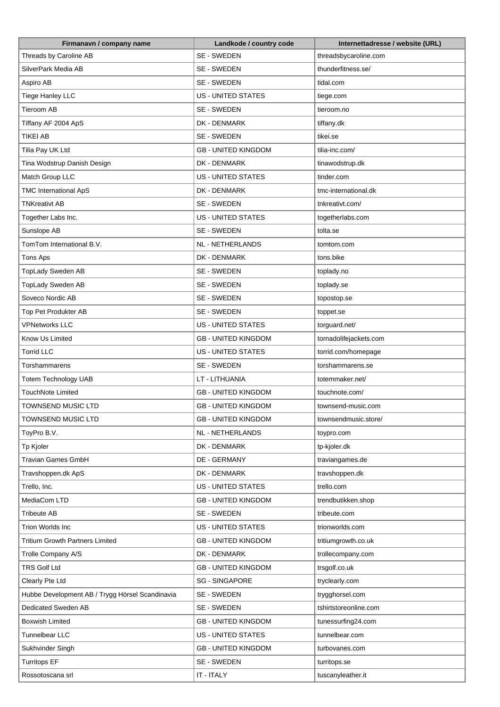| Firmanavn / company name                        | Landkode / country code    | Internettadresse / website (URL) |
|-------------------------------------------------|----------------------------|----------------------------------|
| Threads by Caroline AB                          | SE - SWEDEN                | threadsbycaroline.com            |
| SilverPark Media AB                             | SE - SWEDEN                | thunderfitness.se/               |
| Aspiro AB                                       | SE - SWEDEN                | tidal.com                        |
| <b>Tiege Hanley LLC</b>                         | <b>US - UNITED STATES</b>  | tiege.com                        |
| <b>Tieroom AB</b>                               | SE - SWEDEN                | tieroom.no                       |
| Tiffany AF 2004 ApS                             | DK - DENMARK               | tiffany.dk                       |
| <b>TIKEI AB</b>                                 | SE - SWEDEN                | tikei.se                         |
| Tilia Pay UK Ltd                                | <b>GB - UNITED KINGDOM</b> | tilia-inc.com/                   |
| Tina Wodstrup Danish Design                     | DK - DENMARK               | tinawodstrup.dk                  |
| Match Group LLC                                 | <b>US - UNITED STATES</b>  | tinder.com                       |
| <b>TMC International ApS</b>                    | DK - DENMARK               | tmc-international.dk             |
| <b>TNKreativt AB</b>                            | SE - SWEDEN                | tnkreativt.com/                  |
| Together Labs Inc.                              | <b>US - UNITED STATES</b>  | togetherlabs.com                 |
| Sunslope AB                                     | SE - SWEDEN                | tolta.se                         |
| TomTom International B.V.                       | NL - NETHERLANDS           | tomtom.com                       |
| <b>Tons Aps</b>                                 | DK - DENMARK               | tons.bike                        |
|                                                 | SE - SWEDEN                |                                  |
| TopLady Sweden AB                               | SE - SWEDEN                | toplady.no                       |
| TopLady Sweden AB                               |                            | toplady.se                       |
| Soveco Nordic AB                                | SE - SWEDEN                | topostop.se                      |
| Top Pet Produkter AB                            | SE - SWEDEN                | toppet.se                        |
| <b>VPNetworks LLC</b>                           | US - UNITED STATES         | torguard.net/                    |
| Know Us Limited                                 | <b>GB - UNITED KINGDOM</b> | tornadolifejackets.com           |
| <b>Torrid LLC</b>                               | <b>US - UNITED STATES</b>  | torrid.com/homepage              |
| Torshammarens                                   | SE - SWEDEN                | torshammarens.se                 |
| <b>Totem Technology UAB</b>                     | LT - LITHUANIA             | totemmaker.net/                  |
| <b>TouchNote Limited</b>                        | <b>GB - UNITED KINGDOM</b> | touchnote.com/                   |
| <b>TOWNSEND MUSIC LTD</b>                       | <b>GB - UNITED KINGDOM</b> | townsend-music.com               |
| <b>TOWNSEND MUSIC LTD</b>                       | <b>GB - UNITED KINGDOM</b> | townsendmusic.store/             |
| ToyPro B.V.                                     | NL - NETHERLANDS           | toypro.com                       |
| Tp Kjoler                                       | DK - DENMARK               | tp-kjoler.dk                     |
| <b>Travian Games GmbH</b>                       | DE - GERMANY               | traviangames.de                  |
| Travshoppen.dk ApS                              | DK - DENMARK               | travshoppen.dk                   |
| Trello, Inc.                                    | <b>US - UNITED STATES</b>  | trello.com                       |
| MediaCom LTD                                    | <b>GB - UNITED KINGDOM</b> | trendbutikken.shop               |
| <b>Tribeute AB</b>                              | SE - SWEDEN                | tribeute.com                     |
| Trion Worlds Inc                                | US - UNITED STATES         | trionworlds.com                  |
| <b>Tritium Growth Partners Limited</b>          | <b>GB - UNITED KINGDOM</b> | tritiumgrowth.co.uk              |
| Trolle Company A/S                              | DK - DENMARK               | trollecompany.com                |
| <b>TRS Golf Ltd</b>                             | <b>GB - UNITED KINGDOM</b> | trsgolf.co.uk                    |
| Clearly Pte Ltd                                 | <b>SG - SINGAPORE</b>      | tryclearly.com                   |
| Hubbe Development AB / Trygg Hörsel Scandinavia | SE - SWEDEN                | trygghorsel.com                  |
| Dedicated Sweden AB                             | SE - SWEDEN                | tshirtstoreonline.com            |
| <b>Boxwish Limited</b>                          | <b>GB - UNITED KINGDOM</b> | tunessurfing24.com               |
| Tunnelbear LLC                                  | US - UNITED STATES         | tunnelbear.com                   |
| Sukhvinder Singh                                | <b>GB - UNITED KINGDOM</b> | turbovanes.com                   |
| <b>Turritops EF</b>                             | SE - SWEDEN                | turritops.se                     |
| Rossotoscana srl                                | IT - ITALY                 | tuscanyleather.it                |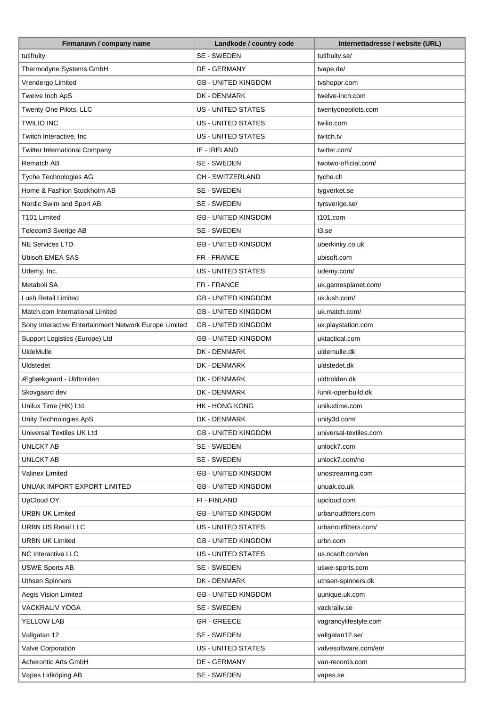| SE - SWEDEN<br>tutifruity.se/<br>tutifruity<br>Thermodyne Systems GmbH<br>DE - GERMANY<br>tvape.de/<br>Vrendergo Limited<br><b>GB - UNITED KINGDOM</b><br>tvshoppr.com<br>Twelve Inch ApS<br>DK - DENMARK<br>twelve-inch.com<br>Twenty One Pilots, LLC<br><b>US - UNITED STATES</b><br>twentyonepilots.com<br><b>TWILIO INC</b><br><b>US - UNITED STATES</b><br>twilio.com<br><b>US - UNITED STATES</b><br>Twitch Interactive, Inc<br>twitch.tv<br><b>Twitter International Company</b><br>IE - IRELAND<br>twitter.com/<br>Rematch AB<br>SE - SWEDEN<br>twotwo-official.com/<br>CH - SWITZERLAND<br>Tyche Technologies AG<br>tyche.ch<br>Home & Fashion Stockholm AB<br>SE - SWEDEN<br>tygverket.se<br>SE - SWEDEN<br>Nordic Swim and Sport AB<br>tyrsverige.se/<br><b>GB - UNITED KINGDOM</b><br>T101 Limited<br>t101.com<br>SE - SWEDEN<br>Telecom3 Sverige AB<br>t3.s <sub>e</sub><br><b>NE Services LTD</b><br><b>GB - UNITED KINGDOM</b><br>uberkinky.co.uk<br><b>Ubisoft EMEA SAS</b><br>FR - FRANCE<br>ubisoft.com<br><b>US - UNITED STATES</b><br>udemy.com/<br>Udemy, Inc.<br>Metaboli SA<br>FR - FRANCE<br>uk.gamesplanet.com/<br>Lush Retail Limited<br><b>GB - UNITED KINGDOM</b><br>uk.lush.com/<br>Match.com International Limited<br><b>GB - UNITED KINGDOM</b><br>uk.match.com/<br>Sony Interactive Entertainment Network Europe Limited<br><b>GB - UNITED KINGDOM</b><br>uk.playstation.com<br>Support Logistics (Europe) Ltd<br><b>GB - UNITED KINGDOM</b><br>uktactical.com<br><b>UldeMulle</b><br>DK - DENMARK<br>uldemulle.dk<br>DK - DENMARK<br>Uldstedet<br>uldstedet.dk<br>Ægbækgaard - Uldtrolden<br>DK - DENMARK<br>uldtrolden.dk<br>Skovgaard dev<br>DK - DENMARK<br>/unik-openbuild.dk<br>Unilux Time (HK) Ltd.<br><b>HK - HONG KONG</b><br>uniluxtime.com<br>Unity Technologies ApS<br>DK - DENMARK<br>unity3d.com/<br><b>Universal Textiles UK Ltd</b><br><b>GB - UNITED KINGDOM</b><br>universal-textiles.com<br>UNLCK7 AB<br>SE - SWEDEN<br>unlock7.com<br><b>UNLCK7 AB</b><br>SE - SWEDEN<br>unlock7.com/no<br><b>GB - UNITED KINGDOM</b><br>Valinex Limited<br>unostreaming.com<br><b>GB - UNITED KINGDOM</b><br>UNUAK IMPORT EXPORT LIMITED<br>unuak.co.uk<br>UpCloud OY<br>FI - FINLAND<br>upcloud.com<br><b>URBN UK Limited</b><br><b>GB - UNITED KINGDOM</b><br>urbanoutfitters.com<br><b>URBN US Retail LLC</b><br>US - UNITED STATES<br>urbanoutfitters.com/<br><b>URBN UK Limited</b><br><b>GB - UNITED KINGDOM</b><br>urbn.com<br><b>NC Interactive LLC</b><br><b>US - UNITED STATES</b><br>us.ncsoft.com/en<br>SE - SWEDEN<br><b>USWE Sports AB</b><br>uswe-sports.com<br><b>Uthsen Spinners</b><br>DK - DENMARK<br>uthsen-spinners.dk<br>Aegis Vision Limited<br><b>GB - UNITED KINGDOM</b><br>uunique.uk.com<br><b>VACKRALIV YOGA</b><br>SE - SWEDEN<br>vackraliv.se<br><b>GR - GREECE</b><br>YELLOW LAB<br>vagrancylifestyle.com<br>SE - SWEDEN<br>Vallgatan 12<br>vallgatan12.se/<br>valvesoftware.com/en/<br>Valve Corporation<br>US - UNITED STATES<br>Acherontic Arts GmbH<br>DE - GERMANY<br>van-records.com | Firmanavn / company name | Landkode / country code | Internettadresse / website (URL) |
|-----------------------------------------------------------------------------------------------------------------------------------------------------------------------------------------------------------------------------------------------------------------------------------------------------------------------------------------------------------------------------------------------------------------------------------------------------------------------------------------------------------------------------------------------------------------------------------------------------------------------------------------------------------------------------------------------------------------------------------------------------------------------------------------------------------------------------------------------------------------------------------------------------------------------------------------------------------------------------------------------------------------------------------------------------------------------------------------------------------------------------------------------------------------------------------------------------------------------------------------------------------------------------------------------------------------------------------------------------------------------------------------------------------------------------------------------------------------------------------------------------------------------------------------------------------------------------------------------------------------------------------------------------------------------------------------------------------------------------------------------------------------------------------------------------------------------------------------------------------------------------------------------------------------------------------------------------------------------------------------------------------------------------------------------------------------------------------------------------------------------------------------------------------------------------------------------------------------------------------------------------------------------------------------------------------------------------------------------------------------------------------------------------------------------------------------------------------------------------------------------------------------------------------------------------------------------------------------------------------------------------------------------------------------------------------------------------------------------------------------------------------------------------------------------------------------------------------------------------------------------------------------------------------------------------------------------------------------------------------------------------------------------------------------------------------------|--------------------------|-------------------------|----------------------------------|
|                                                                                                                                                                                                                                                                                                                                                                                                                                                                                                                                                                                                                                                                                                                                                                                                                                                                                                                                                                                                                                                                                                                                                                                                                                                                                                                                                                                                                                                                                                                                                                                                                                                                                                                                                                                                                                                                                                                                                                                                                                                                                                                                                                                                                                                                                                                                                                                                                                                                                                                                                                                                                                                                                                                                                                                                                                                                                                                                                                                                                                                                 |                          |                         |                                  |
|                                                                                                                                                                                                                                                                                                                                                                                                                                                                                                                                                                                                                                                                                                                                                                                                                                                                                                                                                                                                                                                                                                                                                                                                                                                                                                                                                                                                                                                                                                                                                                                                                                                                                                                                                                                                                                                                                                                                                                                                                                                                                                                                                                                                                                                                                                                                                                                                                                                                                                                                                                                                                                                                                                                                                                                                                                                                                                                                                                                                                                                                 |                          |                         |                                  |
|                                                                                                                                                                                                                                                                                                                                                                                                                                                                                                                                                                                                                                                                                                                                                                                                                                                                                                                                                                                                                                                                                                                                                                                                                                                                                                                                                                                                                                                                                                                                                                                                                                                                                                                                                                                                                                                                                                                                                                                                                                                                                                                                                                                                                                                                                                                                                                                                                                                                                                                                                                                                                                                                                                                                                                                                                                                                                                                                                                                                                                                                 |                          |                         |                                  |
|                                                                                                                                                                                                                                                                                                                                                                                                                                                                                                                                                                                                                                                                                                                                                                                                                                                                                                                                                                                                                                                                                                                                                                                                                                                                                                                                                                                                                                                                                                                                                                                                                                                                                                                                                                                                                                                                                                                                                                                                                                                                                                                                                                                                                                                                                                                                                                                                                                                                                                                                                                                                                                                                                                                                                                                                                                                                                                                                                                                                                                                                 |                          |                         |                                  |
|                                                                                                                                                                                                                                                                                                                                                                                                                                                                                                                                                                                                                                                                                                                                                                                                                                                                                                                                                                                                                                                                                                                                                                                                                                                                                                                                                                                                                                                                                                                                                                                                                                                                                                                                                                                                                                                                                                                                                                                                                                                                                                                                                                                                                                                                                                                                                                                                                                                                                                                                                                                                                                                                                                                                                                                                                                                                                                                                                                                                                                                                 |                          |                         |                                  |
|                                                                                                                                                                                                                                                                                                                                                                                                                                                                                                                                                                                                                                                                                                                                                                                                                                                                                                                                                                                                                                                                                                                                                                                                                                                                                                                                                                                                                                                                                                                                                                                                                                                                                                                                                                                                                                                                                                                                                                                                                                                                                                                                                                                                                                                                                                                                                                                                                                                                                                                                                                                                                                                                                                                                                                                                                                                                                                                                                                                                                                                                 |                          |                         |                                  |
|                                                                                                                                                                                                                                                                                                                                                                                                                                                                                                                                                                                                                                                                                                                                                                                                                                                                                                                                                                                                                                                                                                                                                                                                                                                                                                                                                                                                                                                                                                                                                                                                                                                                                                                                                                                                                                                                                                                                                                                                                                                                                                                                                                                                                                                                                                                                                                                                                                                                                                                                                                                                                                                                                                                                                                                                                                                                                                                                                                                                                                                                 |                          |                         |                                  |
|                                                                                                                                                                                                                                                                                                                                                                                                                                                                                                                                                                                                                                                                                                                                                                                                                                                                                                                                                                                                                                                                                                                                                                                                                                                                                                                                                                                                                                                                                                                                                                                                                                                                                                                                                                                                                                                                                                                                                                                                                                                                                                                                                                                                                                                                                                                                                                                                                                                                                                                                                                                                                                                                                                                                                                                                                                                                                                                                                                                                                                                                 |                          |                         |                                  |
|                                                                                                                                                                                                                                                                                                                                                                                                                                                                                                                                                                                                                                                                                                                                                                                                                                                                                                                                                                                                                                                                                                                                                                                                                                                                                                                                                                                                                                                                                                                                                                                                                                                                                                                                                                                                                                                                                                                                                                                                                                                                                                                                                                                                                                                                                                                                                                                                                                                                                                                                                                                                                                                                                                                                                                                                                                                                                                                                                                                                                                                                 |                          |                         |                                  |
|                                                                                                                                                                                                                                                                                                                                                                                                                                                                                                                                                                                                                                                                                                                                                                                                                                                                                                                                                                                                                                                                                                                                                                                                                                                                                                                                                                                                                                                                                                                                                                                                                                                                                                                                                                                                                                                                                                                                                                                                                                                                                                                                                                                                                                                                                                                                                                                                                                                                                                                                                                                                                                                                                                                                                                                                                                                                                                                                                                                                                                                                 |                          |                         |                                  |
|                                                                                                                                                                                                                                                                                                                                                                                                                                                                                                                                                                                                                                                                                                                                                                                                                                                                                                                                                                                                                                                                                                                                                                                                                                                                                                                                                                                                                                                                                                                                                                                                                                                                                                                                                                                                                                                                                                                                                                                                                                                                                                                                                                                                                                                                                                                                                                                                                                                                                                                                                                                                                                                                                                                                                                                                                                                                                                                                                                                                                                                                 |                          |                         |                                  |
|                                                                                                                                                                                                                                                                                                                                                                                                                                                                                                                                                                                                                                                                                                                                                                                                                                                                                                                                                                                                                                                                                                                                                                                                                                                                                                                                                                                                                                                                                                                                                                                                                                                                                                                                                                                                                                                                                                                                                                                                                                                                                                                                                                                                                                                                                                                                                                                                                                                                                                                                                                                                                                                                                                                                                                                                                                                                                                                                                                                                                                                                 |                          |                         |                                  |
|                                                                                                                                                                                                                                                                                                                                                                                                                                                                                                                                                                                                                                                                                                                                                                                                                                                                                                                                                                                                                                                                                                                                                                                                                                                                                                                                                                                                                                                                                                                                                                                                                                                                                                                                                                                                                                                                                                                                                                                                                                                                                                                                                                                                                                                                                                                                                                                                                                                                                                                                                                                                                                                                                                                                                                                                                                                                                                                                                                                                                                                                 |                          |                         |                                  |
|                                                                                                                                                                                                                                                                                                                                                                                                                                                                                                                                                                                                                                                                                                                                                                                                                                                                                                                                                                                                                                                                                                                                                                                                                                                                                                                                                                                                                                                                                                                                                                                                                                                                                                                                                                                                                                                                                                                                                                                                                                                                                                                                                                                                                                                                                                                                                                                                                                                                                                                                                                                                                                                                                                                                                                                                                                                                                                                                                                                                                                                                 |                          |                         |                                  |
|                                                                                                                                                                                                                                                                                                                                                                                                                                                                                                                                                                                                                                                                                                                                                                                                                                                                                                                                                                                                                                                                                                                                                                                                                                                                                                                                                                                                                                                                                                                                                                                                                                                                                                                                                                                                                                                                                                                                                                                                                                                                                                                                                                                                                                                                                                                                                                                                                                                                                                                                                                                                                                                                                                                                                                                                                                                                                                                                                                                                                                                                 |                          |                         |                                  |
|                                                                                                                                                                                                                                                                                                                                                                                                                                                                                                                                                                                                                                                                                                                                                                                                                                                                                                                                                                                                                                                                                                                                                                                                                                                                                                                                                                                                                                                                                                                                                                                                                                                                                                                                                                                                                                                                                                                                                                                                                                                                                                                                                                                                                                                                                                                                                                                                                                                                                                                                                                                                                                                                                                                                                                                                                                                                                                                                                                                                                                                                 |                          |                         |                                  |
|                                                                                                                                                                                                                                                                                                                                                                                                                                                                                                                                                                                                                                                                                                                                                                                                                                                                                                                                                                                                                                                                                                                                                                                                                                                                                                                                                                                                                                                                                                                                                                                                                                                                                                                                                                                                                                                                                                                                                                                                                                                                                                                                                                                                                                                                                                                                                                                                                                                                                                                                                                                                                                                                                                                                                                                                                                                                                                                                                                                                                                                                 |                          |                         |                                  |
|                                                                                                                                                                                                                                                                                                                                                                                                                                                                                                                                                                                                                                                                                                                                                                                                                                                                                                                                                                                                                                                                                                                                                                                                                                                                                                                                                                                                                                                                                                                                                                                                                                                                                                                                                                                                                                                                                                                                                                                                                                                                                                                                                                                                                                                                                                                                                                                                                                                                                                                                                                                                                                                                                                                                                                                                                                                                                                                                                                                                                                                                 |                          |                         |                                  |
|                                                                                                                                                                                                                                                                                                                                                                                                                                                                                                                                                                                                                                                                                                                                                                                                                                                                                                                                                                                                                                                                                                                                                                                                                                                                                                                                                                                                                                                                                                                                                                                                                                                                                                                                                                                                                                                                                                                                                                                                                                                                                                                                                                                                                                                                                                                                                                                                                                                                                                                                                                                                                                                                                                                                                                                                                                                                                                                                                                                                                                                                 |                          |                         |                                  |
|                                                                                                                                                                                                                                                                                                                                                                                                                                                                                                                                                                                                                                                                                                                                                                                                                                                                                                                                                                                                                                                                                                                                                                                                                                                                                                                                                                                                                                                                                                                                                                                                                                                                                                                                                                                                                                                                                                                                                                                                                                                                                                                                                                                                                                                                                                                                                                                                                                                                                                                                                                                                                                                                                                                                                                                                                                                                                                                                                                                                                                                                 |                          |                         |                                  |
|                                                                                                                                                                                                                                                                                                                                                                                                                                                                                                                                                                                                                                                                                                                                                                                                                                                                                                                                                                                                                                                                                                                                                                                                                                                                                                                                                                                                                                                                                                                                                                                                                                                                                                                                                                                                                                                                                                                                                                                                                                                                                                                                                                                                                                                                                                                                                                                                                                                                                                                                                                                                                                                                                                                                                                                                                                                                                                                                                                                                                                                                 |                          |                         |                                  |
|                                                                                                                                                                                                                                                                                                                                                                                                                                                                                                                                                                                                                                                                                                                                                                                                                                                                                                                                                                                                                                                                                                                                                                                                                                                                                                                                                                                                                                                                                                                                                                                                                                                                                                                                                                                                                                                                                                                                                                                                                                                                                                                                                                                                                                                                                                                                                                                                                                                                                                                                                                                                                                                                                                                                                                                                                                                                                                                                                                                                                                                                 |                          |                         |                                  |
|                                                                                                                                                                                                                                                                                                                                                                                                                                                                                                                                                                                                                                                                                                                                                                                                                                                                                                                                                                                                                                                                                                                                                                                                                                                                                                                                                                                                                                                                                                                                                                                                                                                                                                                                                                                                                                                                                                                                                                                                                                                                                                                                                                                                                                                                                                                                                                                                                                                                                                                                                                                                                                                                                                                                                                                                                                                                                                                                                                                                                                                                 |                          |                         |                                  |
|                                                                                                                                                                                                                                                                                                                                                                                                                                                                                                                                                                                                                                                                                                                                                                                                                                                                                                                                                                                                                                                                                                                                                                                                                                                                                                                                                                                                                                                                                                                                                                                                                                                                                                                                                                                                                                                                                                                                                                                                                                                                                                                                                                                                                                                                                                                                                                                                                                                                                                                                                                                                                                                                                                                                                                                                                                                                                                                                                                                                                                                                 |                          |                         |                                  |
|                                                                                                                                                                                                                                                                                                                                                                                                                                                                                                                                                                                                                                                                                                                                                                                                                                                                                                                                                                                                                                                                                                                                                                                                                                                                                                                                                                                                                                                                                                                                                                                                                                                                                                                                                                                                                                                                                                                                                                                                                                                                                                                                                                                                                                                                                                                                                                                                                                                                                                                                                                                                                                                                                                                                                                                                                                                                                                                                                                                                                                                                 |                          |                         |                                  |
|                                                                                                                                                                                                                                                                                                                                                                                                                                                                                                                                                                                                                                                                                                                                                                                                                                                                                                                                                                                                                                                                                                                                                                                                                                                                                                                                                                                                                                                                                                                                                                                                                                                                                                                                                                                                                                                                                                                                                                                                                                                                                                                                                                                                                                                                                                                                                                                                                                                                                                                                                                                                                                                                                                                                                                                                                                                                                                                                                                                                                                                                 |                          |                         |                                  |
|                                                                                                                                                                                                                                                                                                                                                                                                                                                                                                                                                                                                                                                                                                                                                                                                                                                                                                                                                                                                                                                                                                                                                                                                                                                                                                                                                                                                                                                                                                                                                                                                                                                                                                                                                                                                                                                                                                                                                                                                                                                                                                                                                                                                                                                                                                                                                                                                                                                                                                                                                                                                                                                                                                                                                                                                                                                                                                                                                                                                                                                                 |                          |                         |                                  |
|                                                                                                                                                                                                                                                                                                                                                                                                                                                                                                                                                                                                                                                                                                                                                                                                                                                                                                                                                                                                                                                                                                                                                                                                                                                                                                                                                                                                                                                                                                                                                                                                                                                                                                                                                                                                                                                                                                                                                                                                                                                                                                                                                                                                                                                                                                                                                                                                                                                                                                                                                                                                                                                                                                                                                                                                                                                                                                                                                                                                                                                                 |                          |                         |                                  |
|                                                                                                                                                                                                                                                                                                                                                                                                                                                                                                                                                                                                                                                                                                                                                                                                                                                                                                                                                                                                                                                                                                                                                                                                                                                                                                                                                                                                                                                                                                                                                                                                                                                                                                                                                                                                                                                                                                                                                                                                                                                                                                                                                                                                                                                                                                                                                                                                                                                                                                                                                                                                                                                                                                                                                                                                                                                                                                                                                                                                                                                                 |                          |                         |                                  |
|                                                                                                                                                                                                                                                                                                                                                                                                                                                                                                                                                                                                                                                                                                                                                                                                                                                                                                                                                                                                                                                                                                                                                                                                                                                                                                                                                                                                                                                                                                                                                                                                                                                                                                                                                                                                                                                                                                                                                                                                                                                                                                                                                                                                                                                                                                                                                                                                                                                                                                                                                                                                                                                                                                                                                                                                                                                                                                                                                                                                                                                                 |                          |                         |                                  |
|                                                                                                                                                                                                                                                                                                                                                                                                                                                                                                                                                                                                                                                                                                                                                                                                                                                                                                                                                                                                                                                                                                                                                                                                                                                                                                                                                                                                                                                                                                                                                                                                                                                                                                                                                                                                                                                                                                                                                                                                                                                                                                                                                                                                                                                                                                                                                                                                                                                                                                                                                                                                                                                                                                                                                                                                                                                                                                                                                                                                                                                                 |                          |                         |                                  |
|                                                                                                                                                                                                                                                                                                                                                                                                                                                                                                                                                                                                                                                                                                                                                                                                                                                                                                                                                                                                                                                                                                                                                                                                                                                                                                                                                                                                                                                                                                                                                                                                                                                                                                                                                                                                                                                                                                                                                                                                                                                                                                                                                                                                                                                                                                                                                                                                                                                                                                                                                                                                                                                                                                                                                                                                                                                                                                                                                                                                                                                                 |                          |                         |                                  |
|                                                                                                                                                                                                                                                                                                                                                                                                                                                                                                                                                                                                                                                                                                                                                                                                                                                                                                                                                                                                                                                                                                                                                                                                                                                                                                                                                                                                                                                                                                                                                                                                                                                                                                                                                                                                                                                                                                                                                                                                                                                                                                                                                                                                                                                                                                                                                                                                                                                                                                                                                                                                                                                                                                                                                                                                                                                                                                                                                                                                                                                                 |                          |                         |                                  |
|                                                                                                                                                                                                                                                                                                                                                                                                                                                                                                                                                                                                                                                                                                                                                                                                                                                                                                                                                                                                                                                                                                                                                                                                                                                                                                                                                                                                                                                                                                                                                                                                                                                                                                                                                                                                                                                                                                                                                                                                                                                                                                                                                                                                                                                                                                                                                                                                                                                                                                                                                                                                                                                                                                                                                                                                                                                                                                                                                                                                                                                                 |                          |                         |                                  |
|                                                                                                                                                                                                                                                                                                                                                                                                                                                                                                                                                                                                                                                                                                                                                                                                                                                                                                                                                                                                                                                                                                                                                                                                                                                                                                                                                                                                                                                                                                                                                                                                                                                                                                                                                                                                                                                                                                                                                                                                                                                                                                                                                                                                                                                                                                                                                                                                                                                                                                                                                                                                                                                                                                                                                                                                                                                                                                                                                                                                                                                                 |                          |                         |                                  |
|                                                                                                                                                                                                                                                                                                                                                                                                                                                                                                                                                                                                                                                                                                                                                                                                                                                                                                                                                                                                                                                                                                                                                                                                                                                                                                                                                                                                                                                                                                                                                                                                                                                                                                                                                                                                                                                                                                                                                                                                                                                                                                                                                                                                                                                                                                                                                                                                                                                                                                                                                                                                                                                                                                                                                                                                                                                                                                                                                                                                                                                                 |                          |                         |                                  |
|                                                                                                                                                                                                                                                                                                                                                                                                                                                                                                                                                                                                                                                                                                                                                                                                                                                                                                                                                                                                                                                                                                                                                                                                                                                                                                                                                                                                                                                                                                                                                                                                                                                                                                                                                                                                                                                                                                                                                                                                                                                                                                                                                                                                                                                                                                                                                                                                                                                                                                                                                                                                                                                                                                                                                                                                                                                                                                                                                                                                                                                                 |                          |                         |                                  |
|                                                                                                                                                                                                                                                                                                                                                                                                                                                                                                                                                                                                                                                                                                                                                                                                                                                                                                                                                                                                                                                                                                                                                                                                                                                                                                                                                                                                                                                                                                                                                                                                                                                                                                                                                                                                                                                                                                                                                                                                                                                                                                                                                                                                                                                                                                                                                                                                                                                                                                                                                                                                                                                                                                                                                                                                                                                                                                                                                                                                                                                                 |                          |                         |                                  |
|                                                                                                                                                                                                                                                                                                                                                                                                                                                                                                                                                                                                                                                                                                                                                                                                                                                                                                                                                                                                                                                                                                                                                                                                                                                                                                                                                                                                                                                                                                                                                                                                                                                                                                                                                                                                                                                                                                                                                                                                                                                                                                                                                                                                                                                                                                                                                                                                                                                                                                                                                                                                                                                                                                                                                                                                                                                                                                                                                                                                                                                                 |                          |                         |                                  |
|                                                                                                                                                                                                                                                                                                                                                                                                                                                                                                                                                                                                                                                                                                                                                                                                                                                                                                                                                                                                                                                                                                                                                                                                                                                                                                                                                                                                                                                                                                                                                                                                                                                                                                                                                                                                                                                                                                                                                                                                                                                                                                                                                                                                                                                                                                                                                                                                                                                                                                                                                                                                                                                                                                                                                                                                                                                                                                                                                                                                                                                                 |                          |                         |                                  |
|                                                                                                                                                                                                                                                                                                                                                                                                                                                                                                                                                                                                                                                                                                                                                                                                                                                                                                                                                                                                                                                                                                                                                                                                                                                                                                                                                                                                                                                                                                                                                                                                                                                                                                                                                                                                                                                                                                                                                                                                                                                                                                                                                                                                                                                                                                                                                                                                                                                                                                                                                                                                                                                                                                                                                                                                                                                                                                                                                                                                                                                                 |                          |                         |                                  |
|                                                                                                                                                                                                                                                                                                                                                                                                                                                                                                                                                                                                                                                                                                                                                                                                                                                                                                                                                                                                                                                                                                                                                                                                                                                                                                                                                                                                                                                                                                                                                                                                                                                                                                                                                                                                                                                                                                                                                                                                                                                                                                                                                                                                                                                                                                                                                                                                                                                                                                                                                                                                                                                                                                                                                                                                                                                                                                                                                                                                                                                                 |                          |                         |                                  |
|                                                                                                                                                                                                                                                                                                                                                                                                                                                                                                                                                                                                                                                                                                                                                                                                                                                                                                                                                                                                                                                                                                                                                                                                                                                                                                                                                                                                                                                                                                                                                                                                                                                                                                                                                                                                                                                                                                                                                                                                                                                                                                                                                                                                                                                                                                                                                                                                                                                                                                                                                                                                                                                                                                                                                                                                                                                                                                                                                                                                                                                                 |                          |                         |                                  |
|                                                                                                                                                                                                                                                                                                                                                                                                                                                                                                                                                                                                                                                                                                                                                                                                                                                                                                                                                                                                                                                                                                                                                                                                                                                                                                                                                                                                                                                                                                                                                                                                                                                                                                                                                                                                                                                                                                                                                                                                                                                                                                                                                                                                                                                                                                                                                                                                                                                                                                                                                                                                                                                                                                                                                                                                                                                                                                                                                                                                                                                                 |                          |                         |                                  |
|                                                                                                                                                                                                                                                                                                                                                                                                                                                                                                                                                                                                                                                                                                                                                                                                                                                                                                                                                                                                                                                                                                                                                                                                                                                                                                                                                                                                                                                                                                                                                                                                                                                                                                                                                                                                                                                                                                                                                                                                                                                                                                                                                                                                                                                                                                                                                                                                                                                                                                                                                                                                                                                                                                                                                                                                                                                                                                                                                                                                                                                                 |                          |                         |                                  |
|                                                                                                                                                                                                                                                                                                                                                                                                                                                                                                                                                                                                                                                                                                                                                                                                                                                                                                                                                                                                                                                                                                                                                                                                                                                                                                                                                                                                                                                                                                                                                                                                                                                                                                                                                                                                                                                                                                                                                                                                                                                                                                                                                                                                                                                                                                                                                                                                                                                                                                                                                                                                                                                                                                                                                                                                                                                                                                                                                                                                                                                                 |                          |                         |                                  |
|                                                                                                                                                                                                                                                                                                                                                                                                                                                                                                                                                                                                                                                                                                                                                                                                                                                                                                                                                                                                                                                                                                                                                                                                                                                                                                                                                                                                                                                                                                                                                                                                                                                                                                                                                                                                                                                                                                                                                                                                                                                                                                                                                                                                                                                                                                                                                                                                                                                                                                                                                                                                                                                                                                                                                                                                                                                                                                                                                                                                                                                                 |                          |                         |                                  |
|                                                                                                                                                                                                                                                                                                                                                                                                                                                                                                                                                                                                                                                                                                                                                                                                                                                                                                                                                                                                                                                                                                                                                                                                                                                                                                                                                                                                                                                                                                                                                                                                                                                                                                                                                                                                                                                                                                                                                                                                                                                                                                                                                                                                                                                                                                                                                                                                                                                                                                                                                                                                                                                                                                                                                                                                                                                                                                                                                                                                                                                                 | Vapes Lidköping AB       | SE - SWEDEN             | vapes.se                         |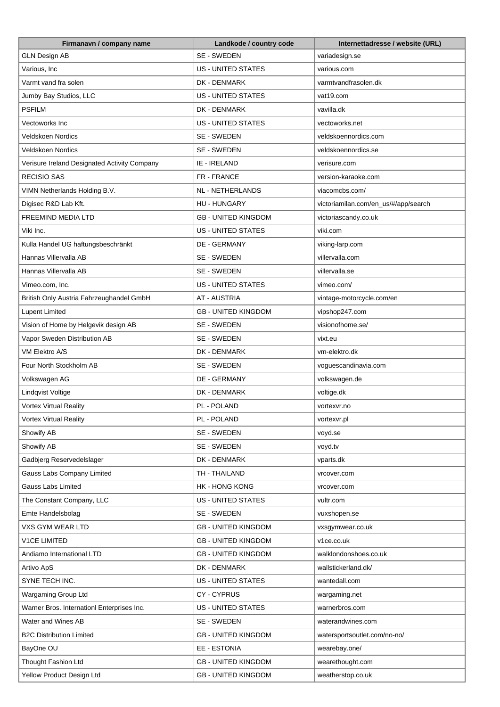| Firmanavn / company name                     | Landkode / country code    | Internettadresse / website (URL)     |
|----------------------------------------------|----------------------------|--------------------------------------|
| <b>GLN Design AB</b>                         | SE - SWEDEN                | variadesign.se                       |
| Various, Inc                                 | <b>US - UNITED STATES</b>  | various.com                          |
| Varmt vand fra solen                         | DK - DENMARK               | varmtvandfrasolen.dk                 |
| Jumby Bay Studios, LLC                       | <b>US - UNITED STATES</b>  | vat19.com                            |
| <b>PSFILM</b>                                | DK - DENMARK               | vavilla.dk                           |
| Vectoworks Inc                               | US - UNITED STATES         | vectoworks.net                       |
| Veldskoen Nordics                            | SE - SWEDEN                | veldskoennordics.com                 |
| Veldskoen Nordics                            | SE - SWEDEN                | veldskoennordics.se                  |
| Verisure Ireland Designated Activity Company | IE - IRELAND               | verisure.com                         |
| <b>RECISIO SAS</b>                           | FR - FRANCE                | version-karaoke.com                  |
| VIMN Netherlands Holding B.V.                | NL - NETHERLANDS           | viacomcbs.com/                       |
| Digisec R&D Lab Kft.                         | <b>HU - HUNGARY</b>        | victoriamilan.com/en_us/#/app/search |
| FREEMIND MEDIA LTD                           | <b>GB - UNITED KINGDOM</b> | victoriascandy.co.uk                 |
| Viki Inc.                                    | <b>US - UNITED STATES</b>  | viki.com                             |
| Kulla Handel UG haftungsbeschränkt           | <b>DE - GERMANY</b>        | viking-larp.com                      |
| Hannas Villervalla AB                        | SE - SWEDEN                | villervalla.com                      |
| Hannas Villervalla AB                        | SE - SWEDEN                | villervalla.se                       |
| Vimeo.com, Inc.                              | <b>US - UNITED STATES</b>  | vimeo.com/                           |
| British Only Austria Fahrzeughandel GmbH     | <b>AT - AUSTRIA</b>        | vintage-motorcycle.com/en            |
| <b>Lupent Limited</b>                        | <b>GB - UNITED KINGDOM</b> | vipshop247.com                       |
| Vision of Home by Helgevik design AB         | SE - SWEDEN                | visionofhome.se/                     |
| Vapor Sweden Distribution AB                 | SE - SWEDEN                | vixt.eu                              |
| VM Elektro A/S                               | DK - DENMARK               | vm-elektro.dk                        |
| Four North Stockholm AB                      | SE - SWEDEN                | voguescandinavia.com                 |
| Volkswagen AG                                | DE - GERMANY               | volkswagen.de                        |
| Lindqvist Voltige                            | DK - DENMARK               | voltige.dk                           |
| <b>Vortex Virtual Reality</b>                | PL - POLAND                | vortexvr.no                          |
| <b>Vortex Virtual Reality</b>                | PL - POLAND                | vortexvr.pl                          |
| Showify AB                                   | SE - SWEDEN                | voyd.se                              |
| Showify AB                                   | SE - SWEDEN                | voyd.tv                              |
| Gadbjerg Reservedelslager                    | DK - DENMARK               | vparts.dk                            |
| Gauss Labs Company Limited                   | TH - THAILAND              | vrcover.com                          |
| <b>Gauss Labs Limited</b>                    | <b>HK - HONG KONG</b>      | vrcover.com                          |
| The Constant Company, LLC                    | US - UNITED STATES         | vultr.com                            |
| Emte Handelsbolag                            | SE - SWEDEN                | vuxshopen.se                         |
| VXS GYM WEAR LTD                             | <b>GB - UNITED KINGDOM</b> | vxsgymwear.co.uk                     |
| <b>V1CE LIMITED</b>                          | <b>GB - UNITED KINGDOM</b> | v1ce.co.uk                           |
| Andiamo International LTD                    | <b>GB - UNITED KINGDOM</b> | walklondonshoes.co.uk                |
| Artivo ApS                                   | DK - DENMARK               | wallstickerland.dk/                  |
| SYNE TECH INC.                               | US - UNITED STATES         | wantedall.com                        |
| Wargaming Group Ltd                          | CY-CYPRUS                  | wargaming.net                        |
| Warner Bros. Internationl Enterprises Inc.   | US - UNITED STATES         | warnerbros.com                       |
| Water and Wines AB                           | SE - SWEDEN                | waterandwines.com                    |
| <b>B2C Distribution Limited</b>              | <b>GB - UNITED KINGDOM</b> | watersportsoutlet.com/no-no/         |
| BayOne OU                                    | EE - ESTONIA               | wearebay.one/                        |
| Thought Fashion Ltd                          | <b>GB - UNITED KINGDOM</b> | wearethought.com                     |
| Yellow Product Design Ltd                    | <b>GB - UNITED KINGDOM</b> | weatherstop.co.uk                    |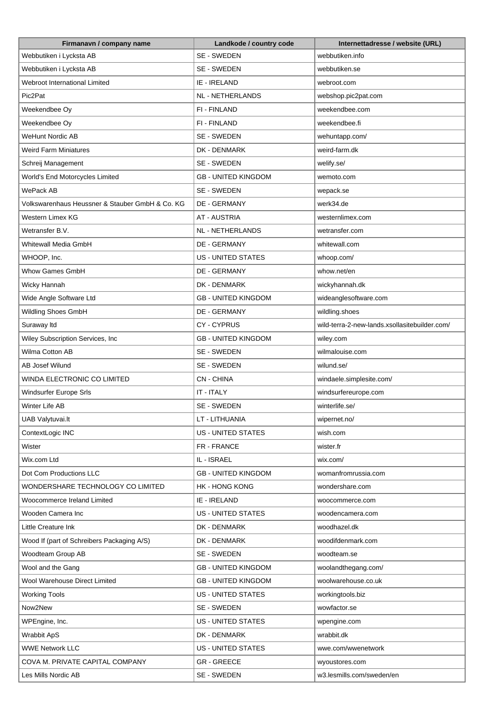| Firmanavn / company name                        | Landkode / country code     | Internettadresse / website (URL)              |
|-------------------------------------------------|-----------------------------|-----------------------------------------------|
| Webbutiken i Lycksta AB                         | SE - SWEDEN                 | webbutiken.info                               |
| Webbutiken i Lycksta AB                         | SE - SWEDEN                 | webbutiken.se                                 |
| Webroot International Limited                   | IE - IRELAND                | webroot.com                                   |
| Pic2Pat                                         | <b>NL - NETHERLANDS</b>     | webshop.pic2pat.com                           |
| Weekendbee Oy                                   | FI - FINLAND                | weekendbee.com                                |
| Weekendbee Oy                                   | FI - FINLAND                | weekendbee.fi                                 |
| <b>WeHunt Nordic AB</b>                         | SE - SWEDEN                 | wehuntapp.com/                                |
| Weird Farm Miniatures                           | DK - DENMARK                | weird-farm.dk                                 |
| Schreij Management                              | SE - SWEDEN                 | welify.se/                                    |
| World's End Motorcycles Limited                 | <b>GB - UNITED KINGDOM</b>  | wemoto.com                                    |
| WePack AB                                       | SE - SWEDEN                 | wepack.se                                     |
| Volkswarenhaus Heussner & Stauber GmbH & Co. KG | <b>DE - GERMANY</b>         | werk34.de                                     |
| Western Limex KG                                | <b>AT - AUSTRIA</b>         | westernlimex.com                              |
| Wetransfer B.V.                                 | NL - NETHERLANDS            | wetransfer.com                                |
| Whitewall Media GmbH                            | <b>DE - GERMANY</b>         | whitewall.com                                 |
| WHOOP, Inc.                                     | <b>US - UNITED STATES</b>   | whoop.com/                                    |
| Whow Games GmbH                                 | DE - GERMANY                | whow.net/en                                   |
| Wicky Hannah                                    | DK - DENMARK                | wickyhannah.dk                                |
| Wide Angle Software Ltd                         | <b>GB - UNITED KINGDOM</b>  | wideanglesoftware.com                         |
| Wildling Shoes GmbH                             | DE - GERMANY                | wildling.shoes                                |
| Suraway Itd                                     | <b>CY-CYPRUS</b>            | wild-terra-2-new-lands.xsollasitebuilder.com/ |
| Wiley Subscription Services, Inc                | <b>GB - UNITED KINGDOM</b>  | wiley.com                                     |
| Wilma Cotton AB                                 | SE - SWEDEN                 | wilmalouise.com                               |
| AB Josef Wilund                                 | SE - SWEDEN                 | wilund.se/                                    |
| WINDA ELECTRONIC CO LIMITED                     | CN - CHINA                  | windaele.simplesite.com/                      |
| Windsurfer Europe Srls                          | IT - ITALY                  | windsurfereurope.com                          |
| Winter Life AB                                  | SE - SWEDEN                 | winterlife.se/                                |
| <b>UAB Valytuvai.lt</b>                         | LT - LITHUANIA              | wipernet.no/                                  |
| ContextLogic INC                                | <b>US - UNITED STATES</b>   | wish.com                                      |
| Wister                                          | FR - FRANCE                 | wister.fr                                     |
| Wix.com Ltd                                     | IL - ISRAEL                 | wix.com/                                      |
| Dot Com Productions LLC                         | <b>GB - UNITED KINGDOM</b>  | womanfromrussia.com                           |
| WONDERSHARE TECHNOLOGY CO LIMITED               | <b>HK - HONG KONG</b>       | wondershare.com                               |
| Woocommerce Ireland Limited                     | IE - IRELAND                | woocommerce.com                               |
| Wooden Camera Inc                               | <b>US - UNITED STATES</b>   | woodencamera.com                              |
| Little Creature Ink                             | DK - DENMARK                | woodhazel.dk                                  |
|                                                 |                             | woodifdenmark.com                             |
| Wood If (part of Schreibers Packaging A/S)      | DK - DENMARK<br>SE - SWEDEN |                                               |
| Woodteam Group AB                               |                             | woodteam.se                                   |
| Wool and the Gang                               | <b>GB - UNITED KINGDOM</b>  | woolandthegang.com/                           |
| Wool Warehouse Direct Limited                   | <b>GB - UNITED KINGDOM</b>  | woolwarehouse.co.uk                           |
| <b>Working Tools</b>                            | <b>US - UNITED STATES</b>   | workingtools.biz                              |
| Now2New                                         | SE - SWEDEN                 | wowfactor.se                                  |
| WPEngine, Inc.                                  | US - UNITED STATES          | wpengine.com                                  |
| <b>Wrabbit ApS</b>                              | DK - DENMARK                | wrabbit.dk                                    |
| <b>WWE Network LLC</b>                          | US - UNITED STATES          | wwe.com/wwenetwork                            |
| COVA M. PRIVATE CAPITAL COMPANY                 | <b>GR - GREECE</b>          | wyoustores.com                                |
| Les Mills Nordic AB                             | SE - SWEDEN                 | w3.lesmills.com/sweden/en                     |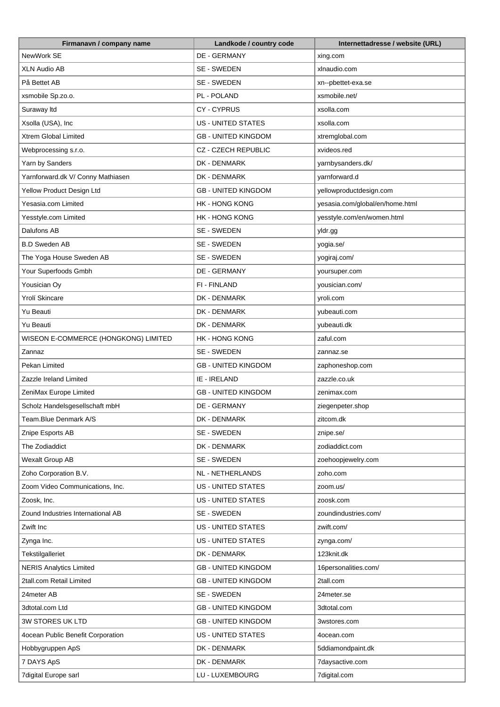| Firmanavn / company name             | Landkode / country code    | Internettadresse / website (URL) |
|--------------------------------------|----------------------------|----------------------------------|
| NewWork SE                           | <b>DE - GERMANY</b>        | xing.com                         |
| <b>XLN Audio AB</b>                  | SE - SWEDEN                | xlnaudio.com                     |
| På Bettet AB                         | SE - SWEDEN                | xn--pbettet-exa.se               |
| xsmobile Sp.zo.o.                    | PL - POLAND                | xsmobile.net/                    |
| Suraway Itd                          | CY-CYPRUS                  | xsolla.com                       |
| Xsolla (USA), Inc                    | <b>US - UNITED STATES</b>  | xsolla.com                       |
| Xtrem Global Limited                 | <b>GB - UNITED KINGDOM</b> | xtremglobal.com                  |
| Webprocessing s.r.o.                 | <b>CZ - CZECH REPUBLIC</b> | xvideos.red                      |
| Yarn by Sanders                      | DK - DENMARK               | yarnbysanders.dk/                |
| Yarnforward.dk V/ Conny Mathiasen    | DK - DENMARK               | yarnforward.d                    |
| Yellow Product Design Ltd            | <b>GB - UNITED KINGDOM</b> | yellowproductdesign.com          |
| Yesasia.com Limited                  | <b>HK - HONG KONG</b>      | yesasia.com/global/en/home.html  |
| Yesstyle.com Limited                 | <b>HK - HONG KONG</b>      | yesstyle.com/en/women.html       |
| Dalufons AB                          | SE - SWEDEN                | yldr.gg                          |
| <b>B.D Sweden AB</b>                 | SE - SWEDEN                | yogia.se/                        |
| The Yoga House Sweden AB             | SE - SWEDEN                | yogiraj.com/                     |
| Your Superfoods Gmbh                 | DE - GERMANY               | yoursuper.com                    |
| Yousician Oy                         | FI - FINLAND               | yousician.com/                   |
| Yrolí Skincare                       | DK - DENMARK               | yroli.com                        |
| Yu Beauti                            | DK - DENMARK               |                                  |
|                                      |                            | yubeauti.com                     |
| Yu Beauti                            | DK - DENMARK               | yubeauti.dk                      |
| WISEON E-COMMERCE (HONGKONG) LIMITED | <b>HK - HONG KONG</b>      | zaful.com                        |
| Zannaz                               | SE - SWEDEN                | zannaz.se                        |
| Pekan Limited                        | <b>GB - UNITED KINGDOM</b> | zaphoneshop.com                  |
| Zazzle Ireland Limited               | IE - IRELAND               | zazzle.co.uk                     |
| ZeniMax Europe Limited               | <b>GB - UNITED KINGDOM</b> | zenimax.com                      |
| Scholz Handelsgesellschaft mbH       | <b>DE - GERMANY</b>        | ziegenpeter.shop                 |
| Team.Blue Denmark A/S                | DK - DENMARK               | zitcom.dk                        |
| Znipe Esports AB                     | SE - SWEDEN                | znipe.se/                        |
| The Zodiaddict                       | DK - DENMARK               | zodiaddict.com                   |
| Wexalt Group AB                      | SE - SWEDEN                | zoehoopjewelry.com               |
| Zoho Corporation B.V.                | <b>NL - NETHERLANDS</b>    | zoho.com                         |
| Zoom Video Communications, Inc.      | <b>US - UNITED STATES</b>  | zoom.us/                         |
| Zoosk, Inc.                          | US - UNITED STATES         | zoosk.com                        |
| Zound Industries International AB    | SE - SWEDEN                | zoundindustries.com/             |
| Zwift Inc                            | <b>US - UNITED STATES</b>  | zwift.com/                       |
| Zynga Inc.                           | US - UNITED STATES         | zynga.com/                       |
| Tekstilgalleriet                     | DK - DENMARK               | 123knit.dk                       |
| <b>NERIS Analytics Limited</b>       | <b>GB - UNITED KINGDOM</b> | 16personalities.com/             |
| 2tall.com Retail Limited             | <b>GB - UNITED KINGDOM</b> | 2tall.com                        |
| 24meter AB                           | SE - SWEDEN                | 24meter.se                       |
| 3dtotal.com Ltd                      | <b>GB - UNITED KINGDOM</b> | 3dtotal.com                      |
| 3W STORES UK LTD                     | <b>GB - UNITED KINGDOM</b> | 3wstores.com                     |
| 4ocean Public Benefit Corporation    | US - UNITED STATES         | 4ocean.com                       |
| Hobbygruppen ApS                     | DK - DENMARK               | 5ddiamondpaint.dk                |
| 7 DAYS ApS                           | DK - DENMARK               | 7daysactive.com                  |
| 7digital Europe sarl                 | LU - LUXEMBOURG            | 7digital.com                     |